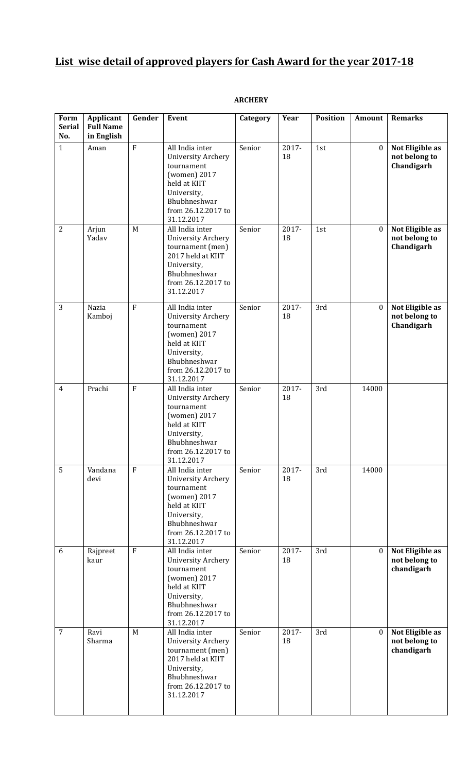# **List wise detail of approved players for Cash Award for the year 2017-18**

# **ARCHERY**

| Form<br><b>Serial</b><br>No. | Applicant<br><b>Full Name</b><br>in English | Gender         | Event                                                                                                                                                         | Category | Year        | <b>Position</b> | Amount           | <b>Remarks</b>                                 |
|------------------------------|---------------------------------------------|----------------|---------------------------------------------------------------------------------------------------------------------------------------------------------------|----------|-------------|-----------------|------------------|------------------------------------------------|
| $\mathbf{1}$                 | Aman                                        | $\rm F$        | All India inter<br><b>University Archery</b><br>tournament<br>(women) 2017<br>held at KIIT<br>University,<br>Bhubhneshwar<br>from 26.12.2017 to<br>31.12.2017 | Senior   | 2017-<br>18 | 1st             | $\boldsymbol{0}$ | Not Eligible as<br>not belong to<br>Chandigarh |
| $\overline{2}$               | Arjun<br>Yadav                              | M              | All India inter<br>University Archery<br>tournament (men)<br>2017 held at KIIT<br>University,<br>Bhubhneshwar<br>from 26.12.2017 to<br>31.12.2017             | Senior   | 2017-<br>18 | 1st             | $\boldsymbol{0}$ | Not Eligible as<br>not belong to<br>Chandigarh |
| 3                            | Nazia<br>Kamboj                             | $\overline{F}$ | All India inter<br>University Archery<br>tournament<br>(women) 2017<br>held at KIIT<br>University,<br>Bhubhneshwar<br>from 26.12.2017 to<br>31.12.2017        | Senior   | 2017-<br>18 | 3rd             | $\bf{0}$         | Not Eligible as<br>not belong to<br>Chandigarh |
| $\overline{4}$               | Prachi                                      | $\rm F$        | All India inter<br>University Archery<br>tournament<br>(women) 2017<br>held at KIIT<br>University,<br>Bhubhneshwar<br>from 26.12.2017 to<br>31.12.2017        | Senior   | 2017-<br>18 | 3rd             | 14000            |                                                |
| 5                            | Vandana<br>devi                             | ${\bf F}$      | All India inter<br>University Archery<br>tournament<br>(women) 2017<br>held at KIIT<br>University,<br>Bhubhneshwar<br>from 26.12.2017 to<br>31.12.2017        | Senior   | 2017-<br>18 | 3rd             | 14000            |                                                |
| 6                            | Rajpreet<br>kaur                            | $\overline{F}$ | All India inter<br>University Archery<br>tournament<br>(women) 2017<br>held at KIIT<br>University,<br>Bhubhneshwar<br>from 26.12.2017 to<br>31.12.2017        | Senior   | 2017-<br>18 | 3rd             | $\mathbf{0}$     | Not Eligible as<br>not belong to<br>chandigarh |
| $\overline{7}$               | Ravi<br>Sharma                              | M              | All India inter<br><b>University Archery</b><br>tournament (men)<br>2017 held at KIIT<br>University,<br>Bhubhneshwar<br>from 26.12.2017 to<br>31.12.2017      | Senior   | 2017-<br>18 | 3rd             | $\bf{0}$         | Not Eligible as<br>not belong to<br>chandigarh |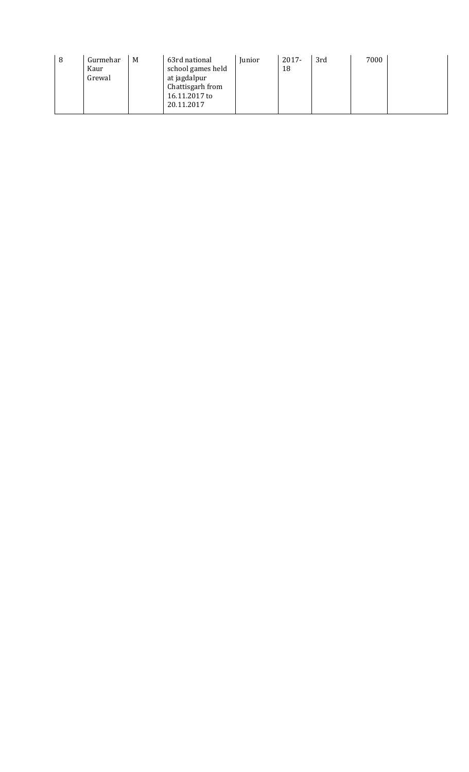| 8 | Gurmehar<br>Kaur<br>Grewal | M | 63rd national<br>school games held<br>at jagdalpur<br>Chattisgarh from<br>16.11.2017 to<br>20.11.2017 | Junior | 2017-<br>18 | 3rd | 7000 |  |  |
|---|----------------------------|---|-------------------------------------------------------------------------------------------------------|--------|-------------|-----|------|--|--|
|---|----------------------------|---|-------------------------------------------------------------------------------------------------------|--------|-------------|-----|------|--|--|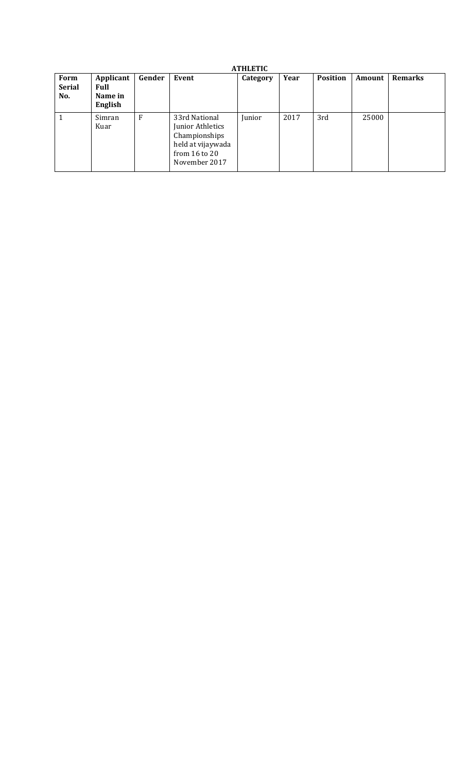| <b>ATHLETIC</b>              |                                         |        |                                                                                                               |          |      |                 |        |                |  |  |
|------------------------------|-----------------------------------------|--------|---------------------------------------------------------------------------------------------------------------|----------|------|-----------------|--------|----------------|--|--|
| Form<br><b>Serial</b><br>No. | Applicant<br>Full<br>Name in<br>English | Gender | Event                                                                                                         | Category | Year | <b>Position</b> | Amount | <b>Remarks</b> |  |  |
| $\mathbf{1}$                 | Simran<br>Kuar                          | F      | 33rd National<br>Junior Athletics<br>Championships<br>held at vijaywada<br>from $16$ to $20$<br>November 2017 | Junior   | 2017 | 3rd             | 25000  |                |  |  |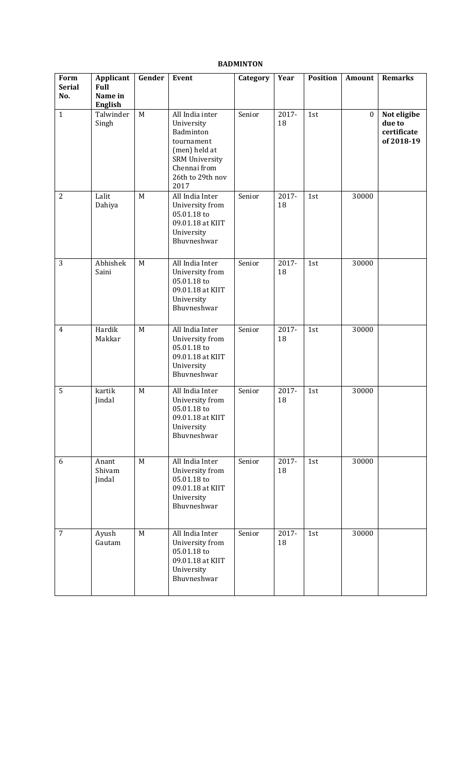| Form<br><b>Serial</b> | Applicant<br><b>Full</b>  | Gender      | Event                                                                                                                                          | Category | Year        | <b>Position</b> | Amount           | <b>Remarks</b>                                     |
|-----------------------|---------------------------|-------------|------------------------------------------------------------------------------------------------------------------------------------------------|----------|-------------|-----------------|------------------|----------------------------------------------------|
| No.                   | Name in<br><b>English</b> |             |                                                                                                                                                |          |             |                 |                  |                                                    |
| $\mathbf{1}$          | Talwinder<br>Singh        | $\mathbf M$ | All India inter<br>University<br>Badminton<br>tournament<br>(men) held at<br><b>SRM University</b><br>Chennai from<br>26th to 29th nov<br>2017 | Senior   | 2017-<br>18 | 1st             | $\boldsymbol{0}$ | Not eligibe<br>due to<br>certificate<br>of 2018-19 |
| $\overline{2}$        | Lalit<br>Dahiya           | M           | All India Inter<br>University from<br>05.01.18 to<br>09.01.18 at KIIT<br>University<br>Bhuvneshwar                                             | Senior   | 2017-<br>18 | 1st             | 30000            |                                                    |
| 3                     | Abhishek<br>Saini         | M           | All India Inter<br>University from<br>05.01.18 to<br>09.01.18 at KIIT<br>University<br>Bhuvneshwar                                             | Senior   | 2017-<br>18 | 1st             | 30000            |                                                    |
| $\overline{4}$        | Hardik<br>Makkar          | M           | All India Inter<br>University from<br>05.01.18 to<br>09.01.18 at KIIT<br>University<br>Bhuvneshwar                                             | Senior   | 2017-<br>18 | 1st             | 30000            |                                                    |
| 5                     | kartik<br>Jindal          | M           | All India Inter<br>University from<br>05.01.18 to<br>09.01.18 at KIIT<br>University<br>Bhuvneshwar                                             | Senior   | 2017-<br>18 | 1st             | 30000            |                                                    |
| 6                     | Anant<br>Shivam<br>Jindal | M           | All India Inter<br>University from<br>05.01.18 to<br>09.01.18 at KIIT<br>University<br>Bhuvneshwar                                             | Senior   | 2017-<br>18 | 1st             | 30000            |                                                    |
| $\overline{7}$        | Ayush<br>Gautam           | M           | All India Inter<br>University from<br>05.01.18 to<br>09.01.18 at KIIT<br>University<br>Bhuvneshwar                                             | Senior   | 2017-<br>18 | 1st             | 30000            |                                                    |

# **BADMINTON**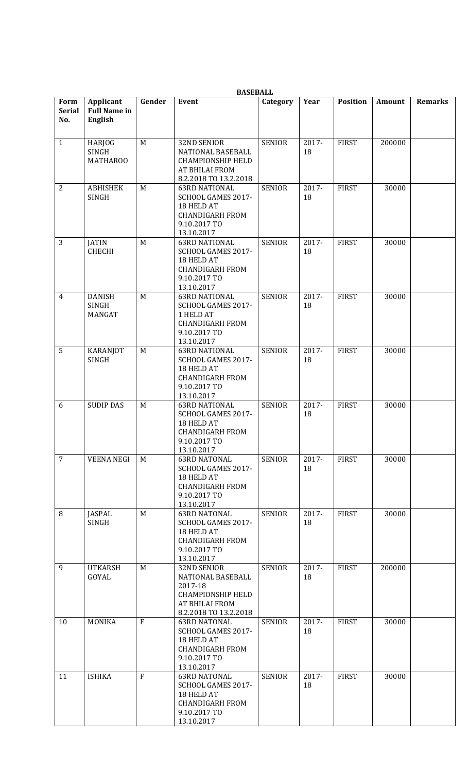|                              | <b>BASEBALL</b>                             |              |                                                                                                                           |               |             |                 |        |                |  |  |  |
|------------------------------|---------------------------------------------|--------------|---------------------------------------------------------------------------------------------------------------------------|---------------|-------------|-----------------|--------|----------------|--|--|--|
| Form<br><b>Serial</b><br>No. | Applicant<br><b>Full Name in</b><br>English | Gender       | Event                                                                                                                     | Category      | Year        | <b>Position</b> | Amount | <b>Remarks</b> |  |  |  |
| $\mathbf{1}$                 | <b>HARJOG</b><br>SINGH<br><b>MATHAROO</b>   | M            | 32ND SENIOR<br>NATIONAL BASEBALL<br><b>CHAMPIONSHIP HELD</b><br>AT BHILAI FROM<br>8.2.2018 TO 13.2.2018                   | <b>SENIOR</b> | 2017-<br>18 | <b>FIRST</b>    | 200000 |                |  |  |  |
| $\overline{2}$               | <b>ABHISHEK</b><br><b>SINGH</b>             | M            | <b>63RD NATIONAL</b><br>SCHOOL GAMES 2017-<br>18 HELD AT<br><b>CHANDIGARH FROM</b><br>9.10.2017 TO<br>13.10.2017          | <b>SENIOR</b> | 2017-<br>18 | <b>FIRST</b>    | 30000  |                |  |  |  |
| 3                            | <b>JATIN</b><br><b>CHECHI</b>               | M            | <b>63RD NATIONAL</b><br>SCHOOL GAMES 2017-<br>18 HELD AT<br><b>CHANDIGARH FROM</b><br>9.10.2017 TO<br>13.10.2017          | <b>SENIOR</b> | 2017-<br>18 | <b>FIRST</b>    | 30000  |                |  |  |  |
| 4                            | <b>DANISH</b><br>SINGH<br>MANGAT            | M            | <b>63RD NATIONAL</b><br>SCHOOL GAMES 2017-<br>1 HELD AT<br><b>CHANDIGARH FROM</b><br>9.10.2017 TO<br>13.10.2017           | <b>SENIOR</b> | 2017-<br>18 | <b>FIRST</b>    | 30000  |                |  |  |  |
| 5                            | <b>KARANJOT</b><br><b>SINGH</b>             | M            | <b>63RD NATIONAL</b><br>SCHOOL GAMES 2017-<br>18 HELD AT<br><b>CHANDIGARH FROM</b><br>9.10.2017 TO<br>13.10.2017          | <b>SENIOR</b> | 2017-<br>18 | <b>FIRST</b>    | 30000  |                |  |  |  |
| 6                            | <b>SUDIP DAS</b>                            | M            | <b>63RD NATIONAL</b><br>SCHOOL GAMES 2017-<br>18 HELD AT<br><b>CHANDIGARH FROM</b><br>9.10.2017 TO<br>13.10.2017          | <b>SENIOR</b> | 2017-<br>18 | <b>FIRST</b>    | 30000  |                |  |  |  |
| $\overline{7}$               | <b>VEENA NEGI</b>                           | M            | <b>63RD NATONAL</b><br>SCHOOL GAMES 2017-<br>18 HELD AT<br><b>CHANDIGARH FROM</b><br>9.10.2017 TO<br>13.10.2017           | <b>SENIOR</b> | 2017-<br>18 | <b>FIRST</b>    | 30000  |                |  |  |  |
| 8                            | <b>JASPAL</b><br>SINGH                      | M            | <b>63RD NATONAL</b><br>SCHOOL GAMES 2017-<br>18 HELD AT<br><b>CHANDIGARH FROM</b><br>9.10.2017 TO<br>13.10.2017           | <b>SENIOR</b> | 2017-<br>18 | <b>FIRST</b>    | 30000  |                |  |  |  |
| 9                            | <b>UTKARSH</b><br>GOYAL                     | M            | 32ND SENIOR<br>NATIONAL BASEBALL<br>2017-18<br><b>CHAMPIONSHIP HELD</b><br><b>AT BHILAI FROM</b><br>8.2.2018 TO 13.2.2018 | <b>SENIOR</b> | 2017-<br>18 | <b>FIRST</b>    | 200000 |                |  |  |  |
| 10                           | <b>MONIKA</b>                               | $\mathbf{F}$ | <b>63RD NATONAL</b><br>SCHOOL GAMES 2017-<br>18 HELD AT<br><b>CHANDIGARH FROM</b><br>9.10.2017 TO<br>13.10.2017           | <b>SENIOR</b> | 2017-<br>18 | <b>FIRST</b>    | 30000  |                |  |  |  |
| 11                           | <b>ISHIKA</b>                               | $\mathbf{F}$ | <b>63RD NATONAL</b><br>SCHOOL GAMES 2017-<br>18 HELD AT<br><b>CHANDIGARH FROM</b><br>9.10.2017 TO<br>13.10.2017           | <b>SENIOR</b> | 2017-<br>18 | <b>FIRST</b>    | 30000  |                |  |  |  |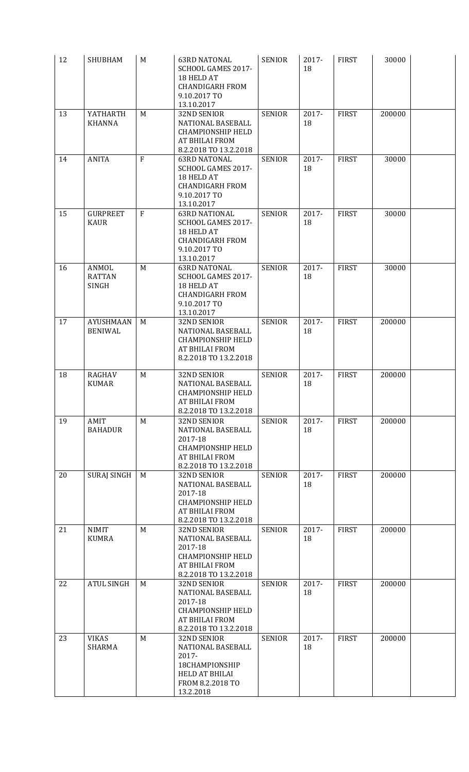| 12 | <b>SHUBHAM</b>                                | M              | <b>63RD NATONAL</b><br>SCHOOL GAMES 2017-<br>18 HELD AT<br><b>CHANDIGARH FROM</b><br>9.10.2017 TO<br>13.10.2017           | <b>SENIOR</b> | 2017-<br>18    | <b>FIRST</b> | 30000  |  |
|----|-----------------------------------------------|----------------|---------------------------------------------------------------------------------------------------------------------------|---------------|----------------|--------------|--------|--|
| 13 | YATHARTH<br><b>KHANNA</b>                     | M              | 32ND SENIOR<br>NATIONAL BASEBALL<br><b>CHAMPIONSHIP HELD</b><br><b>AT BHILAI FROM</b><br>8.2.2018 TO 13.2.2018            | <b>SENIOR</b> | 2017-<br>18    | <b>FIRST</b> | 200000 |  |
| 14 | <b>ANITA</b>                                  | $\overline{F}$ | <b>63RD NATONAL</b><br>SCHOOL GAMES 2017-<br>18 HELD AT<br><b>CHANDIGARH FROM</b><br>9.10.2017 TO<br>13.10.2017           | <b>SENIOR</b> | 2017-<br>18    | <b>FIRST</b> | 30000  |  |
| 15 | <b>GURPREET</b><br><b>KAUR</b>                | $\overline{F}$ | <b>63RD NATIONAL</b><br>SCHOOL GAMES 2017-<br>18 HELD AT<br><b>CHANDIGARH FROM</b><br>9.10.2017 TO<br>13.10.2017          | <b>SENIOR</b> | 2017-<br>18    | <b>FIRST</b> | 30000  |  |
| 16 | <b>ANMOL</b><br><b>RATTAN</b><br><b>SINGH</b> | M              | <b>63RD NATONAL</b><br>SCHOOL GAMES 2017-<br>18 HELD AT<br><b>CHANDIGARH FROM</b><br>9.10.2017 TO<br>13.10.2017           | <b>SENIOR</b> | 2017-<br>18    | <b>FIRST</b> | 30000  |  |
| 17 | <b>AYUSHMAAN</b><br><b>BENIWAL</b>            | M              | 32ND SENIOR<br>NATIONAL BASEBALL<br><b>CHAMPIONSHIP HELD</b><br><b>AT BHILAI FROM</b><br>8.2.2018 TO 13.2.2018            | <b>SENIOR</b> | 2017-<br>18    | <b>FIRST</b> | 200000 |  |
| 18 | RAGHAV<br><b>KUMAR</b>                        | M              | 32ND SENIOR<br>NATIONAL BASEBALL<br><b>CHAMPIONSHIP HELD</b><br>AT BHILAI FROM<br>8.2.2018 TO 13.2.2018                   | <b>SENIOR</b> | $2017 -$<br>18 | <b>FIRST</b> | 200000 |  |
| 19 | AMIT<br><b>BAHADUR</b>                        | M              | 32ND SENIOR<br>NATIONAL BASEBALL<br>2017-18<br><b>CHAMPIONSHIP HELD</b><br>AT BHILAI FROM<br>8.2.2018 TO 13.2.2018        | <b>SENIOR</b> | 2017-<br>18    | <b>FIRST</b> | 200000 |  |
| 20 | <b>SURAJ SINGH</b>                            | M              | 32ND SENIOR<br>NATIONAL BASEBALL<br>2017-18<br><b>CHAMPIONSHIP HELD</b><br><b>AT BHILAI FROM</b><br>8.2.2018 TO 13.2.2018 | <b>SENIOR</b> | 2017-<br>18    | <b>FIRST</b> | 200000 |  |
| 21 | <b>NIMIT</b><br><b>KUMRA</b>                  | M              | 32ND SENIOR<br>NATIONAL BASEBALL<br>2017-18<br><b>CHAMPIONSHIP HELD</b><br>AT BHILAI FROM<br>8.2.2018 TO 13.2.2018        | <b>SENIOR</b> | 2017-<br>18    | <b>FIRST</b> | 200000 |  |
| 22 | <b>ATUL SINGH</b>                             | M              | 32ND SENIOR<br>NATIONAL BASEBALL<br>2017-18<br><b>CHAMPIONSHIP HELD</b><br><b>AT BHILAI FROM</b><br>8.2.2018 TO 13.2.2018 | <b>SENIOR</b> | 2017-<br>18    | <b>FIRST</b> | 200000 |  |
| 23 | <b>VIKAS</b><br>SHARMA                        | M              | 32ND SENIOR<br>NATIONAL BASEBALL<br>2017-<br>18CHAMPIONSHIP<br><b>HELD AT BHILAI</b><br>FROM 8.2.2018 TO<br>13.2.2018     | <b>SENIOR</b> | 2017-<br>18    | <b>FIRST</b> | 200000 |  |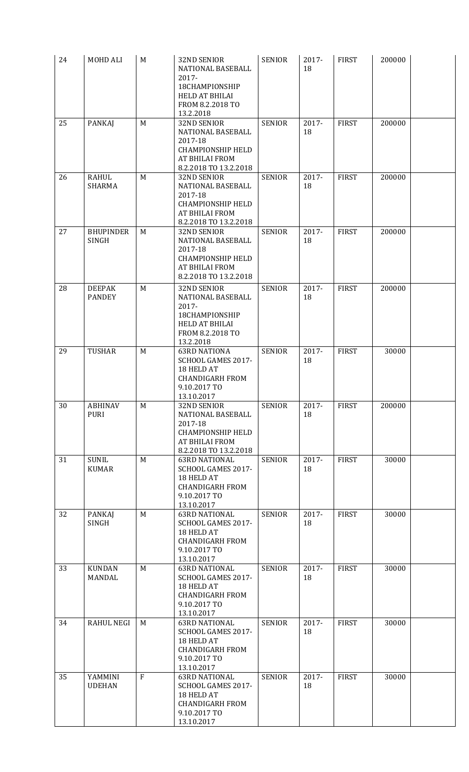| 24 | MOHD ALI                         | M            | <b>32ND SENIOR</b><br>NATIONAL BASEBALL<br>2017-<br>18CHAMPIONSHIP<br><b>HELD AT BHILAI</b><br>FROM 8.2.2018 TO<br>13.2.2018 | <b>SENIOR</b> | 2017-<br>18    | <b>FIRST</b> | 200000 |  |
|----|----------------------------------|--------------|------------------------------------------------------------------------------------------------------------------------------|---------------|----------------|--------------|--------|--|
| 25 | <b>PANKAJ</b>                    | M            | 32ND SENIOR<br>NATIONAL BASEBALL<br>2017-18<br><b>CHAMPIONSHIP HELD</b><br>AT BHILAI FROM<br>8.2.2018 TO 13.2.2018           | <b>SENIOR</b> | 2017-<br>18    | <b>FIRST</b> | 200000 |  |
| 26 | <b>RAHUL</b><br>SHARMA           | M            | 32ND SENIOR<br>NATIONAL BASEBALL<br>2017-18<br><b>CHAMPIONSHIP HELD</b><br><b>AT BHILAI FROM</b><br>8.2.2018 TO 13.2.2018    | <b>SENIOR</b> | 2017-<br>18    | <b>FIRST</b> | 200000 |  |
| 27 | <b>BHUPINDER</b><br><b>SINGH</b> | M            | 32ND SENIOR<br>NATIONAL BASEBALL<br>2017-18<br><b>CHAMPIONSHIP HELD</b><br><b>AT BHILAI FROM</b><br>8.2.2018 TO 13.2.2018    | <b>SENIOR</b> | 2017-<br>18    | <b>FIRST</b> | 200000 |  |
| 28 | <b>DEEPAK</b><br><b>PANDEY</b>   | M            | 32ND SENIOR<br>NATIONAL BASEBALL<br>2017-<br>18CHAMPIONSHIP<br>HELD AT BHILAI<br>FROM 8.2.2018 TO<br>13.2.2018               | <b>SENIOR</b> | 2017-<br>18    | <b>FIRST</b> | 200000 |  |
| 29 | <b>TUSHAR</b>                    | M            | <b>63RD NATIONA</b><br>SCHOOL GAMES 2017-<br>18 HELD AT<br><b>CHANDIGARH FROM</b><br>9.10.2017 TO<br>13.10.2017              | <b>SENIOR</b> | 2017-<br>18    | <b>FIRST</b> | 30000  |  |
| 30 | ABHINAV<br><b>PURI</b>           | M            | 32ND SENIOR<br>NATIONAL BASEBALL<br>2017-18<br><b>CHAMPIONSHIP HELD</b><br><b>AT BHILAI FROM</b><br>8.2.2018 TO 13.2.2018    | <b>SENIOR</b> | 2017-<br>18    | <b>FIRST</b> | 200000 |  |
| 31 | <b>SUNIL</b><br><b>KUMAR</b>     | M            | <b>63RD NATIONAL</b><br>SCHOOL GAMES 2017-<br>18 HELD AT<br><b>CHANDIGARH FROM</b><br>9.10.2017 TO<br>13.10.2017             | <b>SENIOR</b> | 2017-<br>18    | <b>FIRST</b> | 30000  |  |
| 32 | PANKAJ<br><b>SINGH</b>           | M            | <b>63RD NATIONAL</b><br>SCHOOL GAMES 2017-<br>18 HELD AT<br><b>CHANDIGARH FROM</b><br>9.10.2017 TO<br>13.10.2017             | <b>SENIOR</b> | 2017-<br>18    | <b>FIRST</b> | 30000  |  |
| 33 | <b>KUNDAN</b><br>MANDAL          | M            | <b>63RD NATIONAL</b><br>SCHOOL GAMES 2017-<br>18 HELD AT<br><b>CHANDIGARH FROM</b><br>9.10.2017 TO<br>13.10.2017             | <b>SENIOR</b> | 2017-<br>18    | <b>FIRST</b> | 30000  |  |
| 34 | <b>RAHUL NEGI</b>                | M            | <b>63RD NATIONAL</b><br>SCHOOL GAMES 2017-<br>18 HELD AT<br><b>CHANDIGARH FROM</b><br>9.10.2017 TO<br>13.10.2017             | <b>SENIOR</b> | 2017-<br>18    | <b>FIRST</b> | 30000  |  |
| 35 | YAMMINI<br><b>UDEHAN</b>         | $\mathbf{F}$ | <b>63RD NATIONAL</b><br>SCHOOL GAMES 2017-<br>18 HELD AT<br><b>CHANDIGARH FROM</b><br>9.10.2017 TO<br>13.10.2017             | <b>SENIOR</b> | $2017 -$<br>18 | <b>FIRST</b> | 30000  |  |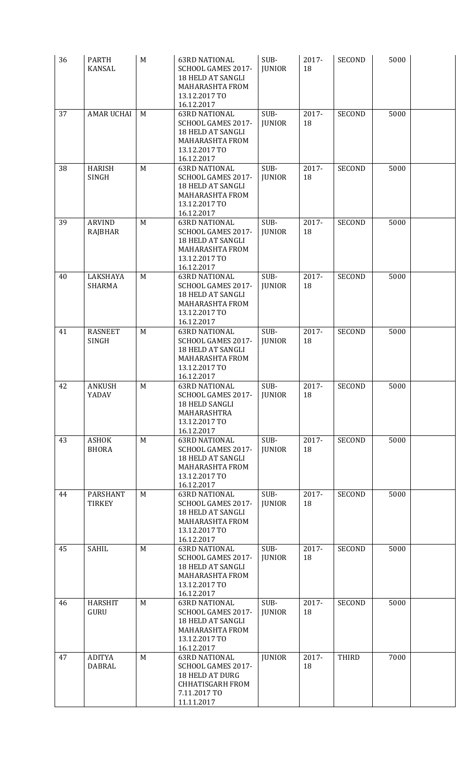| 36 | <b>PARTH</b><br><b>KANSAL</b>    | M | <b>63RD NATIONAL</b><br>SCHOOL GAMES 2017-<br>18 HELD AT SANGLI<br>MAHARASHTA FROM<br>13.12.2017 TO<br>16.12.2017             | SUB-<br><b>JUNIOR</b> | 2017-<br>18    | <b>SECOND</b> | 5000 |  |
|----|----------------------------------|---|-------------------------------------------------------------------------------------------------------------------------------|-----------------------|----------------|---------------|------|--|
| 37 | <b>AMAR UCHAI</b>                | M | <b>63RD NATIONAL</b><br>SCHOOL GAMES 2017-<br>18 HELD AT SANGLI<br><b>MAHARASHTA FROM</b><br>13.12.2017 TO<br>16.12.2017      | SUB-<br><b>JUNIOR</b> | 2017-<br>18    | <b>SECOND</b> | 5000 |  |
| 38 | <b>HARISH</b><br><b>SINGH</b>    | M | <b>63RD NATIONAL</b><br>SCHOOL GAMES 2017-<br>18 HELD AT SANGLI<br>MAHARASHTA FROM<br>13.12.2017 TO<br>16.12.2017             | SUB-<br><b>JUNIOR</b> | 2017-<br>18    | <b>SECOND</b> | 5000 |  |
| 39 | <b>ARVIND</b><br>RAJBHAR         | M | <b>63RD NATIONAL</b><br>SCHOOL GAMES 2017-<br>18 HELD AT SANGLI<br>MAHARASHTA FROM<br>13.12.2017 TO<br>16.12.2017             | SUB-<br><b>JUNIOR</b> | 2017-<br>18    | <b>SECOND</b> | 5000 |  |
| 40 | LAKSHAYA<br>SHARMA               | M | <b>63RD NATIONAL</b><br>SCHOOL GAMES 2017-<br>18 HELD AT SANGLI<br>MAHARASHTA FROM<br>13.12.2017 TO<br>16.12.2017             | SUB-<br><b>JUNIOR</b> | $2017 -$<br>18 | <b>SECOND</b> | 5000 |  |
| 41 | <b>RASNEET</b><br><b>SINGH</b>   | M | <b>63RD NATIONAL</b><br>SCHOOL GAMES 2017-<br>18 HELD AT SANGLI<br><b>MAHARASHTA FROM</b><br>13.12.2017 TO<br>16.12.2017      | SUB-<br><b>JUNIOR</b> | 2017-<br>18    | <b>SECOND</b> | 5000 |  |
| 42 | <b>ANKUSH</b><br>YADAV           | M | <b>63RD NATIONAL</b><br>SCHOOL GAMES 2017-<br>18 HELD SANGLI<br>MAHARASHTRA<br>13.12.2017 TO<br>16.12.2017                    | SUB-<br>JUNIOR        | 2017-<br>18    | <b>SECOND</b> | 5000 |  |
| 43 | <b>ASHOK</b><br><b>BHORA</b>     | M | <b>63RD NATIONAL</b><br>SCHOOL GAMES 2017-<br>18 HELD AT SANGLI<br><b>MAHARASHTA FROM</b><br>13.12.2017 TO<br>16.12.2017      | SUB-<br><b>JUNIOR</b> | 2017-<br>18    | <b>SECOND</b> | 5000 |  |
| 44 | <b>PARSHANT</b><br><b>TIRKEY</b> | M | <b>63RD NATIONAL</b><br>SCHOOL GAMES 2017-<br>18 HELD AT SANGLI<br>MAHARASHTA FROM<br>13.12.2017 TO<br>16.12.2017             | SUB-<br><b>JUNIOR</b> | 2017-<br>18    | <b>SECOND</b> | 5000 |  |
| 45 | <b>SAHIL</b>                     | M | <b>63RD NATIONAL</b><br>SCHOOL GAMES 2017-<br>18 HELD AT SANGLI<br>MAHARASHTA FROM<br>13.12.2017 TO<br>16.12.2017             | SUB-<br><b>JUNIOR</b> | 2017-<br>18    | <b>SECOND</b> | 5000 |  |
| 46 | <b>HARSHIT</b><br>GURU           | M | <b>63RD NATIONAL</b><br>SCHOOL GAMES 2017-<br>18 HELD AT SANGLI<br>MAHARASHTA FROM<br>13.12.2017 TO<br>16.12.2017             | SUB-<br><b>JUNIOR</b> | 2017-<br>18    | <b>SECOND</b> | 5000 |  |
| 47 | <b>ADITYA</b><br><b>DABRAL</b>   | M | <b>63RD NATIONAL</b><br>SCHOOL GAMES 2017-<br><b>18 HELD AT DURG</b><br><b>CHHATISGARH FROM</b><br>7.11.2017 TO<br>11.11.2017 | <b>JUNIOR</b>         | $2017 -$<br>18 | THIRD         | 7000 |  |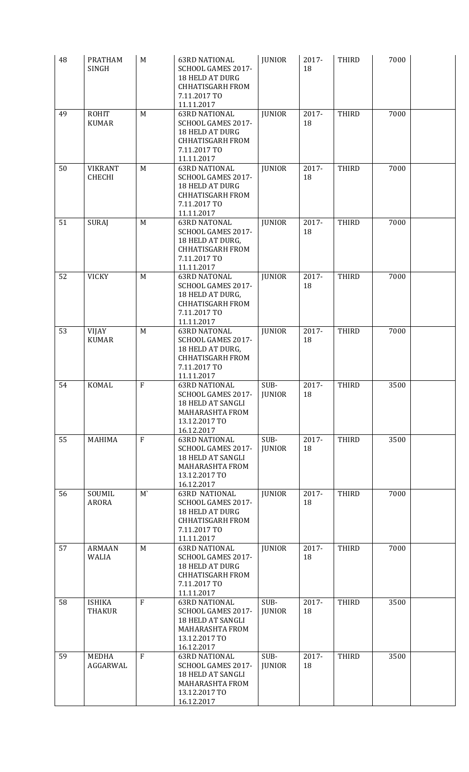| 48 | <b>PRATHAM</b><br><b>SINGH</b>  | M              | <b>63RD NATIONAL</b><br>SCHOOL GAMES 2017-<br><b>18 HELD AT DURG</b><br><b>CHHATISGARH FROM</b><br>7.11.2017 TO<br>11.11.2017 | <b>JUNIOR</b>         | 2017-<br>18    | <b>THIRD</b> | 7000 |  |
|----|---------------------------------|----------------|-------------------------------------------------------------------------------------------------------------------------------|-----------------------|----------------|--------------|------|--|
| 49 | <b>ROHIT</b><br><b>KUMAR</b>    | M              | <b>63RD NATIONAL</b><br>SCHOOL GAMES 2017-<br><b>18 HELD AT DURG</b><br><b>CHHATISGARH FROM</b><br>7.11.2017 TO<br>11.11.2017 | <b>JUNIOR</b>         | 2017-<br>18    | <b>THIRD</b> | 7000 |  |
| 50 | <b>VIKRANT</b><br><b>CHECHI</b> | M              | <b>63RD NATIONAL</b><br>SCHOOL GAMES 2017-<br><b>18 HELD AT DURG</b><br><b>CHHATISGARH FROM</b><br>7.11.2017 TO<br>11.11.2017 | <b>JUNIOR</b>         | 2017-<br>18    | THIRD        | 7000 |  |
| 51 | <b>SURAJ</b>                    | M              | <b>63RD NATONAL</b><br>SCHOOL GAMES 2017-<br>18 HELD AT DURG,<br><b>CHHATISGARH FROM</b><br>7.11.2017 TO<br>11.11.2017        | <b>JUNIOR</b>         | 2017-<br>18    | <b>THIRD</b> | 7000 |  |
| 52 | <b>VICKY</b>                    | M              | <b>63RD NATONAL</b><br>SCHOOL GAMES 2017-<br>18 HELD AT DURG,<br><b>CHHATISGARH FROM</b><br>7.11.2017 TO<br>11.11.2017        | <b>JUNIOR</b>         | 2017-<br>18    | <b>THIRD</b> | 7000 |  |
| 53 | <b>VIJAY</b><br><b>KUMAR</b>    | M              | <b>63RD NATONAL</b><br>SCHOOL GAMES 2017-<br>18 HELD AT DURG,<br><b>CHHATISGARH FROM</b><br>7.11.2017 TO<br>11.11.2017        | <b>JUNIOR</b>         | 2017-<br>18    | <b>THIRD</b> | 7000 |  |
| 54 | <b>KOMAL</b>                    | ${\bf F}$      | <b>63RD NATIONAL</b><br>SCHOOL GAMES 2017-<br>18 HELD AT SANGLI<br><b>MAHARASHTA FROM</b><br>13.12.2017 TO<br>16.12.2017      | SUB-<br><b>JUNIOR</b> | 2017-<br>18    | <b>THIRD</b> | 3500 |  |
| 55 | <b>MAHIMA</b>                   | $\overline{F}$ | <b>63RD NATIONAL</b><br>SCHOOL GAMES 2017-<br>18 HELD AT SANGLI<br><b>MAHARASHTA FROM</b><br>13.12.2017 TO<br>16.12.2017      | SUB-<br><b>JUNIOR</b> | 2017-<br>18    | <b>THIRD</b> | 3500 |  |
| 56 | SOUMIL<br><b>ARORA</b>          | $M^{\prime}$   | <b>63RD NATIONAL</b><br>SCHOOL GAMES 2017-<br><b>18 HELD AT DURG</b><br><b>CHHATISGARH FROM</b><br>7.11.2017 TO<br>11.11.2017 | <b>JUNIOR</b>         | $2017 -$<br>18 | <b>THIRD</b> | 7000 |  |
| 57 | <b>ARMAAN</b><br>WALIA          | M              | <b>63RD NATIONAL</b><br>SCHOOL GAMES 2017-<br><b>18 HELD AT DURG</b><br><b>CHHATISGARH FROM</b><br>7.11.2017 TO<br>11.11.2017 | <b>JUNIOR</b>         | 2017-<br>18    | <b>THIRD</b> | 7000 |  |
| 58 | <b>ISHIKA</b><br><b>THAKUR</b>  | $\mathbf{F}$   | <b>63RD NATIONAL</b><br>SCHOOL GAMES 2017-<br>18 HELD AT SANGLI<br>MAHARASHTA FROM<br>13.12.2017 TO<br>16.12.2017             | SUB-<br><b>JUNIOR</b> | 2017-<br>18    | <b>THIRD</b> | 3500 |  |
| 59 | <b>MEDHA</b><br><b>AGGARWAL</b> | F              | <b>63RD NATIONAL</b><br>SCHOOL GAMES 2017-<br>18 HELD AT SANGLI<br><b>MAHARASHTA FROM</b><br>13.12.2017 TO<br>16.12.2017      | SUB-<br><b>JUNIOR</b> | 2017-<br>18    | THIRD        | 3500 |  |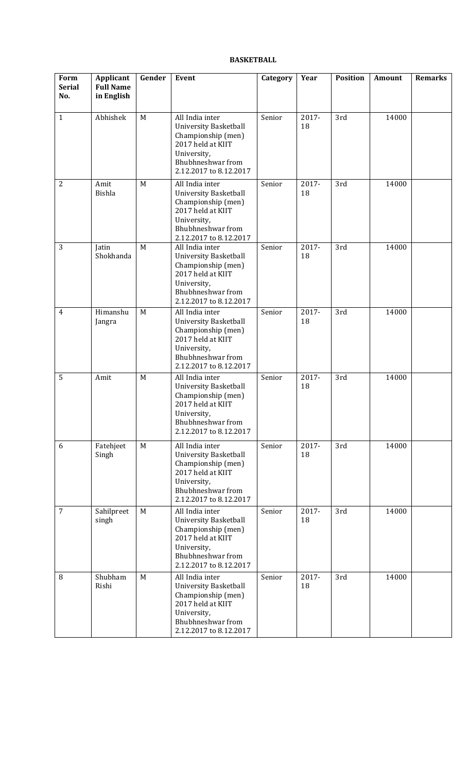## **BASKETBALL**

| Form<br><b>Serial</b><br>No. | Applicant<br><b>Full Name</b><br>in English | Gender | Event                                                                                                                                                    | Category | Year        | <b>Position</b> | Amount | <b>Remarks</b> |
|------------------------------|---------------------------------------------|--------|----------------------------------------------------------------------------------------------------------------------------------------------------------|----------|-------------|-----------------|--------|----------------|
| $\mathbf{1}$                 | Abhishek                                    | M      | All India inter<br><b>University Basketball</b><br>Championship (men)<br>2017 held at KIIT<br>University,<br>Bhubhneshwar from<br>2.12.2017 to 8.12.2017 | Senior   | 2017-<br>18 | 3rd             | 14000  |                |
| $\overline{2}$               | Amit<br><b>Bishla</b>                       | M      | All India inter<br><b>University Basketball</b><br>Championship (men)<br>2017 held at KIIT<br>University,<br>Bhubhneshwar from<br>2.12.2017 to 8.12.2017 | Senior   | 2017-<br>18 | 3rd             | 14000  |                |
| 3                            | Jatin<br>Shokhanda                          | M      | All India inter<br>University Basketball<br>Championship (men)<br>2017 held at KIIT<br>University,<br>Bhubhneshwar from<br>2.12.2017 to 8.12.2017        | Senior   | 2017-<br>18 | 3rd             | 14000  |                |
| 4                            | Himanshu<br>Jangra                          | M      | All India inter<br><b>University Basketball</b><br>Championship (men)<br>2017 held at KIIT<br>University,<br>Bhubhneshwar from<br>2.12.2017 to 8.12.2017 | Senior   | 2017-<br>18 | 3rd             | 14000  |                |
| 5                            | Amit                                        | M      | All India inter<br>University Basketball<br>Championship (men)<br>2017 held at KIIT<br>University,<br>Bhubhneshwar from<br>2.12.2017 to 8.12.2017        | Senior   | 2017-<br>18 | 3rd             | 14000  |                |
| 6                            | Fatehjeet<br>Singh                          | M      | All India inter<br><b>University Basketball</b><br>Championship (men)<br>2017 held at KIIT<br>University,<br>Bhubhneshwar from<br>2.12.2017 to 8.12.2017 | Senior   | 2017-<br>18 | 3rd             | 14000  |                |
| $\overline{7}$               | Sahilpreet<br>singh                         | M      | All India inter<br><b>University Basketball</b><br>Championship (men)<br>2017 held at KIIT<br>University,<br>Bhubhneshwar from<br>2.12.2017 to 8.12.2017 | Senior   | 2017-<br>18 | 3rd             | 14000  |                |
| $\, 8$                       | Shubham<br>Rishi                            | M      | All India inter<br><b>University Basketball</b><br>Championship (men)<br>2017 held at KIIT<br>University,<br>Bhubhneshwar from<br>2.12.2017 to 8.12.2017 | Senior   | 2017-<br>18 | 3rd             | 14000  |                |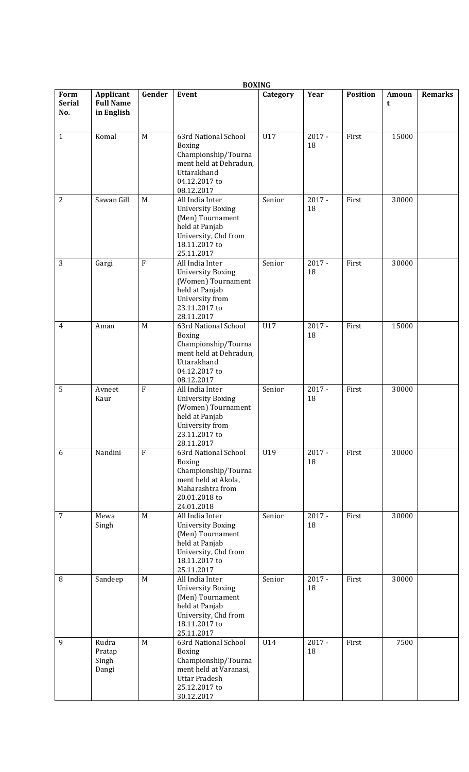|                              |                                             |              | <b>BOXING</b>                                                                                                                                 |          |                |                 |            |                |
|------------------------------|---------------------------------------------|--------------|-----------------------------------------------------------------------------------------------------------------------------------------------|----------|----------------|-----------------|------------|----------------|
| Form<br><b>Serial</b><br>No. | Applicant<br><b>Full Name</b><br>in English | Gender       | Event                                                                                                                                         | Category | Year           | <b>Position</b> | Amoun<br>t | <b>Remarks</b> |
| $\mathbf{1}$                 | Komal                                       | M            | 63rd National School<br><b>Boxing</b><br>Championship/Tourna<br>ment held at Dehradun,<br>Uttarakhand<br>04.12.2017 to<br>08.12.2017          | U17      | $2017 -$<br>18 | First           | 15000      |                |
| $\overline{2}$               | Sawan Gill                                  | M            | All India Inter<br><b>University Boxing</b><br>(Men) Tournament<br>held at Panjab<br>University, Chd from<br>18.11.2017 to<br>25.11.2017      | Senior   | $2017 -$<br>18 | First           | 30000      |                |
| 3                            | Gargi                                       | $\rm F$      | All India Inter<br><b>University Boxing</b><br>(Women) Tournament<br>held at Panjab<br>University from<br>23.11.2017 to<br>28.11.2017         | Senior   | $2017 -$<br>18 | First           | 30000      |                |
| 4                            | Aman                                        | M            | 63rd National School<br><b>Boxing</b><br>Championship/Tourna<br>ment held at Dehradun,<br>Uttarakhand<br>04.12.2017 to<br>08.12.2017          | U17      | $2017 -$<br>18 | First           | 15000      |                |
| 5                            | Avneet<br>Kaur                              | $\mathbf{F}$ | All India Inter<br><b>University Boxing</b><br>(Women) Tournament<br>held at Panjab<br>University from<br>23.11.2017 to<br>28.11.2017         | Senior   | $2017 -$<br>18 | First           | 30000      |                |
| 6                            | Nandini                                     | $\mathbf{F}$ | 63rd National School<br><b>Boxing</b><br>Championship/Tourna<br>ment held at Akola,<br>Maharashtra from<br>20.01.2018 to<br>24.01.2018        | U19      | $2017 -$<br>18 | First           | 30000      |                |
| 7                            | Mewa<br>Singh                               | M            | All India Inter<br><b>University Boxing</b><br>(Men) Tournament<br>held at Panjab<br>University, Chd from<br>18.11.2017 to<br>25.11.2017      | Senior   | $2017 -$<br>18 | First           | 30000      |                |
| 8                            | Sandeep                                     | M            | All India Inter<br><b>University Boxing</b><br>(Men) Tournament<br>held at Panjab<br>University, Chd from<br>18.11.2017 to<br>25.11.2017      | Senior   | $2017 -$<br>18 | First           | 30000      |                |
| 9                            | Rudra<br>Pratap<br>Singh<br>Dangi           | M            | 63rd National School<br><b>Boxing</b><br>Championship/Tourna<br>ment held at Varanasi,<br><b>Uttar Pradesh</b><br>25.12.2017 to<br>30.12.2017 | U14      | $2017 -$<br>18 | First           | 7500       |                |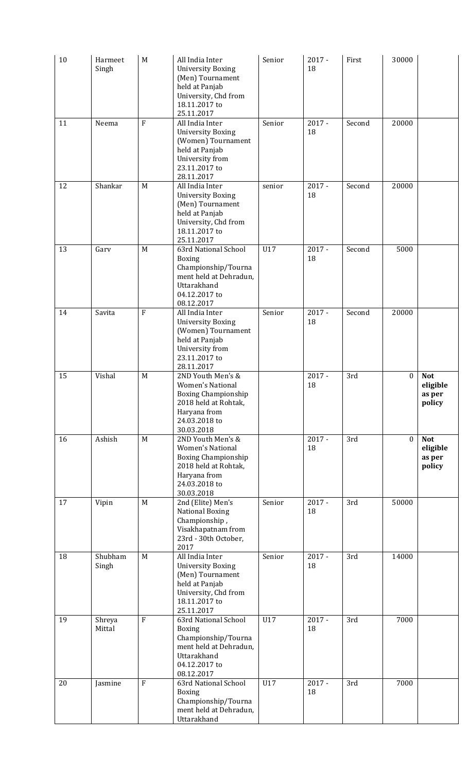| 10 | Harmeet<br>Singh | M              | All India Inter<br><b>University Boxing</b><br>(Men) Tournament<br>held at Panjab<br>University, Chd from<br>18.11.2017 to<br>25.11.2017          | Senior | $2017 -$<br>18 | First  | 30000            |                                            |
|----|------------------|----------------|---------------------------------------------------------------------------------------------------------------------------------------------------|--------|----------------|--------|------------------|--------------------------------------------|
| 11 | Neema            | $\overline{F}$ | All India Inter<br><b>University Boxing</b><br>(Women) Tournament<br>held at Panjab<br>University from<br>23.11.2017 to<br>28.11.2017             | Senior | $2017 -$<br>18 | Second | 20000            |                                            |
| 12 | Shankar          | M              | All India Inter<br><b>University Boxing</b><br>(Men) Tournament<br>held at Panjab<br>University, Chd from<br>18.11.2017 to<br>25.11.2017          | senior | $2017 -$<br>18 | Second | 20000            |                                            |
| 13 | Gary             | M              | 63rd National School<br>Boxing<br>Championship/Tourna<br>ment held at Dehradun,<br>Uttarakhand<br>04.12.2017 to<br>08.12.2017                     | U17    | $2017 -$<br>18 | Second | 5000             |                                            |
| 14 | Savita           | $\mathbf{F}$   | All India Inter<br><b>University Boxing</b><br>(Women) Tournament<br>held at Panjab<br>University from<br>23.11.2017 to<br>28.11.2017             | Senior | $2017 -$<br>18 | Second | 20000            |                                            |
| 15 | Vishal           | M              | 2ND Youth Men's &<br><b>Women's National</b><br><b>Boxing Championship</b><br>2018 held at Rohtak,<br>Haryana from<br>24.03.2018 to<br>30.03.2018 |        | $2017 -$<br>18 | 3rd    | $\boldsymbol{0}$ | <b>Not</b><br>eligible<br>as per<br>policy |
| 16 | Ashish           | M              | 2ND Youth Men's &<br><b>Women's National</b><br><b>Boxing Championship</b><br>2018 held at Rohtak,<br>Haryana from<br>24.03.2018 to<br>30.03.2018 |        | $2017 -$<br>18 | 3rd    | $\mathbf{0}$     | <b>Not</b><br>eligible<br>as per<br>policy |
| 17 | Vipin            | M              | 2nd (Elite) Men's<br><b>National Boxing</b><br>Championship,<br>Visakhapatnam from<br>23rd - 30th October,<br>2017                                | Senior | $2017 -$<br>18 | 3rd    | 50000            |                                            |
| 18 | Shubham<br>Singh | M              | All India Inter<br><b>University Boxing</b><br>(Men) Tournament<br>held at Panjab<br>University, Chd from<br>18.11.2017 to<br>25.11.2017          | Senior | $2017 -$<br>18 | 3rd    | 14000            |                                            |
| 19 | Shreya<br>Mittal | $\rm F$        | 63rd National School<br><b>Boxing</b><br>Championship/Tourna<br>ment held at Dehradun,<br>Uttarakhand<br>04.12.2017 to<br>08.12.2017              | U17    | $2017 -$<br>18 | 3rd    | 7000             |                                            |
| 20 | Jasmine          | $\mathbf F$    | 63rd National School<br>Boxing<br>Championship/Tourna<br>ment held at Dehradun,<br>Uttarakhand                                                    | U17    | $2017 -$<br>18 | 3rd    | 7000             |                                            |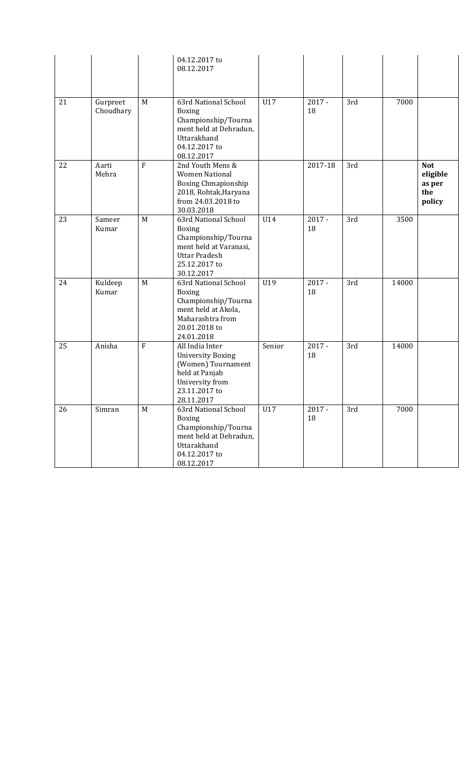|    |                       |              | 04.12.2017 to<br>08.12.2017                                                                                                                   |        |                |     |       |                                                   |
|----|-----------------------|--------------|-----------------------------------------------------------------------------------------------------------------------------------------------|--------|----------------|-----|-------|---------------------------------------------------|
| 21 | Gurpreet<br>Choudhary | M            | 63rd National School<br><b>Boxing</b><br>Championship/Tourna<br>ment held at Dehradun,<br>Uttarakhand<br>04.12.2017 to<br>08.12.2017          | U17    | $2017 -$<br>18 | 3rd | 7000  |                                                   |
| 22 | Aarti<br>Mehra        | F            | 2nd Youth Mens &<br><b>Women National</b><br><b>Boxing Chmapionship</b><br>2018, Rohtak, Haryana<br>from 24.03.2018 to<br>30.03.2018          |        | 2017-18        | 3rd |       | <b>Not</b><br>eligible<br>as per<br>the<br>policy |
| 23 | Sameer<br>Kumar       | $\mathbf M$  | 63rd National School<br><b>Boxing</b><br>Championship/Tourna<br>ment held at Varanasi,<br><b>Uttar Pradesh</b><br>25.12.2017 to<br>30.12.2017 | U14    | $2017 -$<br>18 | 3rd | 3500  |                                                   |
| 24 | Kuldeep<br>Kumar      | M            | 63rd National School<br><b>Boxing</b><br>Championship/Tourna<br>ment held at Akola,<br>Maharashtra from<br>20.01.2018 to<br>24.01.2018        | U19    | $2017 -$<br>18 | 3rd | 14000 |                                                   |
| 25 | Anisha                | $\mathbf{F}$ | All India Inter<br><b>University Boxing</b><br>(Women) Tournament<br>held at Panjab<br>University from<br>23.11.2017 to<br>28.11.2017         | Senior | $2017 -$<br>18 | 3rd | 14000 |                                                   |
| 26 | Simran                | M            | 63rd National School<br>Boxing<br>Championship/Tourna<br>ment held at Dehradun,<br>Uttarakhand<br>04.12.2017 to<br>08.12.2017                 | U17    | $2017 -$<br>18 | 3rd | 7000  |                                                   |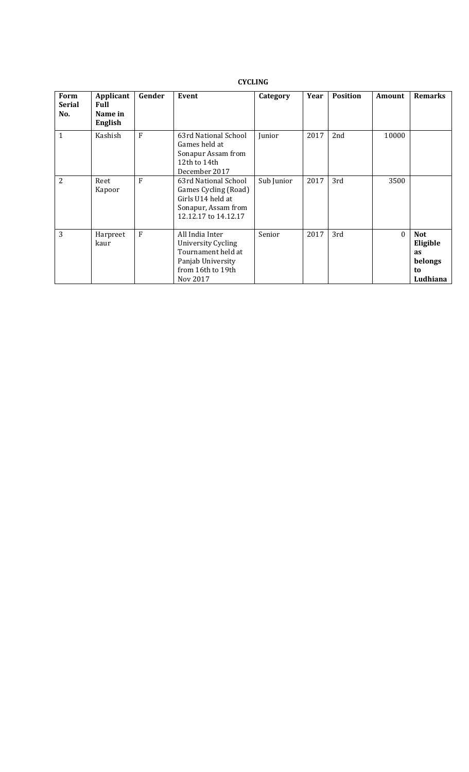## **CYCLING**

| Form<br>Serial<br>No. | Applicant<br><b>Full</b><br>Name in<br><b>English</b> | Gender | Event                                                                                                             | Category   | Year | <b>Position</b> | Amount   | <b>Remarks</b>                                                   |
|-----------------------|-------------------------------------------------------|--------|-------------------------------------------------------------------------------------------------------------------|------------|------|-----------------|----------|------------------------------------------------------------------|
| $\mathbf{1}$          | Kashish                                               | F      | 63rd National School<br>Games held at<br>Sonapur Assam from<br>12th to 14th<br>December 2017                      | Junior     | 2017 | 2nd             | 10000    |                                                                  |
| 2                     | Reet<br>Kapoor                                        | F      | 63rd National School<br>Games Cycling (Road)<br>Girls U14 held at<br>Sonapur, Assam from<br>12.12.17 to 14.12.17  | Sub Junior | 2017 | 3rd             | 3500     |                                                                  |
| 3                     | Harpreet<br>kaur                                      | F      | All India Inter<br>University Cycling<br>Tournament held at<br>Panjab University<br>from 16th to 19th<br>Nov 2017 | Senior     | 2017 | 3rd             | $\theta$ | <b>Not</b><br>Eligible<br><b>as</b><br>belongs<br>to<br>Ludhiana |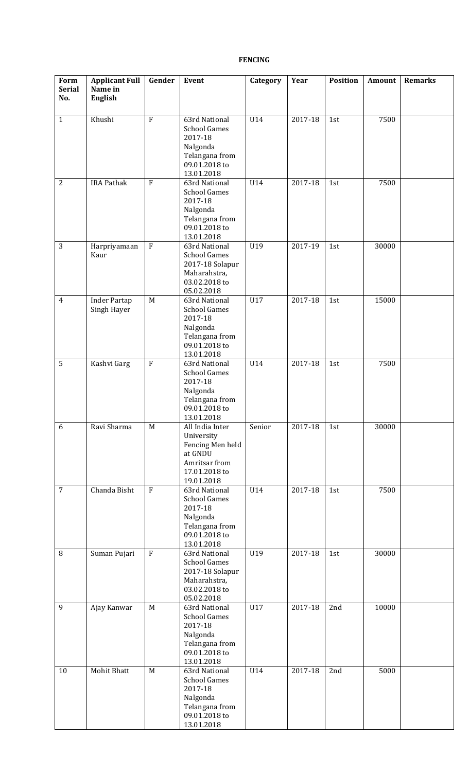## **FENCING**

| Form<br><b>Serial</b><br>No. | <b>Applicant Full</b><br>Name in<br><b>English</b> | Gender         | Event                                                                                                        | Category | Year    | <b>Position</b> | Amount | <b>Remarks</b> |
|------------------------------|----------------------------------------------------|----------------|--------------------------------------------------------------------------------------------------------------|----------|---------|-----------------|--------|----------------|
| $\mathbf{1}$                 | Khushi                                             | $\rm F$        | 63rd National<br><b>School Games</b><br>2017-18<br>Nalgonda<br>Telangana from<br>09.01.2018 to<br>13.01.2018 | U14      | 2017-18 | 1st             | 7500   |                |
| $\overline{2}$               | <b>IRA Pathak</b>                                  | $\overline{F}$ | 63rd National<br><b>School Games</b><br>2017-18<br>Nalgonda<br>Telangana from<br>09.01.2018 to<br>13.01.2018 | U14      | 2017-18 | 1st             | 7500   |                |
| 3                            | Harpriyamaan<br>Kaur                               | $\rm F$        | 63rd National<br><b>School Games</b><br>2017-18 Solapur<br>Maharahstra,<br>03.02.2018 to<br>05.02.2018       | U19      | 2017-19 | 1st             | 30000  |                |
| $\overline{4}$               | <b>Inder Partap</b><br>Singh Hayer                 | M              | 63rd National<br><b>School Games</b><br>2017-18<br>Nalgonda<br>Telangana from<br>09.01.2018 to<br>13.01.2018 | U17      | 2017-18 | 1st             | 15000  |                |
| 5                            | Kashvi Garg                                        | $\rm F$        | 63rd National<br><b>School Games</b><br>2017-18<br>Nalgonda<br>Telangana from<br>09.01.2018 to<br>13.01.2018 | U14      | 2017-18 | 1st             | 7500   |                |
| 6                            | Ravi Sharma                                        | M              | All India Inter<br>University<br>Fencing Men held<br>at GNDU<br>Amritsar from<br>17.01.2018 to<br>19.01.2018 | Senior   | 2017-18 | 1st             | 30000  |                |
| $\overline{7}$               | Chanda Bisht                                       | $\overline{F}$ | 63rd National<br><b>School Games</b><br>2017-18<br>Nalgonda<br>Telangana from<br>09.01.2018 to<br>13.01.2018 | U14      | 2017-18 | 1st             | 7500   |                |
| 8                            | Suman Pujari                                       | $\rm F$        | 63rd National<br><b>School Games</b><br>2017-18 Solapur<br>Maharahstra,<br>03.02.2018 to<br>05.02.2018       | U19      | 2017-18 | 1st             | 30000  |                |
| 9                            | Ajay Kanwar                                        | M              | 63rd National<br><b>School Games</b><br>2017-18<br>Nalgonda<br>Telangana from<br>09.01.2018 to<br>13.01.2018 | U17      | 2017-18 | 2nd             | 10000  |                |
| 10                           | <b>Mohit Bhatt</b>                                 | M              | 63rd National<br><b>School Games</b><br>2017-18<br>Nalgonda<br>Telangana from<br>09.01.2018 to<br>13.01.2018 | U14      | 2017-18 | 2nd             | 5000   |                |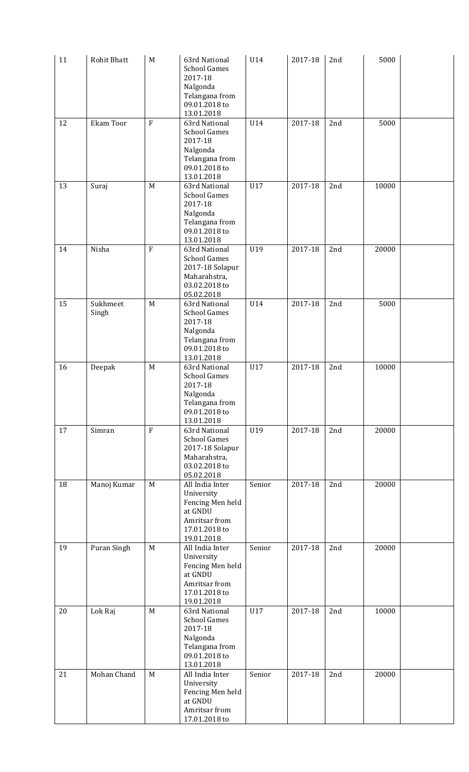| 11<br>12 | Rohit Bhatt<br>Ekam Toor | M<br>$\mathbf F$ | 63rd National<br><b>School Games</b><br>2017-18<br>Nalgonda<br>Telangana from<br>09.01.2018 to<br>13.01.2018<br>63rd National | U14<br>U14 | 2017-18<br>2017-18 | 2nd<br>2nd | 5000<br>5000 |  |
|----------|--------------------------|------------------|-------------------------------------------------------------------------------------------------------------------------------|------------|--------------------|------------|--------------|--|
|          |                          |                  | <b>School Games</b><br>2017-18<br>Nalgonda<br>Telangana from<br>09.01.2018 to<br>13.01.2018                                   |            |                    |            |              |  |
| 13       | Suraj                    | M                | 63rd National<br><b>School Games</b><br>2017-18<br>Nalgonda<br>Telangana from<br>09.01.2018 to<br>13.01.2018                  | U17        | 2017-18            | 2nd        | 10000        |  |
| 14       | Nisha                    | $\mathbf F$      | 63rd National<br><b>School Games</b><br>2017-18 Solapur<br>Maharahstra,<br>03.02.2018 to<br>05.02.2018                        | U19        | 2017-18            | 2nd        | 20000        |  |
| 15       | Sukhmeet<br>Singh        | M                | 63rd National<br><b>School Games</b><br>2017-18<br>Nalgonda<br>Telangana from<br>09.01.2018 to<br>13.01.2018                  | U14        | 2017-18            | 2nd        | 5000         |  |
| 16       | Deepak                   | M                | 63rd National<br><b>School Games</b><br>2017-18<br>Nalgonda<br>Telangana from<br>09.01.2018 to<br>13.01.2018                  | U17        | 2017-18            | 2nd        | 10000        |  |
| 17       | Simran                   | $\overline{F}$   | 63rd National<br><b>School Games</b><br>2017-18 Solapur<br>Maharahstra,<br>03.02.2018 to<br>05.02.2018                        | U19        | 2017-18            | 2nd        | 20000        |  |
| 18       | Manoj Kumar              | M                | All India Inter<br>University<br>Fencing Men held<br>at GNDU<br>Amritsar from<br>17.01.2018 to<br>19.01.2018                  | Senior     | 2017-18            | 2nd        | 20000        |  |
| 19       | Puran Singh              | M                | All India Inter<br>University<br>Fencing Men held<br>at GNDU<br>Amritsar from<br>17.01.2018 to<br>19.01.2018                  | Senior     | 2017-18            | 2nd        | 20000        |  |
| 20       | Lok Raj                  | M                | 63rd National<br><b>School Games</b><br>2017-18<br>Nalgonda<br>Telangana from<br>09.01.2018 to<br>13.01.2018                  | U17        | 2017-18            | 2nd        | 10000        |  |
| 21       | Mohan Chand              | M                | All India Inter<br>University<br>Fencing Men held<br>at GNDU<br>Amritsar from<br>17.01.2018 to                                | Senior     | 2017-18            | 2nd        | 20000        |  |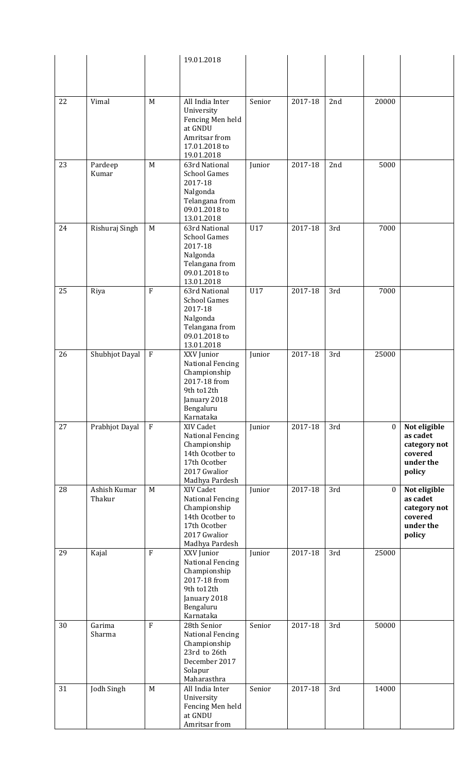|    |                |             | 19.01.2018                              |        |         |     |                  |                      |
|----|----------------|-------------|-----------------------------------------|--------|---------|-----|------------------|----------------------|
|    |                |             |                                         |        |         |     |                  |                      |
|    |                |             |                                         |        |         |     |                  |                      |
|    |                |             |                                         |        |         |     |                  |                      |
| 22 | Vimal          | M           | All India Inter<br>University           | Senior | 2017-18 | 2nd | 20000            |                      |
|    |                |             | Fencing Men held                        |        |         |     |                  |                      |
|    |                |             | at GNDU                                 |        |         |     |                  |                      |
|    |                |             | Amritsar from                           |        |         |     |                  |                      |
|    |                |             | 17.01.2018 to                           |        |         |     |                  |                      |
| 23 | Pardeep        | M           | 19.01.2018<br>63rd National             | Junior | 2017-18 | 2nd | 5000             |                      |
|    | Kumar          |             | <b>School Games</b>                     |        |         |     |                  |                      |
|    |                |             | 2017-18                                 |        |         |     |                  |                      |
|    |                |             | Nalgonda                                |        |         |     |                  |                      |
|    |                |             | Telangana from<br>09.01.2018 to         |        |         |     |                  |                      |
|    |                |             | 13.01.2018                              |        |         |     |                  |                      |
| 24 | Rishuraj Singh | M           | 63rd National                           | U17    | 2017-18 | 3rd | 7000             |                      |
|    |                |             | <b>School Games</b>                     |        |         |     |                  |                      |
|    |                |             | 2017-18                                 |        |         |     |                  |                      |
|    |                |             | Nalgonda                                |        |         |     |                  |                      |
|    |                |             | Telangana from<br>09.01.2018 to         |        |         |     |                  |                      |
|    |                |             | 13.01.2018                              |        |         |     |                  |                      |
| 25 | Riya           | $\mathbf F$ | 63rd National                           | U17    | 2017-18 | 3rd | 7000             |                      |
|    |                |             | <b>School Games</b>                     |        |         |     |                  |                      |
|    |                |             | 2017-18<br>Nalgonda                     |        |         |     |                  |                      |
|    |                |             | Telangana from                          |        |         |     |                  |                      |
|    |                |             | 09.01.2018 to                           |        |         |     |                  |                      |
|    |                |             | 13.01.2018                              |        |         |     |                  |                      |
| 26 | Shubhjot Dayal | $\mathbf F$ | XXV Junior                              | Junior | 2017-18 | 3rd | 25000            |                      |
|    |                |             | <b>National Fencing</b><br>Championship |        |         |     |                  |                      |
|    |                |             | 2017-18 from                            |        |         |     |                  |                      |
|    |                |             | 9th to12th                              |        |         |     |                  |                      |
|    |                |             | January 2018                            |        |         |     |                  |                      |
|    |                |             | Bengaluru                               |        |         |     |                  |                      |
| 27 | Prabhjot Dayal | $\rm F$     | Karnataka<br>XIV Cadet                  | Junior | 2017-18 | 3rd | $\boldsymbol{0}$ | Not eligible         |
|    |                |             | <b>National Fencing</b>                 |        |         |     |                  | as cadet             |
|    |                |             | Championship                            |        |         |     |                  | category not         |
|    |                |             | 14th Ocotber to                         |        |         |     |                  | covered              |
|    |                |             | 17th Ocotber<br>2017 Gwalior            |        |         |     |                  | under the            |
|    |                |             | Madhya Pardesh                          |        |         |     |                  | policy               |
| 28 | Ashish Kumar   | M           | XIV Cadet                               | Junior | 2017-18 | 3rd | $\overline{0}$   | Not eligible         |
|    | Thakur         |             | <b>National Fencing</b>                 |        |         |     |                  | as cadet             |
|    |                |             | Championship                            |        |         |     |                  | category not         |
|    |                |             | 14th Ocotber to<br>17th Ocotber         |        |         |     |                  | covered<br>under the |
|    |                |             | 2017 Gwalior                            |        |         |     |                  | policy               |
|    |                |             | Madhya Pardesh                          |        |         |     |                  |                      |
| 29 | Kajal          | $\mathbf F$ | XXV Junior                              | Junior | 2017-18 | 3rd | 25000            |                      |
|    |                |             | <b>National Fencing</b>                 |        |         |     |                  |                      |
|    |                |             | Championship<br>2017-18 from            |        |         |     |                  |                      |
|    |                |             | 9th to12th                              |        |         |     |                  |                      |
|    |                |             | January 2018                            |        |         |     |                  |                      |
|    |                |             | Bengaluru                               |        |         |     |                  |                      |
| 30 | Garima         | $\rm F$     | Karnataka<br>28th Senior                | Senior | 2017-18 | 3rd | 50000            |                      |
|    | Sharma         |             | <b>National Fencing</b>                 |        |         |     |                  |                      |
|    |                |             | Championship                            |        |         |     |                  |                      |
|    |                |             | 23rd to 26th                            |        |         |     |                  |                      |
|    |                |             | December 2017                           |        |         |     |                  |                      |
|    |                |             | Solapur<br>Maharasthra                  |        |         |     |                  |                      |
| 31 |                |             |                                         |        |         |     |                  |                      |
|    | Jodh Singh     | M           | All India Inter                         | Senior | 2017-18 | 3rd | 14000            |                      |
|    |                |             | University                              |        |         |     |                  |                      |
|    |                |             | Fencing Men held                        |        |         |     |                  |                      |
|    |                |             | at GNDU<br>Amritsar from                |        |         |     |                  |                      |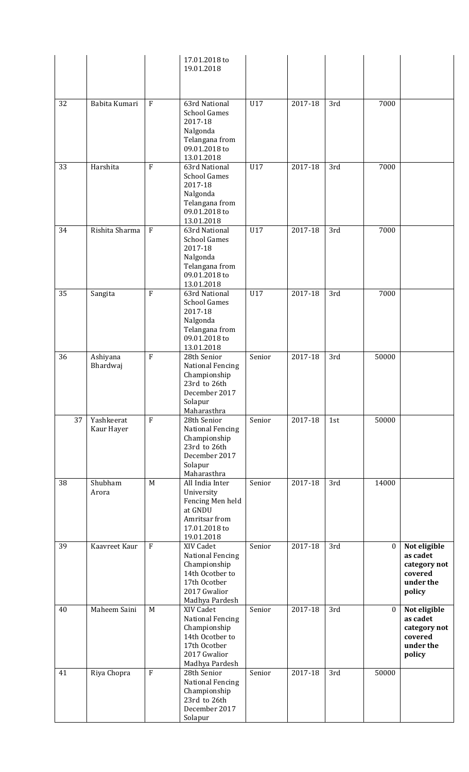|    |                          |                | 17.01.2018 to<br>19.01.2018                                                                                               |        |         |     |                  |                                                                            |
|----|--------------------------|----------------|---------------------------------------------------------------------------------------------------------------------------|--------|---------|-----|------------------|----------------------------------------------------------------------------|
|    |                          |                |                                                                                                                           |        |         |     |                  |                                                                            |
| 32 | Babita Kumari            | $\rm F$        | 63rd National<br><b>School Games</b><br>2017-18<br>Nalgonda<br>Telangana from<br>09.01.2018 to                            | U17    | 2017-18 | 3rd | 7000             |                                                                            |
| 33 | Harshita                 | $\mathbf F$    | 13.01.2018<br>63rd National<br><b>School Games</b>                                                                        | U17    | 2017-18 | 3rd | 7000             |                                                                            |
|    |                          |                | 2017-18<br>Nalgonda<br>Telangana from<br>09.01.2018 to<br>13.01.2018                                                      |        |         |     |                  |                                                                            |
| 34 | Rishita Sharma           | $\rm F$        | 63rd National<br><b>School Games</b><br>2017-18<br>Nalgonda<br>Telangana from<br>09.01.2018 to<br>13.01.2018              | U17    | 2017-18 | 3rd | 7000             |                                                                            |
| 35 | Sangita                  | $\rm F$        | 63rd National<br><b>School Games</b><br>2017-18<br>Nalgonda<br>Telangana from<br>09.01.2018 to<br>13.01.2018              | U17    | 2017-18 | 3rd | 7000             |                                                                            |
| 36 | Ashiyana<br>Bhardwaj     | $\mathbf F$    | 28th Senior<br><b>National Fencing</b><br>Championship<br>23rd to 26th<br>December 2017<br>Solapur<br>Maharasthra         | Senior | 2017-18 | 3rd | 50000            |                                                                            |
| 37 | Yashkeerat<br>Kaur Hayer | $\overline{F}$ | 28th Senior<br><b>National Fencing</b><br>Championship<br>23rd to 26th<br>December 2017<br>Solapur<br>Maharasthra         | Senior | 2017-18 | 1st | 50000            |                                                                            |
| 38 | Shubham<br>Arora         | M              | All India Inter<br>University<br>Fencing Men held<br>at GNDU<br>Amritsar from<br>17.01.2018 to<br>19.01.2018              | Senior | 2017-18 | 3rd | 14000            |                                                                            |
| 39 | Kaavreet Kaur            | $\mathbf F$    | XIV Cadet<br><b>National Fencing</b><br>Championship<br>14th Ocotber to<br>17th Ocotber<br>2017 Gwalior<br>Madhya Pardesh | Senior | 2017-18 | 3rd | $\boldsymbol{0}$ | Not eligible<br>as cadet<br>category not<br>covered<br>under the<br>policy |
| 40 | Maheem Saini             | $\mathbf M$    | XIV Cadet<br><b>National Fencing</b><br>Championship<br>14th Ocotber to<br>17th Ocotber<br>2017 Gwalior<br>Madhya Pardesh | Senior | 2017-18 | 3rd | $\bf{0}$         | Not eligible<br>as cadet<br>category not<br>covered<br>under the<br>policy |
| 41 | Riya Chopra              | $\mathbf{F}$   | 28th Senior<br><b>National Fencing</b><br>Championship<br>23rd to 26th<br>December 2017<br>Solapur                        | Senior | 2017-18 | 3rd | 50000            |                                                                            |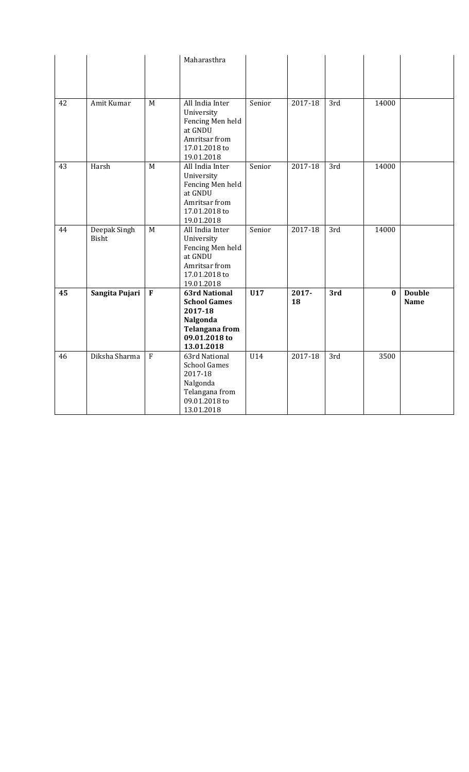|    |                |                | Maharasthra                        |        |         |     |          |               |
|----|----------------|----------------|------------------------------------|--------|---------|-----|----------|---------------|
|    |                |                |                                    |        |         |     |          |               |
|    |                |                |                                    |        |         |     |          |               |
|    |                |                |                                    |        |         |     |          |               |
| 42 | Amit Kumar     | M              | All India Inter                    | Senior | 2017-18 | 3rd | 14000    |               |
|    |                |                | University                         |        |         |     |          |               |
|    |                |                | Fencing Men held                   |        |         |     |          |               |
|    |                |                | at GNDU                            |        |         |     |          |               |
|    |                |                | Amritsar from                      |        |         |     |          |               |
|    |                |                | 17.01.2018 to                      |        |         |     |          |               |
|    |                |                | 19.01.2018                         |        |         |     |          |               |
| 43 | Harsh          | M              | All India Inter                    | Senior | 2017-18 | 3rd | 14000    |               |
|    |                |                | University                         |        |         |     |          |               |
|    |                |                | Fencing Men held<br>at GNDU        |        |         |     |          |               |
|    |                |                | Amritsar from                      |        |         |     |          |               |
|    |                |                | 17.01.2018 to                      |        |         |     |          |               |
|    |                |                | 19.01.2018                         |        |         |     |          |               |
| 44 | Deepak Singh   | M              | All India Inter                    | Senior | 2017-18 | 3rd | 14000    |               |
|    | <b>Bisht</b>   |                | University                         |        |         |     |          |               |
|    |                |                | Fencing Men held                   |        |         |     |          |               |
|    |                |                | at GNDU                            |        |         |     |          |               |
|    |                |                | Amritsar from                      |        |         |     |          |               |
|    |                |                | 17.01.2018 to                      |        |         |     |          |               |
| 45 | Sangita Pujari | $\mathbf F$    | 19.01.2018<br><b>63rd National</b> | U17    | 2017-   | 3rd | $\bf{0}$ | <b>Double</b> |
|    |                |                | <b>School Games</b>                |        | 18      |     |          | <b>Name</b>   |
|    |                |                | 2017-18                            |        |         |     |          |               |
|    |                |                | Nalgonda                           |        |         |     |          |               |
|    |                |                |                                    |        |         |     |          |               |
|    |                |                | <b>Telangana from</b>              |        |         |     |          |               |
|    |                |                | 09.01.2018 to                      |        |         |     |          |               |
| 46 |                |                | 13.01.2018                         |        |         |     |          |               |
|    | Diksha Sharma  | $\overline{F}$ | 63rd National                      | U14    | 2017-18 | 3rd | 3500     |               |
|    |                |                | <b>School Games</b>                |        |         |     |          |               |
|    |                |                | 2017-18                            |        |         |     |          |               |
|    |                |                | Nalgonda                           |        |         |     |          |               |
|    |                |                | Telangana from<br>09.01.2018 to    |        |         |     |          |               |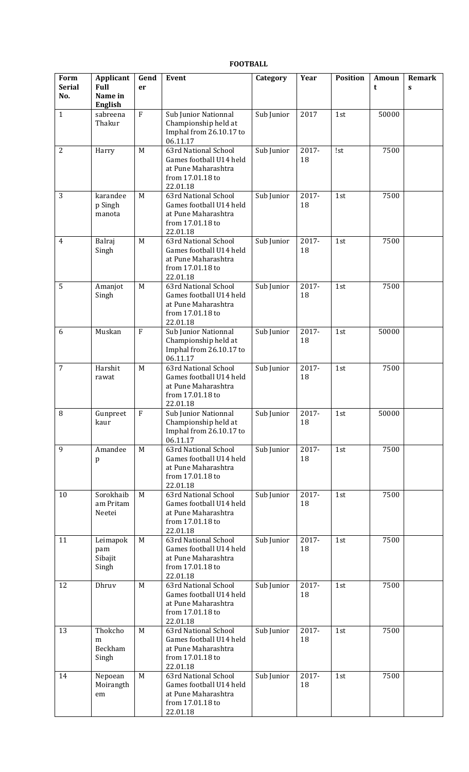## **FOOTBALL**

| Form<br><b>Serial</b> | Applicant<br><b>Full</b>            | Gend<br>er     | Event                                                                                                  | Category   | Year        | <b>Position</b> | Amoun<br>t | Remark<br>$\mathbf{s}$ |
|-----------------------|-------------------------------------|----------------|--------------------------------------------------------------------------------------------------------|------------|-------------|-----------------|------------|------------------------|
| No.                   | Name in<br><b>English</b>           |                |                                                                                                        |            |             |                 |            |                        |
| $\mathbf{1}$          | sabreena<br>Thakur                  | $\rm F$        | Sub Junior Nationnal<br>Championship held at<br>Imphal from 26.10.17 to<br>06.11.17                    | Sub Junior | 2017        | 1st             | 50000      |                        |
| $\overline{2}$        | Harry                               | M              | 63rd National School<br>Games football U14 held<br>at Pune Maharashtra<br>from 17.01.18 to<br>22.01.18 | Sub Junior | 2017-<br>18 | !st             | 7500       |                        |
| 3                     | karandee<br>p Singh<br>manota       | M              | 63rd National School<br>Games football U14 held<br>at Pune Maharashtra<br>from 17.01.18 to<br>22.01.18 | Sub Junior | 2017-<br>18 | 1st             | 7500       |                        |
| $\overline{4}$        | Balraj<br>Singh                     | M              | 63rd National School<br>Games football U14 held<br>at Pune Maharashtra<br>from 17.01.18 to<br>22.01.18 | Sub Junior | 2017-<br>18 | 1st             | 7500       |                        |
| 5                     | Amanjot<br>Singh                    | M              | 63rd National School<br>Games football U14 held<br>at Pune Maharashtra<br>from 17.01.18 to<br>22.01.18 | Sub Junior | 2017-<br>18 | 1st             | 7500       |                        |
| 6                     | Muskan                              | $\overline{F}$ | Sub Junior Nationnal<br>Championship held at<br>Imphal from 26.10.17 to<br>06.11.17                    | Sub Junior | 2017-<br>18 | 1st             | 50000      |                        |
| $\overline{7}$        | Harshit<br>rawat                    | M              | 63rd National School<br>Games football U14 held<br>at Pune Maharashtra<br>from 17.01.18 to<br>22.01.18 | Sub Junior | 2017-<br>18 | 1st             | 7500       |                        |
| $\, 8$                | Gunpreet<br>kaur                    | $\mathbf{F}$   | Sub Junior Nationnal<br>Championship held at<br>Imphal from 26.10.17 to<br>06.11.17                    | Sub Junior | 2017-<br>18 | 1st             | 50000      |                        |
| 9                     | Amandee<br>p                        | M              | 63rd National School<br>Games football U14 held<br>at Pune Maharashtra<br>from 17.01.18 to<br>22.01.18 | Sub Junior | 2017-<br>18 | 1st             | 7500       |                        |
| 10                    | Sorokhaib<br>am Pritam<br>Neetei    | M              | 63rd National School<br>Games football U14 held<br>at Pune Maharashtra<br>from 17.01.18 to<br>22.01.18 | Sub Junior | 2017-<br>18 | 1st             | 7500       |                        |
| 11                    | Leimapok<br>pam<br>Sibajit<br>Singh | M              | 63rd National School<br>Games football U14 held<br>at Pune Maharashtra<br>from 17.01.18 to<br>22.01.18 | Sub Junior | 2017-<br>18 | 1st             | 7500       |                        |
| 12                    | Dhruv                               | M              | 63rd National School<br>Games football U14 held<br>at Pune Maharashtra<br>from 17.01.18 to<br>22.01.18 | Sub Junior | 2017-<br>18 | 1st             | 7500       |                        |
| 13                    | Thokcho<br>m<br>Beckham<br>Singh    | M              | 63rd National School<br>Games football U14 held<br>at Pune Maharashtra<br>from 17.01.18 to<br>22.01.18 | Sub Junior | 2017-<br>18 | 1st             | 7500       |                        |
| 14                    | Nepoean<br>Moirangth<br>$\rm{em}$   | M              | 63rd National School<br>Games football U14 held<br>at Pune Maharashtra<br>from 17.01.18 to<br>22.01.18 | Sub Junior | 2017-<br>18 | 1st             | 7500       |                        |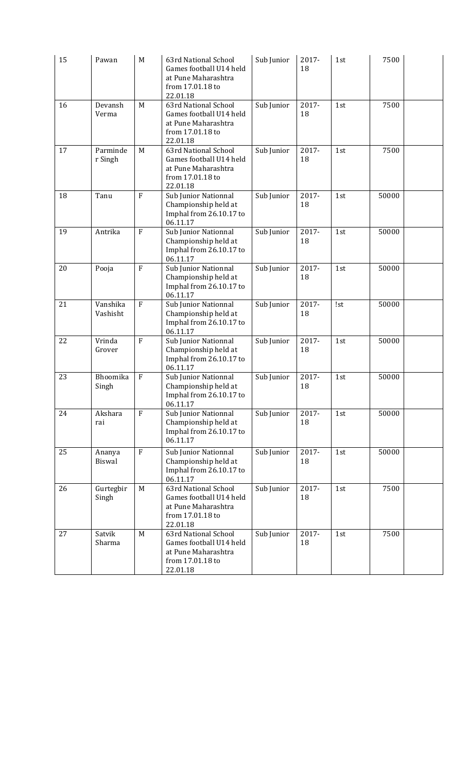| 15 | Pawan                | M              | 63rd National School<br>Games football U14 held<br>at Pune Maharashtra<br>from 17.01.18 to<br>22.01.18 | Sub Junior | 2017-<br>18 | 1st | 7500  |  |
|----|----------------------|----------------|--------------------------------------------------------------------------------------------------------|------------|-------------|-----|-------|--|
| 16 | Devansh<br>Verma     | M              | 63rd National School<br>Games football U14 held<br>at Pune Maharashtra<br>from 17.01.18 to<br>22.01.18 | Sub Junior | 2017-<br>18 | 1st | 7500  |  |
| 17 | Parminde<br>r Singh  | M              | 63rd National School<br>Games football U14 held<br>at Pune Maharashtra<br>from 17.01.18 to<br>22.01.18 | Sub Junior | 2017-<br>18 | 1st | 7500  |  |
| 18 | Tanu                 | $\mathbf{F}$   | Sub Junior Nationnal<br>Championship held at<br>Imphal from 26.10.17 to<br>06.11.17                    | Sub Junior | 2017-<br>18 | 1st | 50000 |  |
| 19 | Antrika              | $\mathbf{F}$   | Sub Junior Nationnal<br>Championship held at<br>Imphal from 26.10.17 to<br>06.11.17                    | Sub Junior | 2017-<br>18 | 1st | 50000 |  |
| 20 | Pooja                | $\overline{F}$ | Sub Junior Nationnal<br>Championship held at<br>Imphal from 26.10.17 to<br>06.11.17                    | Sub Junior | 2017-<br>18 | 1st | 50000 |  |
| 21 | Vanshika<br>Vashisht | $\mathbf{F}$   | Sub Junior Nationnal<br>Championship held at<br>Imphal from 26.10.17 to<br>06.11.17                    | Sub Junior | 2017-<br>18 | !st | 50000 |  |
| 22 | Vrinda<br>Grover     | $\rm F$        | Sub Junior Nationnal<br>Championship held at<br>Imphal from 26.10.17 to<br>06.11.17                    | Sub Junior | 2017-<br>18 | 1st | 50000 |  |
| 23 | Bhoomika<br>Singh    | $\rm F$        | Sub Junior Nationnal<br>Championship held at<br>Imphal from 26.10.17 to<br>06.11.17                    | Sub Junior | 2017-<br>18 | 1st | 50000 |  |
| 24 | Akshara<br>rai       | $\rm F$        | Sub Junior Nationnal<br>Championship held at<br>Imphal from 26.10.17 to<br>06.11.17                    | Sub Junior | 2017-<br>18 | 1st | 50000 |  |
| 25 | Ananya<br>Biswal     | $\rm F$        | Sub Junior Nationnal<br>Championship held at<br>Imphal from 26.10.17 to<br>06.11.17                    | Sub Junior | 2017-<br>18 | 1st | 50000 |  |
| 26 | Gurtegbir<br>Singh   | M              | 63rd National School<br>Games football U14 held<br>at Pune Maharashtra<br>from 17.01.18 to<br>22.01.18 | Sub Junior | 2017-<br>18 | 1st | 7500  |  |
| 27 | Satvik<br>Sharma     | M              | 63rd National School<br>Games football U14 held<br>at Pune Maharashtra<br>from 17.01.18 to<br>22.01.18 | Sub Junior | 2017-<br>18 | 1st | 7500  |  |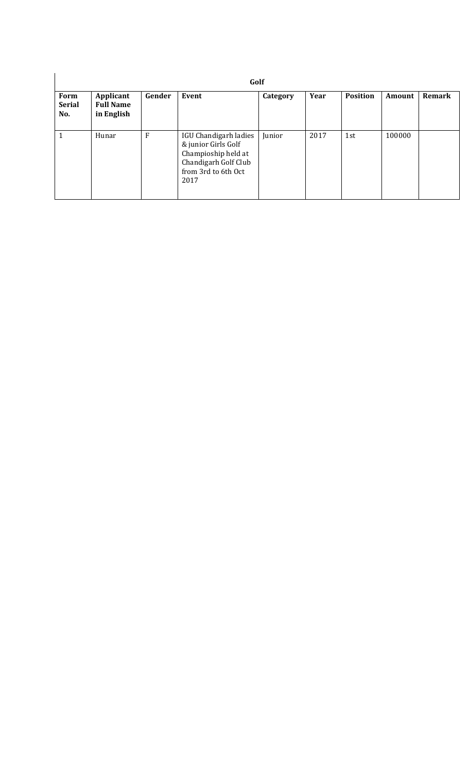| Form<br><b>Serial</b><br>No. | Applicant<br><b>Full Name</b><br>in English | Gender | Event                                                                                                                      | Category | Year | <b>Position</b> | Amount | Remark |
|------------------------------|---------------------------------------------|--------|----------------------------------------------------------------------------------------------------------------------------|----------|------|-----------------|--------|--------|
| 1                            | Hunar                                       | F      | IGU Chandigarh ladies<br>& junior Girls Golf<br>Champioship held at<br>Chandigarh Golf Club<br>from 3rd to 6th Oct<br>2017 | Junior   | 2017 | 1st             | 100000 |        |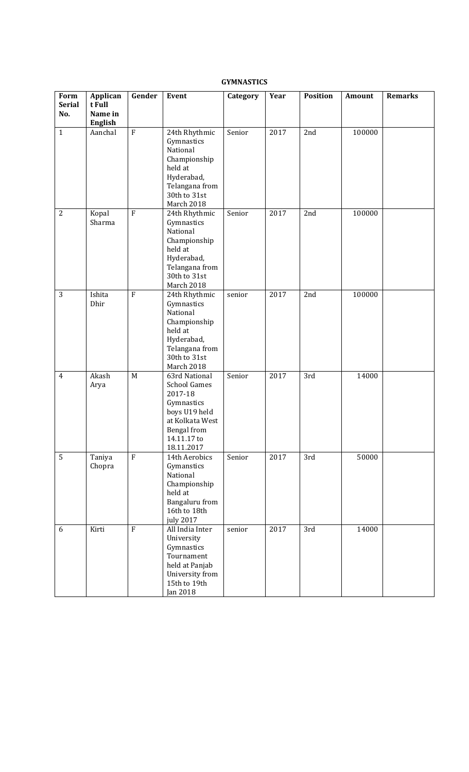### **GYMNASTICS**

| Form<br><b>Serial</b><br>No. | Applican<br>t Full<br>Name in<br>English | Gender    | Event                                                                                                                                         | Category | Year | Position | Amount | <b>Remarks</b> |
|------------------------------|------------------------------------------|-----------|-----------------------------------------------------------------------------------------------------------------------------------------------|----------|------|----------|--------|----------------|
| $\mathbf{1}$                 | Aanchal                                  | ${\bf F}$ | 24th Rhythmic<br>Gymnastics<br>National<br>Championship<br>held at<br>Hyderabad,<br>Telangana from<br>30th to 31st<br>March 2018              | Senior   | 2017 | 2nd      | 100000 |                |
| $\mathbf{2}$                 | Kopal<br>Sharma                          | $\rm F$   | 24th Rhythmic<br>Gymnastics<br>National<br>Championship<br>held at<br>Hyderabad,<br>Telangana from<br>30th to 31st<br>March 2018              | Senior   | 2017 | 2nd      | 100000 |                |
| 3                            | Ishita<br>Dhir                           | $\rm F$   | 24th Rhythmic<br>Gymnastics<br>National<br>Championship<br>held at<br>Hyderabad,<br>Telangana from<br>30th to 31st<br>March 2018              | senior   | 2017 | 2nd      | 100000 |                |
| $\overline{4}$               | Akash<br>Arya                            | M         | 63rd National<br><b>School Games</b><br>2017-18<br>Gymnastics<br>boys U19 held<br>at Kolkata West<br>Bengal from<br>14.11.17 to<br>18.11.2017 | Senior   | 2017 | 3rd      | 14000  |                |
| 5                            | Taniya<br>Chopra                         | $\rm F$   | 14th Aerobics<br>Gymanstics<br>National<br>Championship<br>held at<br>Bangaluru from<br>16th to 18th<br>july 2017                             | Senior   | 2017 | 3rd      | 50000  |                |
| 6                            | Kirti                                    | $\rm F$   | All India Inter<br>University<br>Gymnastics<br>Tournament<br>held at Panjab<br>University from<br>15th to 19th<br><b>Jan 2018</b>             | senior   | 2017 | 3rd      | 14000  |                |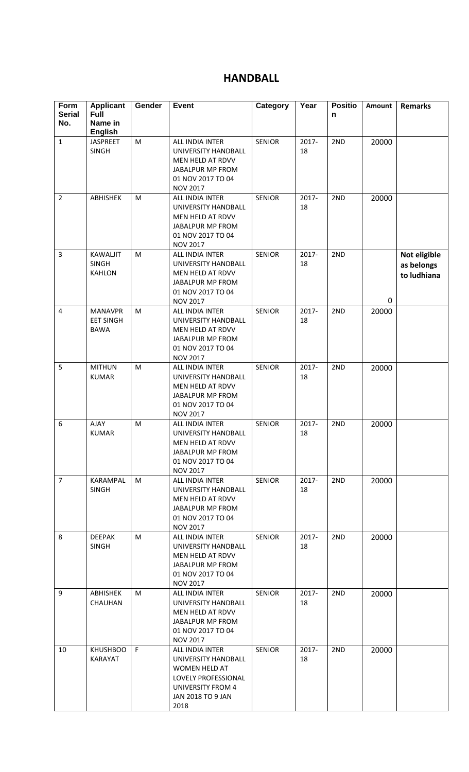# **HANDBALL**

| Form<br><b>Serial</b> | <b>Applicant</b><br><b>Full</b>                   | Gender | <b>Event</b>                                                                                                                            | Category      | Year           | <b>Positio</b><br>n | Amount | <b>Remarks</b>                            |
|-----------------------|---------------------------------------------------|--------|-----------------------------------------------------------------------------------------------------------------------------------------|---------------|----------------|---------------------|--------|-------------------------------------------|
| No.                   | Name in                                           |        |                                                                                                                                         |               |                |                     |        |                                           |
| $\mathbf{1}$          | <b>English</b><br><b>JASPREET</b><br><b>SINGH</b> | M      | ALL INDIA INTER<br>UNIVERSITY HANDBALL<br>MEN HELD AT RDVV<br>JABALPUR MP FROM<br>01 NOV 2017 TO 04<br><b>NOV 2017</b>                  | <b>SENIOR</b> | 2017-<br>18    | 2ND                 | 20000  |                                           |
| $\overline{2}$        | ABHISHEK                                          | M      | ALL INDIA INTER<br>UNIVERSITY HANDBALL<br>MEN HELD AT RDVV<br>JABALPUR MP FROM<br>01 NOV 2017 TO 04<br><b>NOV 2017</b>                  | <b>SENIOR</b> | 2017-<br>18    | 2ND                 | 20000  |                                           |
| 3                     | <b>KAWALJIT</b><br><b>SINGH</b><br><b>KAHLON</b>  | M      | <b>ALL INDIA INTER</b><br>UNIVERSITY HANDBALL<br>MEN HELD AT RDVV<br><b>JABALPUR MP FROM</b><br>01 NOV 2017 TO 04<br><b>NOV 2017</b>    | <b>SENIOR</b> | 2017-<br>18    | 2ND                 | 0      | Not eligible<br>as belongs<br>to ludhiana |
| $\overline{4}$        | <b>MANAVPR</b><br><b>EET SINGH</b><br><b>BAWA</b> | M      | ALL INDIA INTER<br>UNIVERSITY HANDBALL<br>MEN HELD AT RDVV<br>JABALPUR MP FROM<br>01 NOV 2017 TO 04<br><b>NOV 2017</b>                  | <b>SENIOR</b> | 2017-<br>18    | 2ND                 | 20000  |                                           |
| 5                     | <b>MITHUN</b><br><b>KUMAR</b>                     | M      | ALL INDIA INTER<br>UNIVERSITY HANDBALL<br>MEN HELD AT RDVV<br>JABALPUR MP FROM<br>01 NOV 2017 TO 04<br><b>NOV 2017</b>                  | <b>SENIOR</b> | 2017-<br>18    | 2ND                 | 20000  |                                           |
| 6                     | <b>AJAY</b><br><b>KUMAR</b>                       | M      | ALL INDIA INTER<br>UNIVERSITY HANDBALL<br>MEN HELD AT RDVV<br>JABALPUR MP FROM<br>01 NOV 2017 TO 04<br><b>NOV 2017</b>                  | <b>SENIOR</b> | 2017-<br>18    | 2ND                 | 20000  |                                           |
| $\overline{7}$        | KARAMPAL<br><b>SINGH</b>                          | M      | ALL INDIA INTER<br>UNIVERSITY HANDBALL<br>MEN HELD AT RDVV<br>JABALPUR MP FROM<br>01 NOV 2017 TO 04<br><b>NOV 2017</b>                  | <b>SENIOR</b> | 2017-<br>18    | 2ND                 | 20000  |                                           |
| 8                     | <b>DEEPAK</b><br>SINGH                            | M      | ALL INDIA INTER<br>UNIVERSITY HANDBALL<br>MEN HELD AT RDVV<br>JABALPUR MP FROM<br>01 NOV 2017 TO 04<br><b>NOV 2017</b>                  | <b>SENIOR</b> | $2017 -$<br>18 | 2ND                 | 20000  |                                           |
| 9                     | ABHISHEK<br><b>CHAUHAN</b>                        | M      | ALL INDIA INTER<br>UNIVERSITY HANDBALL<br>MEN HELD AT RDVV<br>JABALPUR MP FROM<br>01 NOV 2017 TO 04<br><b>NOV 2017</b>                  | <b>SENIOR</b> | 2017-<br>18    | 2ND                 | 20000  |                                           |
| 10                    | <b>KHUSHBOO</b><br>KARAYAT                        | F      | ALL INDIA INTER<br>UNIVERSITY HANDBALL<br><b>WOMEN HELD AT</b><br>LOVELY PROFESSIONAL<br>UNIVERSITY FROM 4<br>JAN 2018 TO 9 JAN<br>2018 | <b>SENIOR</b> | $2017 -$<br>18 | 2ND                 | 20000  |                                           |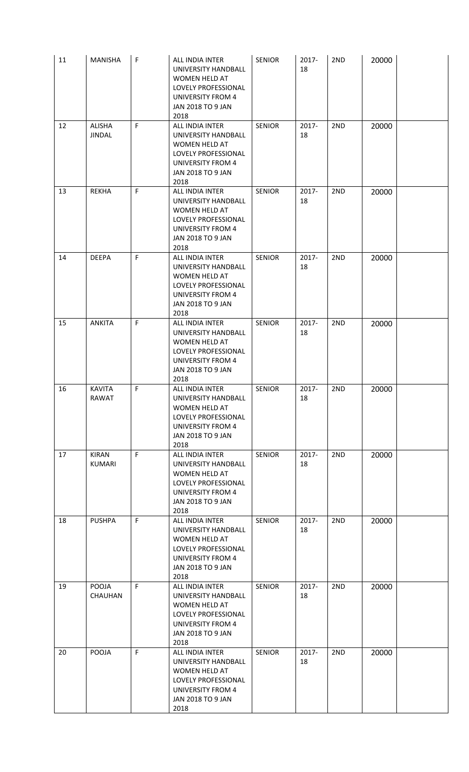| 11 | <b>MANISHA</b>                 | F            | ALL INDIA INTER<br>UNIVERSITY HANDBALL<br>WOMEN HELD AT<br>LOVELY PROFESSIONAL<br><b>UNIVERSITY FROM 4</b><br>JAN 2018 TO 9 JAN<br>2018        | <b>SENIOR</b> | 2017-<br>18    | 2ND | 20000 |  |
|----|--------------------------------|--------------|------------------------------------------------------------------------------------------------------------------------------------------------|---------------|----------------|-----|-------|--|
| 12 | <b>ALISHA</b><br><b>JINDAL</b> | F            | ALL INDIA INTER<br>UNIVERSITY HANDBALL<br>WOMEN HELD AT<br>LOVELY PROFESSIONAL<br>UNIVERSITY FROM 4<br><b>JAN 2018 TO 9 JAN</b><br>2018        | <b>SENIOR</b> | 2017-<br>18    | 2ND | 20000 |  |
| 13 | REKHA                          | F            | ALL INDIA INTER<br>UNIVERSITY HANDBALL<br><b>WOMEN HELD AT</b><br>LOVELY PROFESSIONAL<br><b>UNIVERSITY FROM 4</b><br>JAN 2018 TO 9 JAN<br>2018 | <b>SENIOR</b> | 2017-<br>18    | 2ND | 20000 |  |
| 14 | <b>DEEPA</b>                   | F            | ALL INDIA INTER<br>UNIVERSITY HANDBALL<br>WOMEN HELD AT<br>LOVELY PROFESSIONAL<br><b>UNIVERSITY FROM 4</b><br>JAN 2018 TO 9 JAN<br>2018        | <b>SENIOR</b> | 2017-<br>18    | 2ND | 20000 |  |
| 15 | <b>ANKITA</b>                  | F            | ALL INDIA INTER<br>UNIVERSITY HANDBALL<br>WOMEN HELD AT<br>LOVELY PROFESSIONAL<br><b>UNIVERSITY FROM 4</b><br><b>JAN 2018 TO 9 JAN</b><br>2018 | <b>SENIOR</b> | 2017-<br>18    | 2ND | 20000 |  |
| 16 | <b>KAVITA</b><br>RAWAT         | F            | ALL INDIA INTER<br>UNIVERSITY HANDBALL<br>WOMEN HELD AT<br>LOVELY PROFESSIONAL<br>UNIVERSITY FROM 4<br>JAN 2018 TO 9 JAN<br>2018               | <b>SENIOR</b> | 2017-<br>18    | 2ND | 20000 |  |
| 17 | <b>KIRAN</b><br>KUMARI         | $\mathsf F$  | ALL INDIA INTER<br>UNIVERSITY HANDBALL<br>WOMEN HELD AT<br>LOVELY PROFESSIONAL<br><b>UNIVERSITY FROM 4</b><br>JAN 2018 TO 9 JAN<br>2018        | <b>SENIOR</b> | 2017-<br>18    | 2ND | 20000 |  |
| 18 | <b>PUSHPA</b>                  | F.           | ALL INDIA INTER<br>UNIVERSITY HANDBALL<br>WOMEN HELD AT<br>LOVELY PROFESSIONAL<br><b>UNIVERSITY FROM 4</b><br>JAN 2018 TO 9 JAN<br>2018        | <b>SENIOR</b> | $2017 -$<br>18 | 2ND | 20000 |  |
| 19 | POOJA<br><b>CHAUHAN</b>        | F            | ALL INDIA INTER<br>UNIVERSITY HANDBALL<br>WOMEN HELD AT<br>LOVELY PROFESSIONAL<br>UNIVERSITY FROM 4<br>JAN 2018 TO 9 JAN<br>2018               | <b>SENIOR</b> | $2017 -$<br>18 | 2ND | 20000 |  |
| 20 | POOJA                          | $\mathsf{F}$ | ALL INDIA INTER<br>UNIVERSITY HANDBALL<br>WOMEN HELD AT<br>LOVELY PROFESSIONAL<br><b>UNIVERSITY FROM 4</b><br>JAN 2018 TO 9 JAN<br>2018        | <b>SENIOR</b> | 2017-<br>18    | 2ND | 20000 |  |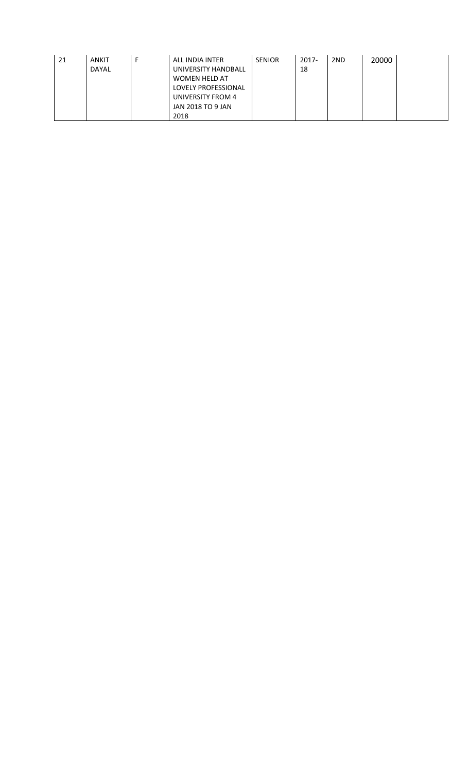| 21 | <b>ANKIT</b> | ALL INDIA INTER     | <b>SENIOR</b> | $2017 -$ | 2ND | 20000 |  |
|----|--------------|---------------------|---------------|----------|-----|-------|--|
|    | <b>DAYAL</b> | UNIVERSITY HANDBALL |               | 18       |     |       |  |
|    |              | WOMEN HELD AT       |               |          |     |       |  |
|    |              | LOVELY PROFESSIONAL |               |          |     |       |  |
|    |              | UNIVERSITY FROM 4   |               |          |     |       |  |
|    |              | JAN 2018 TO 9 JAN   |               |          |     |       |  |
|    |              | 2018                |               |          |     |       |  |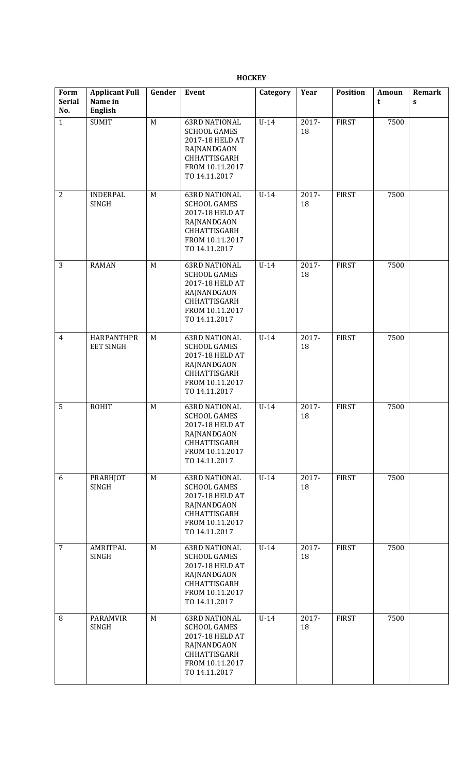**HOCKEY** 

| Form<br><b>Serial</b><br>No. | <b>Applicant Full</b><br>Name in<br><b>English</b> | Gender | <b>Event</b>                                                                                                                             | Category | Year        | <b>Position</b> | Amoun<br>t | Remark<br>$\mathbf{s}$ |
|------------------------------|----------------------------------------------------|--------|------------------------------------------------------------------------------------------------------------------------------------------|----------|-------------|-----------------|------------|------------------------|
| $\mathbf{1}$                 | <b>SUMIT</b>                                       | M      | <b>63RD NATIONAL</b><br><b>SCHOOL GAMES</b><br>2017-18 HELD AT<br>RAJNANDGAON<br>CHHATTISGARH<br>FROM 10.11.2017<br>TO 14.11.2017        | $U-14$   | 2017-<br>18 | <b>FIRST</b>    | 7500       |                        |
| $\overline{2}$               | <b>INDERPAL</b><br>SINGH                           | M      | <b>63RD NATIONAL</b><br><b>SCHOOL GAMES</b><br>2017-18 HELD AT<br>RAJNANDGAON<br>CHHATTISGARH<br>FROM 10.11.2017<br>TO 14.11.2017        | $U-14$   | 2017-<br>18 | <b>FIRST</b>    | 7500       |                        |
| 3                            | <b>RAMAN</b>                                       | M      | <b>63RD NATIONAL</b><br><b>SCHOOL GAMES</b><br>2017-18 HELD AT<br>RAJNANDGAON<br><b>CHHATTISGARH</b><br>FROM 10.11.2017<br>TO 14.11.2017 | $U-14$   | 2017-<br>18 | <b>FIRST</b>    | 7500       |                        |
| $\overline{4}$               | <b>HARPANTHPR</b><br><b>EET SINGH</b>              | M      | <b>63RD NATIONAL</b><br><b>SCHOOL GAMES</b><br>2017-18 HELD AT<br>RAJNANDGAON<br>CHHATTISGARH<br>FROM 10.11.2017<br>TO 14.11.2017        | $U-14$   | 2017-<br>18 | <b>FIRST</b>    | 7500       |                        |
| 5                            | <b>ROHIT</b>                                       | M      | <b>63RD NATIONAL</b><br><b>SCHOOL GAMES</b><br>2017-18 HELD AT<br>RAJNANDGAON<br>CHHATTISGARH<br>FROM 10.11.2017<br>TO 14.11.2017        | $U-14$   | 2017-<br>18 | <b>FIRST</b>    | 7500       |                        |
| 6                            | <b>PRABHJOT</b><br>SINGH                           | M      | <b>63RD NATIONAL</b><br><b>SCHOOL GAMES</b><br>2017-18 HELD AT<br>RAJNANDGAON<br>CHHATTISGARH<br>FROM 10.11.2017<br>TO 14.11.2017        | $U-14$   | 2017-<br>18 | <b>FIRST</b>    | 7500       |                        |
| $\overline{7}$               | AMRITPAL<br>SINGH                                  | M      | <b>63RD NATIONAL</b><br><b>SCHOOL GAMES</b><br>2017-18 HELD AT<br>RAJNANDGAON<br>CHHATTISGARH<br>FROM 10.11.2017<br>TO 14.11.2017        | $U-14$   | 2017-<br>18 | <b>FIRST</b>    | 7500       |                        |
| $\, 8$                       | <b>PARAMVIR</b><br><b>SINGH</b>                    | M      | <b>63RD NATIONAL</b><br><b>SCHOOL GAMES</b><br>2017-18 HELD AT<br>RAJNANDGAON<br>CHHATTISGARH<br>FROM 10.11.2017<br>TO 14.11.2017        | $U-14$   | 2017-<br>18 | <b>FIRST</b>    | 7500       |                        |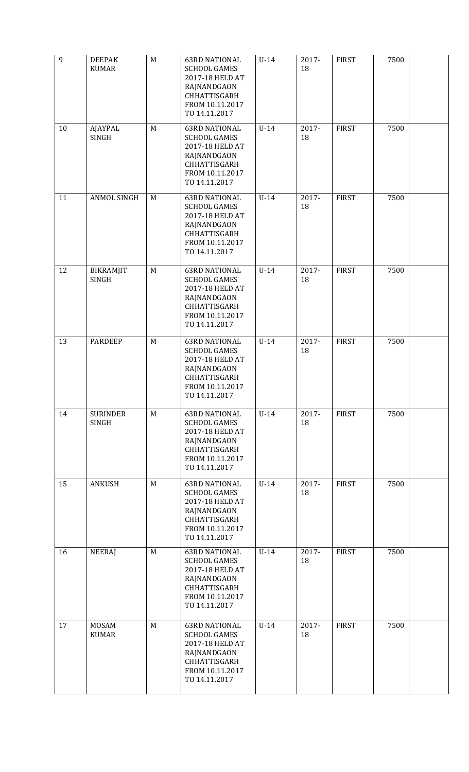| $\mathbf{9}$ | <b>DEEPAK</b><br><b>KUMAR</b>   | M | <b>63RD NATIONAL</b><br><b>SCHOOL GAMES</b><br>2017-18 HELD AT<br>RAJNANDGAON<br>CHHATTISGARH<br>FROM 10.11.2017<br>TO 14.11.2017        | $U-14$ | 2017-<br>18 | <b>FIRST</b> | 7500 |  |
|--------------|---------------------------------|---|------------------------------------------------------------------------------------------------------------------------------------------|--------|-------------|--------------|------|--|
| 10           | AJAYPAL<br><b>SINGH</b>         | M | <b>63RD NATIONAL</b><br><b>SCHOOL GAMES</b><br>2017-18 HELD AT<br>RAJNANDGAON<br>CHHATTISGARH<br>FROM 10.11.2017<br>TO 14.11.2017        | $U-14$ | 2017-<br>18 | <b>FIRST</b> | 7500 |  |
| 11           | ANMOL SINGH                     | M | <b>63RD NATIONAL</b><br><b>SCHOOL GAMES</b><br>2017-18 HELD AT<br>RAJNANDGAON<br>CHHATTISGARH<br>FROM 10.11.2017<br>TO 14.11.2017        | $U-14$ | 2017-<br>18 | <b>FIRST</b> | 7500 |  |
| 12           | BIKRAMJIT<br><b>SINGH</b>       | M | <b>63RD NATIONAL</b><br><b>SCHOOL GAMES</b><br>2017-18 HELD AT<br>RAJNANDGAON<br>CHHATTISGARH<br>FROM 10.11.2017<br>TO 14.11.2017        | $U-14$ | 2017-<br>18 | <b>FIRST</b> | 7500 |  |
| 13           | <b>PARDEEP</b>                  | M | <b>63RD NATIONAL</b><br><b>SCHOOL GAMES</b><br>2017-18 HELD AT<br>RAJNANDGAON<br>CHHATTISGARH<br>FROM 10.11.2017<br>TO 14.11.2017        | $U-14$ | 2017-<br>18 | <b>FIRST</b> | 7500 |  |
| 14           | <b>SURINDER</b><br><b>SINGH</b> | M | <b>63RD NATIONAL</b><br><b>SCHOOL GAMES</b><br>2017-18 HELD AT<br>RAJNANDGAON<br>CHHATTISGARH<br>FROM 10.11.2017<br>TO 14.11.2017        | $U-14$ | 2017-<br>18 | <b>FIRST</b> | 7500 |  |
| 15           | <b>ANKUSH</b>                   | M | <b>63RD NATIONAL</b><br><b>SCHOOL GAMES</b><br>2017-18 HELD AT<br>RAJNANDGAON<br>CHHATTISGARH<br>FROM 10.11.2017<br>TO 14.11.2017        | $U-14$ | 2017-<br>18 | <b>FIRST</b> | 7500 |  |
| 16           | <b>NEERAJ</b>                   | M | <b>63RD NATIONAL</b><br><b>SCHOOL GAMES</b><br>2017-18 HELD AT<br>RAJNANDGAON<br>CHHATTISGARH<br>FROM 10.11.2017<br>TO 14.11.2017        | $U-14$ | 2017-<br>18 | <b>FIRST</b> | 7500 |  |
| 17           | <b>MOSAM</b><br><b>KUMAR</b>    | M | <b>63RD NATIONAL</b><br><b>SCHOOL GAMES</b><br>2017-18 HELD AT<br>RAJNANDGAON<br><b>CHHATTISGARH</b><br>FROM 10.11.2017<br>TO 14.11.2017 | $U-14$ | 2017-<br>18 | <b>FIRST</b> | 7500 |  |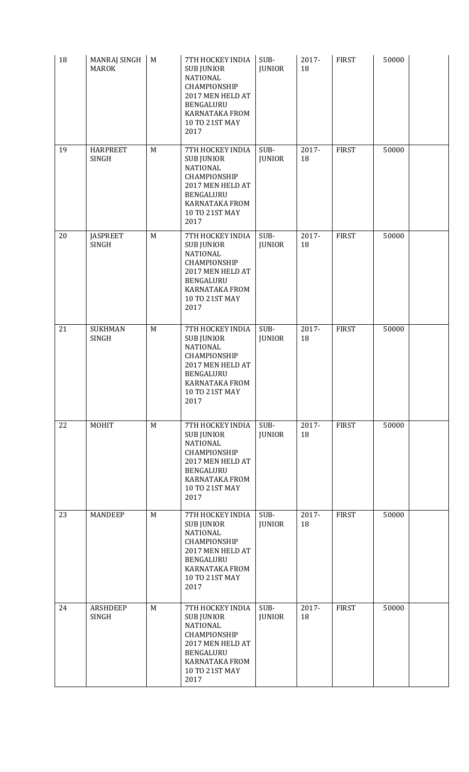| 18 | MANRAJ SINGH<br><b>MAROK</b>    | M | 7TH HOCKEY INDIA<br><b>SUB JUNIOR</b><br><b>NATIONAL</b><br>CHAMPIONSHIP<br>2017 MEN HELD AT<br>BENGALURU<br>KARNATAKA FROM<br>10 TO 21ST MAY<br>2017        | SUB-<br><b>JUNIOR</b> | 2017-<br>18 | <b>FIRST</b> | 50000 |  |
|----|---------------------------------|---|--------------------------------------------------------------------------------------------------------------------------------------------------------------|-----------------------|-------------|--------------|-------|--|
| 19 | <b>HARPREET</b><br><b>SINGH</b> | M | 7TH HOCKEY INDIA<br><b>SUB JUNIOR</b><br><b>NATIONAL</b><br>CHAMPIONSHIP<br>2017 MEN HELD AT<br>BENGALURU<br><b>KARNATAKA FROM</b><br>10 TO 21ST MAY<br>2017 | SUB-<br><b>JUNIOR</b> | 2017-<br>18 | <b>FIRST</b> | 50000 |  |
| 20 | <b>JASPREET</b><br>SINGH        | M | 7TH HOCKEY INDIA<br><b>SUB JUNIOR</b><br><b>NATIONAL</b><br>CHAMPIONSHIP<br>2017 MEN HELD AT<br>BENGALURU<br><b>KARNATAKA FROM</b><br>10 TO 21ST MAY<br>2017 | SUB-<br><b>JUNIOR</b> | 2017-<br>18 | <b>FIRST</b> | 50000 |  |
| 21 | <b>SUKHMAN</b><br><b>SINGH</b>  | M | 7TH HOCKEY INDIA<br><b>SUB JUNIOR</b><br><b>NATIONAL</b><br>CHAMPIONSHIP<br>2017 MEN HELD AT<br>BENGALURU<br><b>KARNATAKA FROM</b><br>10 TO 21ST MAY<br>2017 | SUB-<br><b>JUNIOR</b> | 2017-<br>18 | <b>FIRST</b> | 50000 |  |
| 22 | MOHIT                           | M | 7TH HOCKEY INDIA<br><b>SUB JUNIOR</b><br><b>NATIONAL</b><br>CHAMPIONSHIP<br>2017 MEN HELD AT<br>BENGALURU<br>KARNATAKA FROM<br>10 TO 21ST MAY<br>2017        | SUB-<br><b>JUNIOR</b> | 2017-<br>18 | <b>FIRST</b> | 50000 |  |
| 23 | <b>MANDEEP</b>                  | M | 7TH HOCKEY INDIA<br><b>SUB JUNIOR</b><br><b>NATIONAL</b><br>CHAMPIONSHIP<br>2017 MEN HELD AT<br>BENGALURU<br>KARNATAKA FROM<br>10 TO 21ST MAY<br>2017        | SUB-<br><b>JUNIOR</b> | 2017-<br>18 | <b>FIRST</b> | 50000 |  |
| 24 | <b>ARSHDEEP</b><br><b>SINGH</b> | M | 7TH HOCKEY INDIA<br><b>SUB JUNIOR</b><br><b>NATIONAL</b><br>CHAMPIONSHIP<br>2017 MEN HELD AT<br>BENGALURU<br><b>KARNATAKA FROM</b><br>10 TO 21ST MAY<br>2017 | SUB-<br><b>JUNIOR</b> | 2017-<br>18 | <b>FIRST</b> | 50000 |  |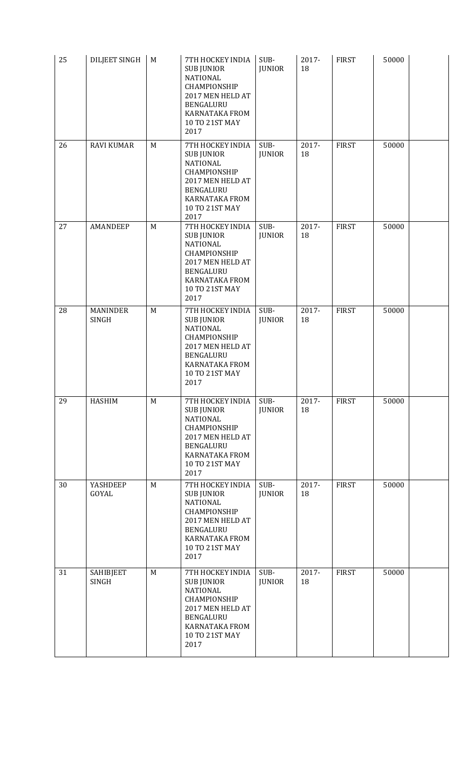| 25 | DILJEET SINGH                   | $\mathbf M$ | 7TH HOCKEY INDIA<br><b>SUB JUNIOR</b><br><b>NATIONAL</b><br>CHAMPIONSHIP<br>2017 MEN HELD AT<br>BENGALURU<br>KARNATAKA FROM<br>10 TO 21ST MAY<br>2017               | SUB-<br><b>JUNIOR</b> | 2017-<br>18 | <b>FIRST</b> | 50000 |  |
|----|---------------------------------|-------------|---------------------------------------------------------------------------------------------------------------------------------------------------------------------|-----------------------|-------------|--------------|-------|--|
| 26 | <b>RAVI KUMAR</b>               | M           | 7TH HOCKEY INDIA<br><b>SUB JUNIOR</b><br><b>NATIONAL</b><br>CHAMPIONSHIP<br>2017 MEN HELD AT<br>BENGALURU<br><b>KARNATAKA FROM</b><br>10 TO 21ST MAY<br>2017        | SUB-<br><b>JUNIOR</b> | 2017-<br>18 | <b>FIRST</b> | 50000 |  |
| 27 | AMANDEEP                        | M           | 7TH HOCKEY INDIA<br><b>SUB JUNIOR</b><br><b>NATIONAL</b><br><b>CHAMPIONSHIP</b><br>2017 MEN HELD AT<br>BENGALURU<br><b>KARNATAKA FROM</b><br>10 TO 21ST MAY<br>2017 | SUB-<br><b>JUNIOR</b> | 2017-<br>18 | <b>FIRST</b> | 50000 |  |
| 28 | <b>MANINDER</b><br><b>SINGH</b> | M           | 7TH HOCKEY INDIA<br><b>SUB JUNIOR</b><br><b>NATIONAL</b><br>CHAMPIONSHIP<br>2017 MEN HELD AT<br>BENGALURU<br>KARNATAKA FROM<br>10 TO 21ST MAY<br>2017               | SUB-<br><b>JUNIOR</b> | 2017-<br>18 | <b>FIRST</b> | 50000 |  |
| 29 | <b>HASHIM</b>                   | M           | 7TH HOCKEY INDIA<br><b>SUB JUNIOR</b><br><b>NATIONAL</b><br>CHAMPIONSHIP<br>2017 MEN HELD AT<br>BENGALURU<br><b>KARNATAKA FROM</b><br>10 TO 21ST MAY<br>2017        | SUB-<br><b>JUNIOR</b> | 2017-<br>18 | <b>FIRST</b> | 50000 |  |
| 30 | YASHDEEP<br>GOYAL               | M           | 7TH HOCKEY INDIA<br><b>SUB JUNIOR</b><br><b>NATIONAL</b><br>CHAMPIONSHIP<br>2017 MEN HELD AT<br>BENGALURU<br><b>KARNATAKA FROM</b><br>10 TO 21ST MAY<br>2017        | SUB-<br><b>JUNIOR</b> | 2017-<br>18 | <b>FIRST</b> | 50000 |  |
| 31 | SAHIBJEET<br><b>SINGH</b>       | M           | 7TH HOCKEY INDIA<br><b>SUB JUNIOR</b><br><b>NATIONAL</b><br>CHAMPIONSHIP<br>2017 MEN HELD AT<br>BENGALURU<br><b>KARNATAKA FROM</b><br>10 TO 21ST MAY<br>2017        | SUB-<br><b>JUNIOR</b> | 2017-<br>18 | <b>FIRST</b> | 50000 |  |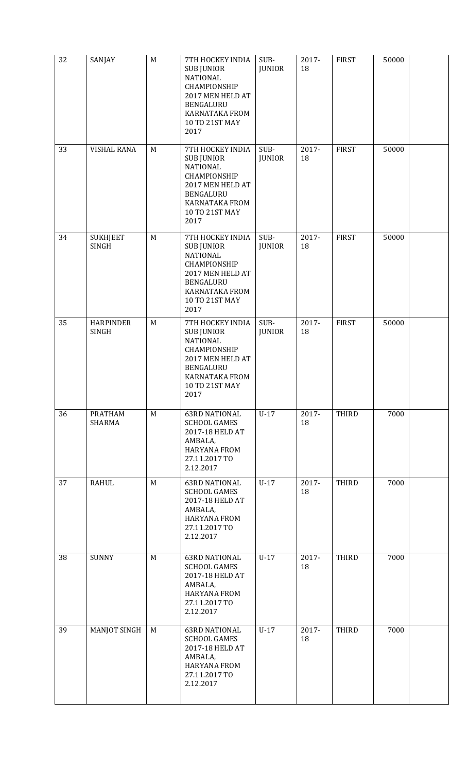| 32 | SANJAY                          | M           | 7TH HOCKEY INDIA<br><b>SUB JUNIOR</b><br><b>NATIONAL</b><br>CHAMPIONSHIP<br>2017 MEN HELD AT<br>BENGALURU<br>KARNATAKA FROM<br>10 TO 21ST MAY<br>2017        | SUB-<br><b>JUNIOR</b> | 2017-<br>18 | <b>FIRST</b> | 50000 |  |
|----|---------------------------------|-------------|--------------------------------------------------------------------------------------------------------------------------------------------------------------|-----------------------|-------------|--------------|-------|--|
| 33 | <b>VISHAL RANA</b>              | M           | 7TH HOCKEY INDIA<br><b>SUB JUNIOR</b><br><b>NATIONAL</b><br>CHAMPIONSHIP<br>2017 MEN HELD AT<br>BENGALURU<br>KARNATAKA FROM<br>10 TO 21ST MAY<br>2017        | SUB-<br><b>JUNIOR</b> | 2017-<br>18 | <b>FIRST</b> | 50000 |  |
| 34 | <b>SUKHJEET</b><br><b>SINGH</b> | M           | 7TH HOCKEY INDIA<br><b>SUB JUNIOR</b><br><b>NATIONAL</b><br>CHAMPIONSHIP<br>2017 MEN HELD AT<br>BENGALURU<br><b>KARNATAKA FROM</b><br>10 TO 21ST MAY<br>2017 | SUB-<br><b>JUNIOR</b> | 2017-<br>18 | <b>FIRST</b> | 50000 |  |
| 35 | <b>HARPINDER</b><br>SINGH       | $M_{\odot}$ | 7TH HOCKEY INDIA<br><b>SUB JUNIOR</b><br><b>NATIONAL</b><br>CHAMPIONSHIP<br>2017 MEN HELD AT<br>BENGALURU<br>KARNATAKA FROM<br>10 TO 21ST MAY<br>2017        | SUB-<br><b>JUNIOR</b> | 2017-<br>18 | <b>FIRST</b> | 50000 |  |
| 36 | PRATHAM<br>SHARMA               | M           | <b>63RD NATIONAL</b><br><b>SCHOOL GAMES</b><br>2017-18 HELD AT<br>AMBALA,<br><b>HARYANA FROM</b><br>27.11.2017 TO<br>2.12.2017                               | $U-17$                | 2017-<br>18 | <b>THIRD</b> | 7000  |  |
| 37 | <b>RAHUL</b>                    | M           | <b>63RD NATIONAL</b><br><b>SCHOOL GAMES</b><br>2017-18 HELD AT<br>AMBALA,<br><b>HARYANA FROM</b><br>27.11.2017 TO<br>2.12.2017                               | $U-17$                | 2017-<br>18 | <b>THIRD</b> | 7000  |  |
| 38 | <b>SUNNY</b>                    | M           | <b>63RD NATIONAL</b><br><b>SCHOOL GAMES</b><br>2017-18 HELD AT<br>AMBALA,<br><b>HARYANA FROM</b><br>27.11.2017 TO<br>2.12.2017                               | $U-17$                | 2017-<br>18 | <b>THIRD</b> | 7000  |  |
| 39 | <b>MANJOT SINGH</b>             | M           | <b>63RD NATIONAL</b><br><b>SCHOOL GAMES</b><br>2017-18 HELD AT<br>AMBALA,<br><b>HARYANA FROM</b><br>27.11.2017 TO<br>2.12.2017                               | $U-17$                | 2017-<br>18 | <b>THIRD</b> | 7000  |  |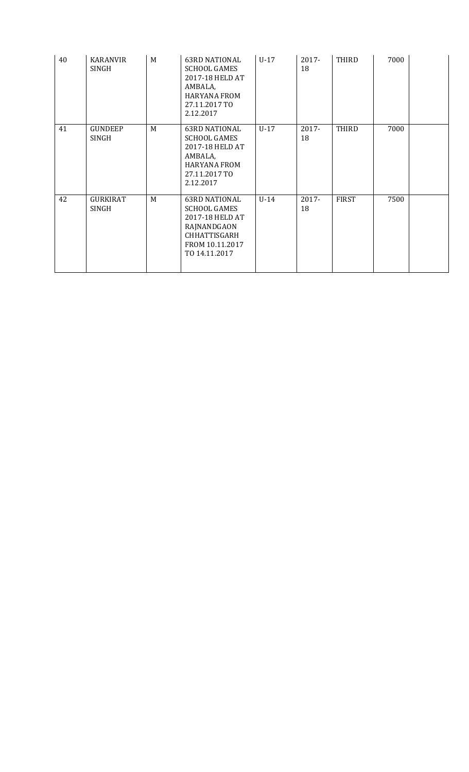| 40 | <b>KARANVIR</b><br>SINGH        | M | <b>63RD NATIONAL</b><br>SCHOOL GAMES<br>2017-18 HELD AT<br>AMBALA,<br><b>HARYANA FROM</b><br>27.11.2017 TO<br>2.12.2017                  | $U-17$ | $2017 -$<br>18 | THIRD        | 7000 |  |
|----|---------------------------------|---|------------------------------------------------------------------------------------------------------------------------------------------|--------|----------------|--------------|------|--|
| 41 | <b>GUNDEEP</b><br>SINGH         | M | <b>63RD NATIONAL</b><br>SCHOOL GAMES<br>2017-18 HELD AT<br>AMBALA,<br><b>HARYANA FROM</b><br>27.11.2017 TO<br>2.12.2017                  | $U-17$ | 2017-<br>18    | THIRD        | 7000 |  |
| 42 | <b>GURKIRAT</b><br><b>SINGH</b> | M | <b>63RD NATIONAL</b><br><b>SCHOOL GAMES</b><br>2017-18 HELD AT<br>RAJNANDGAON<br><b>CHHATTISGARH</b><br>FROM 10.11.2017<br>TO 14.11.2017 | $U-14$ | 2017-<br>18    | <b>FIRST</b> | 7500 |  |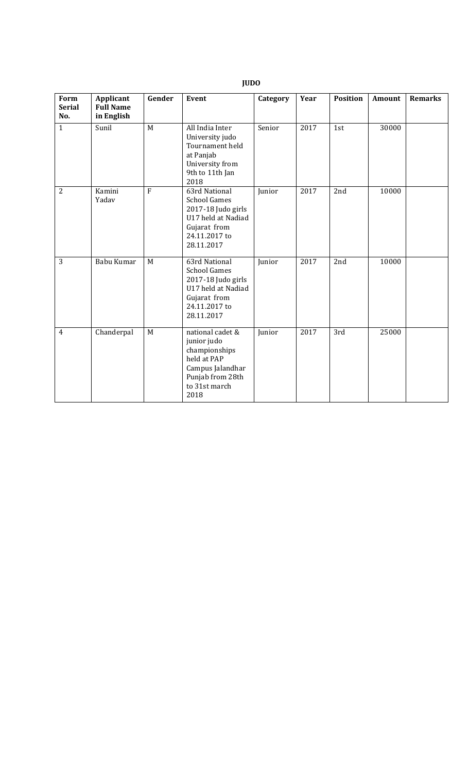| Form<br><b>Serial</b><br>No. | Applicant<br><b>Full Name</b><br>in English | Gender         | <b>Event</b>                                                                                                                     | Category | Year | <b>Position</b> | <b>Amount</b> | <b>Remarks</b> |
|------------------------------|---------------------------------------------|----------------|----------------------------------------------------------------------------------------------------------------------------------|----------|------|-----------------|---------------|----------------|
| $\mathbf{1}$                 | Sunil                                       | M              | All India Inter<br>University judo<br>Tournament held<br>at Panjab<br>University from<br>9th to 11th Jan<br>2018                 | Senior   | 2017 | 1st             | 30000         |                |
| $\overline{2}$               | Kamini<br>Yadav                             | $\overline{F}$ | 63rd National<br><b>School Games</b><br>2017-18 Judo girls<br>U17 held at Nadiad<br>Gujarat from<br>24.11.2017 to<br>28.11.2017  | Junior   | 2017 | 2nd             | 10000         |                |
| 3                            | Babu Kumar                                  | M              | 63rd National<br><b>School Games</b><br>2017-18 Judo girls<br>U17 held at Nadiad<br>Gujarat from<br>24.11.2017 to<br>28.11.2017  | Junior   | 2017 | 2nd             | 10000         |                |
| $\overline{4}$               | Chanderpal                                  | M              | national cadet &<br>junior judo<br>championships<br>held at PAP<br>Campus Jalandhar<br>Punjab from 28th<br>to 31st march<br>2018 | Junior   | 2017 | 3rd             | 25000         |                |

# **JUDO**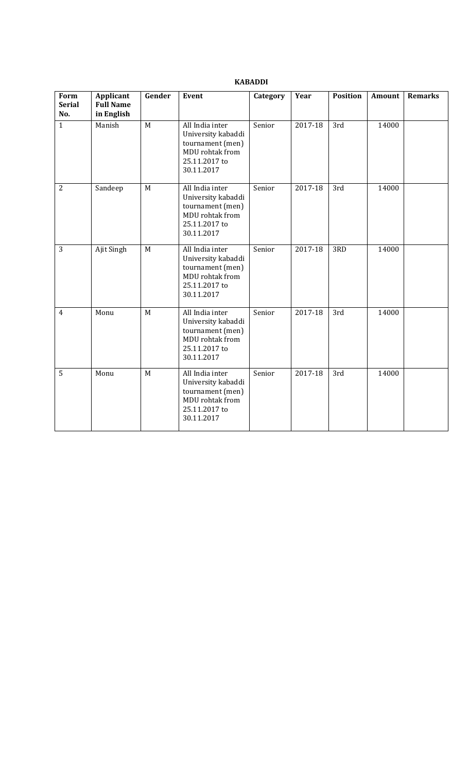## **KABADDI**

| Form<br><b>Serial</b><br>No. | Applicant<br><b>Full Name</b><br>in English | Gender      | <b>Event</b>                                                                                                | Category | Year    | <b>Position</b> | <b>Amount</b> | <b>Remarks</b> |
|------------------------------|---------------------------------------------|-------------|-------------------------------------------------------------------------------------------------------------|----------|---------|-----------------|---------------|----------------|
| $\mathbf{1}$                 | Manish                                      | $\mathbf M$ | All India inter<br>University kabaddi<br>tournament (men)<br>MDU rohtak from<br>25.11.2017 to<br>30.11.2017 | Senior   | 2017-18 | 3rd             | 14000         |                |
| $\overline{2}$               | Sandeep                                     | M           | All India inter<br>University kabaddi<br>tournament (men)<br>MDU rohtak from<br>25.11.2017 to<br>30.11.2017 | Senior   | 2017-18 | 3rd             | 14000         |                |
| 3                            | Ajit Singh                                  | M           | All India inter<br>University kabaddi<br>tournament (men)<br>MDU rohtak from<br>25.11.2017 to<br>30.11.2017 | Senior   | 2017-18 | 3RD             | 14000         |                |
| $\overline{4}$               | Monu                                        | $\mathbf M$ | All India inter<br>University kabaddi<br>tournament (men)<br>MDU rohtak from<br>25.11.2017 to<br>30.11.2017 | Senior   | 2017-18 | 3rd             | 14000         |                |
| 5                            | Monu                                        | M           | All India inter<br>University kabaddi<br>tournament (men)<br>MDU rohtak from<br>25.11.2017 to<br>30.11.2017 | Senior   | 2017-18 | 3rd             | 14000         |                |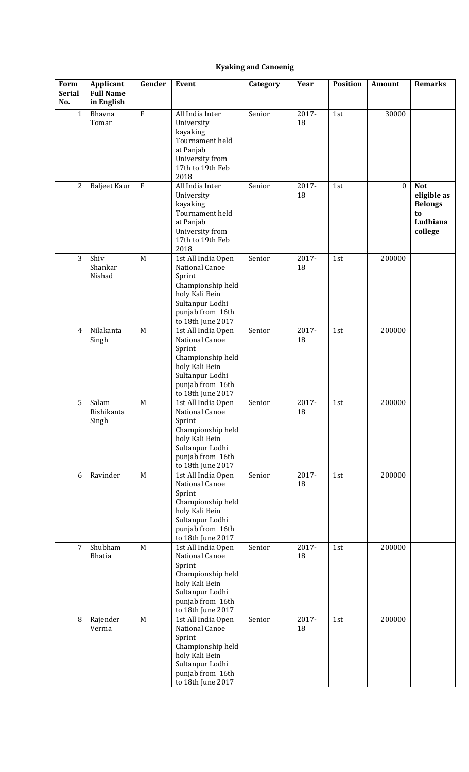# **Kyaking and Canoenig**

| Form<br><b>Serial</b><br>No. | Applicant<br><b>Full Name</b><br>in English | Gender      | Event                                                                                                                                             | Category | Year           | <b>Position</b> | Amount           | <b>Remarks</b>                                                           |
|------------------------------|---------------------------------------------|-------------|---------------------------------------------------------------------------------------------------------------------------------------------------|----------|----------------|-----------------|------------------|--------------------------------------------------------------------------|
| $\mathbf{1}$                 | Bhavna<br>Tomar                             | ${\bf F}$   | All India Inter<br>University<br>kayaking<br>Tournament held<br>at Panjab<br>University from<br>17th to 19th Feb<br>2018                          | Senior   | 2017-<br>18    | 1st             | 30000            |                                                                          |
| 2                            | Baljeet Kaur                                | $\mathbf F$ | All India Inter<br>University<br>kayaking<br>Tournament held<br>at Panjab<br>University from<br>17th to 19th Feb<br>2018                          | Senior   | 2017-<br>18    | 1st             | $\boldsymbol{0}$ | <b>Not</b><br>eligible as<br><b>Belongs</b><br>to<br>Ludhiana<br>college |
| 3                            | Shiv<br>Shankar<br>Nishad                   | M           | 1st All India Open<br>National Canoe<br>Sprint<br>Championship held<br>holy Kali Bein<br>Sultanpur Lodhi<br>punjab from 16th<br>to 18th June 2017 | Senior   | $2017 -$<br>18 | 1st             | 200000           |                                                                          |
| $\overline{4}$               | Nilakanta<br>Singh                          | M           | 1st All India Open<br>National Canoe<br>Sprint<br>Championship held<br>holy Kali Bein<br>Sultanpur Lodhi<br>punjab from 16th<br>to 18th June 2017 | Senior   | 2017-<br>18    | $1st$           | 200000           |                                                                          |
| 5                            | Salam<br>Rishikanta<br>Singh                | M           | 1st All India Open<br>National Canoe<br>Sprint<br>Championship held<br>holy Kali Bein<br>Sultanpur Lodhi<br>punjab from 16th<br>to 18th June 2017 | Senior   | 2017-<br>18    | 1st             | 200000           |                                                                          |
| 6                            | Ravinder                                    | M           | 1st All India Open<br>National Canoe<br>Sprint<br>Championship held<br>holy Kali Bein<br>Sultanpur Lodhi<br>punjab from 16th<br>to 18th June 2017 | Senior   | 2017-<br>18    | 1st             | 200000           |                                                                          |
| 7                            | Shubham<br>Bhatia                           | M           | 1st All India Open<br>National Canoe<br>Sprint<br>Championship held<br>holy Kali Bein<br>Sultanpur Lodhi<br>punjab from 16th<br>to 18th June 2017 | Senior   | 2017-<br>18    | 1st             | 200000           |                                                                          |
| $\, 8$                       | Rajender<br>Verma                           | M           | 1st All India Open<br>National Canoe<br>Sprint<br>Championship held<br>holy Kali Bein<br>Sultanpur Lodhi<br>punjab from 16th<br>to 18th June 2017 | Senior   | 2017-<br>18    | 1st             | 200000           |                                                                          |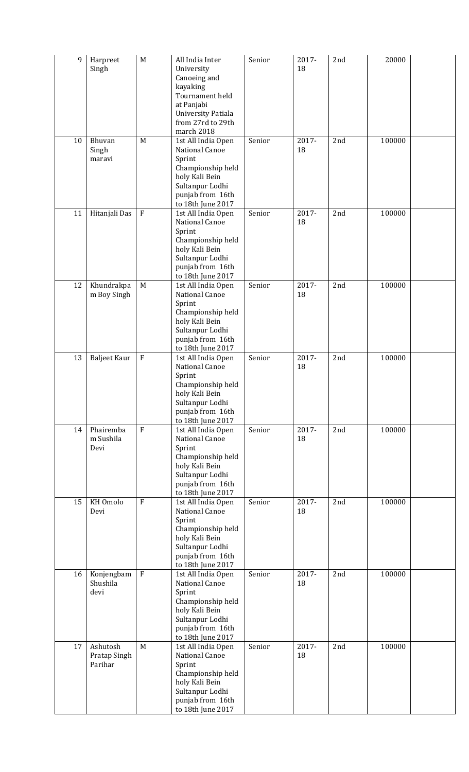| 9  | Harpreet<br>Singh                   | $\mathbf M$    | All India Inter<br>University<br>Canoeing and<br>kayaking<br>Tournament held<br>at Panjabi<br>University Patiala<br>from 27rd to 29th<br>march 2018      | Senior | 2017-<br>18    | 2nd | 20000  |  |
|----|-------------------------------------|----------------|----------------------------------------------------------------------------------------------------------------------------------------------------------|--------|----------------|-----|--------|--|
| 10 | Bhuvan<br>Singh<br>maravi           | M              | 1st All India Open<br>National Canoe<br>Sprint<br>Championship held<br>holy Kali Bein<br>Sultanpur Lodhi<br>punjab from 16th<br>to 18th June 2017        | Senior | 2017-<br>18    | 2nd | 100000 |  |
| 11 | Hitanjali Das                       | $\rm F$        | 1st All India Open<br><b>National Canoe</b><br>Sprint<br>Championship held<br>holy Kali Bein<br>Sultanpur Lodhi<br>punjab from 16th<br>to 18th June 2017 | Senior | 2017-<br>18    | 2nd | 100000 |  |
| 12 | Khundrakpa<br>m Boy Singh           | M              | 1st All India Open<br>National Canoe<br>Sprint<br>Championship held<br>holy Kali Bein<br>Sultanpur Lodhi<br>punjab from 16th<br>to 18th June 2017        | Senior | 2017-<br>18    | 2nd | 100000 |  |
| 13 | <b>Baljeet Kaur</b>                 | $\rm F$        | 1st All India Open<br>National Canoe<br>Sprint<br>Championship held<br>holy Kali Bein<br>Sultanpur Lodhi<br>punjab from 16th<br>to 18th June 2017        | Senior | 2017-<br>18    | 2nd | 100000 |  |
| 14 | Phairemba<br>m Sushila<br>Devi      | $\overline{F}$ | 1st All India Open<br>National Canoe<br>Sprint<br>Championship held<br>holy Kali Bein<br>Sultanpur Lodhi<br>punjab from 16th<br>to 18th June 2017        | Senior | 2017-<br>18    | 2nd | 100000 |  |
| 15 | KH Omolo<br>Devi                    | F              | 1st All India Open<br>National Canoe<br>Sprint<br>Championship held<br>holy Kali Bein<br>Sultanpur Lodhi<br>punjab from 16th<br>to 18th June 2017        | Senior | 2017-<br>18    | 2nd | 100000 |  |
| 16 | Konjengbam<br>Shushila<br>devi      | ${\bf F}$      | 1st All India Open<br>National Canoe<br>Sprint<br>Championship held<br>holy Kali Bein<br>Sultanpur Lodhi<br>punjab from 16th<br>to 18th June 2017        | Senior | 2017-<br>18    | 2nd | 100000 |  |
| 17 | Ashutosh<br>Pratap Singh<br>Parihar | M              | 1st All India Open<br>National Canoe<br>Sprint<br>Championship held<br>holy Kali Bein<br>Sultanpur Lodhi<br>punjab from 16th<br>to 18th June 2017        | Senior | $2017 -$<br>18 | 2nd | 100000 |  |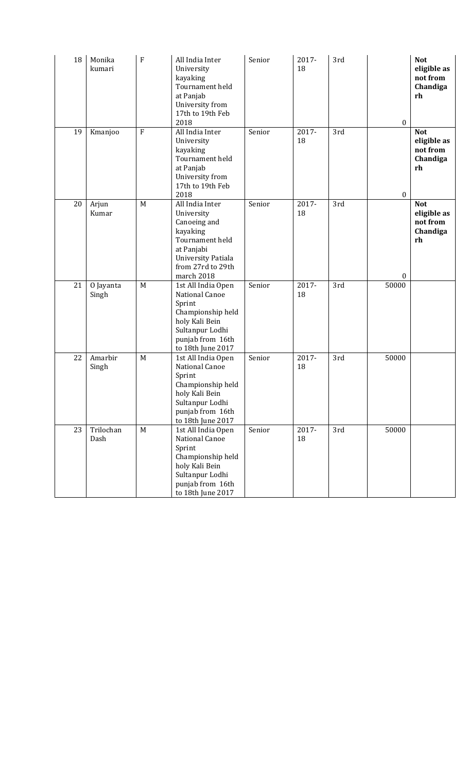| 18 | Monika<br>kumari   | ${\bf F}$ | All India Inter<br>University<br>kayaking<br>Tournament held<br>at Panjab<br>University from<br>17th to 19th Feb<br>2018                                 | Senior | 2017-<br>18 | 3rd | $\boldsymbol{0}$ | <b>Not</b><br>eligible as<br>not from<br>Chandiga<br>rh |
|----|--------------------|-----------|----------------------------------------------------------------------------------------------------------------------------------------------------------|--------|-------------|-----|------------------|---------------------------------------------------------|
| 19 | Kmanjoo            | ${\bf F}$ | All India Inter<br>University<br>kayaking<br>Tournament held<br>at Panjab<br>University from<br>17th to 19th Feb<br>2018                                 | Senior | 2017-<br>18 | 3rd | $\mathbf{0}$     | <b>Not</b><br>eligible as<br>not from<br>Chandiga<br>rh |
| 20 | Arjun<br>Kumar     | M         | All India Inter<br>University<br>Canoeing and<br>kayaking<br>Tournament held<br>at Panjabi<br>University Patiala<br>from 27rd to 29th<br>march 2018      | Senior | 2017-<br>18 | 3rd | $\boldsymbol{0}$ | <b>Not</b><br>eligible as<br>not from<br>Chandiga<br>rh |
| 21 | O Jayanta<br>Singh | M         | 1st All India Open<br>National Canoe<br>Sprint<br>Championship held<br>holy Kali Bein<br>Sultanpur Lodhi<br>punjab from 16th<br>to 18th June 2017        | Senior | 2017-<br>18 | 3rd | 50000            |                                                         |
| 22 | Amarbir<br>Singh   | M         | 1st All India Open<br><b>National Canoe</b><br>Sprint<br>Championship held<br>holy Kali Bein<br>Sultanpur Lodhi<br>punjab from 16th<br>to 18th June 2017 | Senior | 2017-<br>18 | 3rd | 50000            |                                                         |
| 23 | Trilochan<br>Dash  | M         | 1st All India Open<br>National Canoe<br>Sprint<br>Championship held<br>holy Kali Bein<br>Sultanpur Lodhi<br>punjab from 16th<br>to 18th June 2017        | Senior | 2017-<br>18 | 3rd | 50000            |                                                         |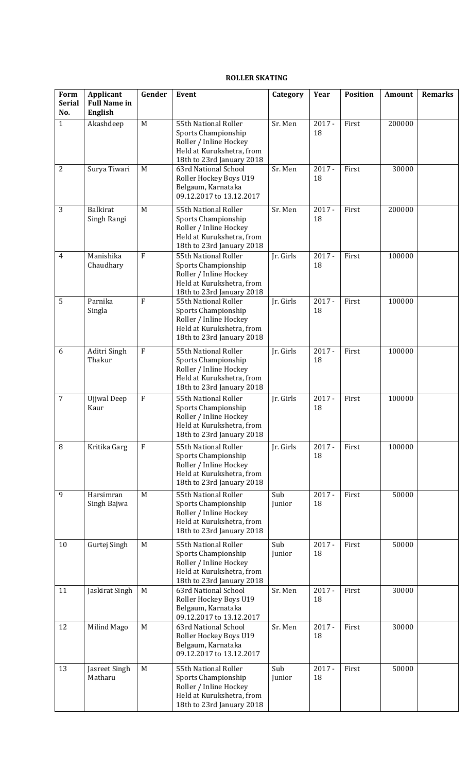#### **ROLLER SKATING**

| Form<br><b>Serial</b><br>No. | Applicant<br><b>Full Name in</b><br>English | Gender         | <b>Event</b>                                                                                                                    | Category              | Year           | <b>Position</b> | <b>Amount</b> | <b>Remarks</b> |
|------------------------------|---------------------------------------------|----------------|---------------------------------------------------------------------------------------------------------------------------------|-----------------------|----------------|-----------------|---------------|----------------|
| $\mathbf{1}$                 | Akashdeep                                   | M              | 55th National Roller<br>Sports Championship<br>Roller / Inline Hockey<br>Held at Kurukshetra, from<br>18th to 23rd January 2018 | $\overline{Sr}$ . Men | $2017 -$<br>18 | First           | 200000        |                |
| $\overline{2}$               | Surya Tiwari                                | M              | 63rd National School<br>Roller Hockey Boys U19<br>Belgaum, Karnataka<br>09.12.2017 to 13.12.2017                                | Sr. Men               | $2017 -$<br>18 | First           | 30000         |                |
| 3                            | <b>Balkirat</b><br>Singh Rangi              | M              | 55th National Roller<br>Sports Championship<br>Roller / Inline Hockey<br>Held at Kurukshetra, from<br>18th to 23rd January 2018 | Sr. Men               | $2017 -$<br>18 | First           | 200000        |                |
| $\overline{4}$               | Manishika<br>Chaudhary                      | $\overline{F}$ | 55th National Roller<br>Sports Championship<br>Roller / Inline Hockey<br>Held at Kurukshetra, from<br>18th to 23rd January 2018 | Jr. Girls             | $2017 -$<br>18 | First           | 100000        |                |
| 5                            | Parnika<br>Singla                           | $\mathbf{F}$   | 55th National Roller<br>Sports Championship<br>Roller / Inline Hockey<br>Held at Kurukshetra, from<br>18th to 23rd January 2018 | Ir. Girls             | $2017 -$<br>18 | First           | 100000        |                |
| 6                            | Aditri Singh<br>Thakur                      | $\mathbf{F}$   | 55th National Roller<br>Sports Championship<br>Roller / Inline Hockey<br>Held at Kurukshetra, from<br>18th to 23rd January 2018 | Jr. Girls             | $2017 -$<br>18 | First           | 100000        |                |
| $\overline{7}$               | <b>Ujjwal</b> Deep<br>Kaur                  | $\mathbf{F}$   | 55th National Roller<br>Sports Championship<br>Roller / Inline Hockey<br>Held at Kurukshetra, from<br>18th to 23rd January 2018 | Jr. Girls             | $2017 -$<br>18 | First           | 100000        |                |
| 8                            | Kritika Garg                                | $\overline{F}$ | 55th National Roller<br>Sports Championship<br>Roller / Inline Hockey<br>Held at Kurukshetra, from<br>18th to 23rd January 2018 | Jr. Girls             | $2017 -$<br>18 | First           | 100000        |                |
| 9                            | Harsimran<br>Singh Bajwa                    | M              | 55th National Roller<br>Sports Championship<br>Roller / Inline Hockey<br>Held at Kurukshetra, from<br>18th to 23rd January 2018 | Sub<br>Junior         | $2017 -$<br>18 | First           | 50000         |                |
| 10                           | Gurtej Singh                                | M              | 55th National Roller<br>Sports Championship<br>Roller / Inline Hockey<br>Held at Kurukshetra, from<br>18th to 23rd January 2018 | Sub<br>Junior         | $2017 -$<br>18 | First           | 50000         |                |
| 11                           | Jaskirat Singh                              | M              | 63rd National School<br>Roller Hockey Boys U19<br>Belgaum, Karnataka<br>09.12.2017 to 13.12.2017                                | Sr. Men               | $2017 -$<br>18 | First           | 30000         |                |
| 12                           | Milind Mago                                 | M              | 63rd National School<br>Roller Hockey Boys U19<br>Belgaum, Karnataka<br>09.12.2017 to 13.12.2017                                | Sr. Men               | $2017 -$<br>18 | First           | 30000         |                |
| 13                           | Jasreet Singh<br>Matharu                    | M              | 55th National Roller<br>Sports Championship<br>Roller / Inline Hockey<br>Held at Kurukshetra, from<br>18th to 23rd January 2018 | Sub<br>Junior         | $2017 -$<br>18 | First           | 50000         |                |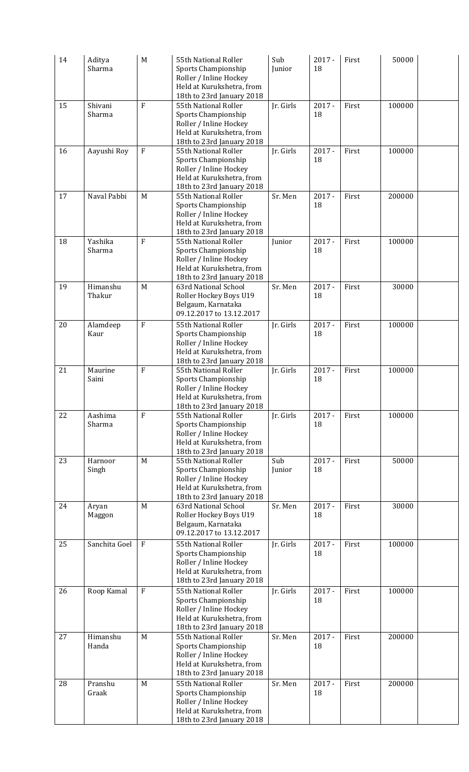| 14 | Aditya<br>Sharma   | M              | 55th National Roller<br>Sports Championship<br>Roller / Inline Hockey<br>Held at Kurukshetra, from<br>18th to 23rd January 2018 | Sub<br>Junior | $2017 -$<br>18 | First | 50000  |  |
|----|--------------------|----------------|---------------------------------------------------------------------------------------------------------------------------------|---------------|----------------|-------|--------|--|
| 15 | Shivani<br>Sharma  | F              | 55th National Roller<br>Sports Championship<br>Roller / Inline Hockey<br>Held at Kurukshetra, from<br>18th to 23rd January 2018 | Jr. Girls     | $2017 -$<br>18 | First | 100000 |  |
| 16 | Aayushi Roy        | ${\bf F}$      | 55th National Roller<br>Sports Championship<br>Roller / Inline Hockey<br>Held at Kurukshetra, from<br>18th to 23rd January 2018 | Jr. Girls     | $2017 -$<br>18 | First | 100000 |  |
| 17 | Naval Pabbi        | M              | 55th National Roller<br>Sports Championship<br>Roller / Inline Hockey<br>Held at Kurukshetra, from<br>18th to 23rd January 2018 | Sr. Men       | $2017 -$<br>18 | First | 200000 |  |
| 18 | Yashika<br>Sharma  | $\overline{F}$ | 55th National Roller<br>Sports Championship<br>Roller / Inline Hockey<br>Held at Kurukshetra, from<br>18th to 23rd January 2018 | Junior        | $2017 -$<br>18 | First | 100000 |  |
| 19 | Himanshu<br>Thakur | M              | 63rd National School<br>Roller Hockey Boys U19<br>Belgaum, Karnataka<br>09.12.2017 to 13.12.2017                                | Sr. Men       | $2017 -$<br>18 | First | 30000  |  |
| 20 | Alamdeep<br>Kaur   | $\mathbf{F}$   | 55th National Roller<br>Sports Championship<br>Roller / Inline Hockey<br>Held at Kurukshetra, from<br>18th to 23rd January 2018 | Jr. Girls     | $2017 -$<br>18 | First | 100000 |  |
| 21 | Maurine<br>Saini   | $\overline{F}$ | 55th National Roller<br>Sports Championship<br>Roller / Inline Hockey<br>Held at Kurukshetra, from<br>18th to 23rd January 2018 | Jr. Girls     | $2017 -$<br>18 | First | 100000 |  |
| 22 | Aashima<br>Sharma  | $\overline{F}$ | 55th National Roller<br>Sports Championship<br>Roller / Inline Hockey<br>Held at Kurukshetra, from<br>18th to 23rd January 2018 | Jr. Girls     | $2017 -$<br>18 | First | 100000 |  |
| 23 | Harnoor<br>Singh   | M              | 55th National Roller<br>Sports Championship<br>Roller / Inline Hockey<br>Held at Kurukshetra, from<br>18th to 23rd January 2018 | Sub<br>Junior | $2017 -$<br>18 | First | 50000  |  |
| 24 | Aryan<br>Maggon    | M              | 63rd National School<br>Roller Hockey Boys U19<br>Belgaum, Karnataka<br>09.12.2017 to 13.12.2017                                | Sr. Men       | $2017 -$<br>18 | First | 30000  |  |
| 25 | Sanchita Goel      | $\overline{F}$ | 55th National Roller<br>Sports Championship<br>Roller / Inline Hockey<br>Held at Kurukshetra, from<br>18th to 23rd January 2018 | Jr. Girls     | $2017 -$<br>18 | First | 100000 |  |
| 26 | Roop Kamal         | $\overline{F}$ | 55th National Roller<br>Sports Championship<br>Roller / Inline Hockey<br>Held at Kurukshetra, from<br>18th to 23rd January 2018 | Jr. Girls     | $2017 -$<br>18 | First | 100000 |  |
| 27 | Himanshu<br>Handa  | M              | 55th National Roller<br>Sports Championship<br>Roller / Inline Hockey<br>Held at Kurukshetra, from<br>18th to 23rd January 2018 | Sr. Men       | $2017 -$<br>18 | First | 200000 |  |
| 28 | Pranshu<br>Graak   | M              | 55th National Roller<br>Sports Championship<br>Roller / Inline Hockey<br>Held at Kurukshetra, from<br>18th to 23rd January 2018 | Sr. Men       | $2017 -$<br>18 | First | 200000 |  |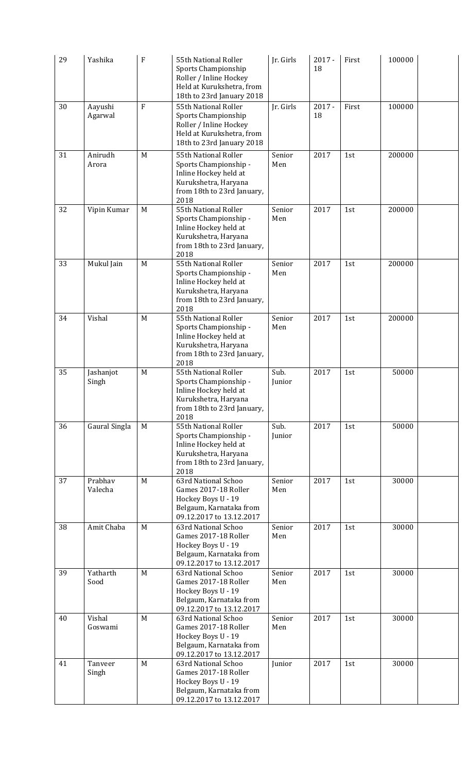| 29 | Yashika            | $\boldsymbol{F}$ | 55th National Roller<br>Sports Championship<br>Roller / Inline Hockey<br>Held at Kurukshetra, from<br>18th to 23rd January 2018      | Jr. Girls      | $2017 -$<br>18 | First | 100000 |  |
|----|--------------------|------------------|--------------------------------------------------------------------------------------------------------------------------------------|----------------|----------------|-------|--------|--|
| 30 | Aayushi<br>Agarwal | $\mathbf{F}$     | 55th National Roller<br>Sports Championship<br>Roller / Inline Hockey<br>Held at Kurukshetra, from<br>18th to 23rd January 2018      | Jr. Girls      | $2017 -$<br>18 | First | 100000 |  |
| 31 | Anirudh<br>Arora   | M                | 55th National Roller<br>Sports Championship -<br>Inline Hockey held at<br>Kurukshetra, Haryana<br>from 18th to 23rd January,<br>2018 | Senior<br>Men  | 2017           | 1st   | 200000 |  |
| 32 | Vipin Kumar        | M                | 55th National Roller<br>Sports Championship -<br>Inline Hockey held at<br>Kurukshetra, Haryana<br>from 18th to 23rd January,<br>2018 | Senior<br>Men  | 2017           | 1st   | 200000 |  |
| 33 | Mukul Jain         | M                | 55th National Roller<br>Sports Championship -<br>Inline Hockey held at<br>Kurukshetra, Haryana<br>from 18th to 23rd January,<br>2018 | Senior<br>Men  | 2017           | 1st   | 200000 |  |
| 34 | Vishal             | M                | 55th National Roller<br>Sports Championship -<br>Inline Hockey held at<br>Kurukshetra, Haryana<br>from 18th to 23rd January,<br>2018 | Senior<br>Men  | 2017           | 1st   | 200000 |  |
| 35 | Jashanjot<br>Singh | M                | 55th National Roller<br>Sports Championship -<br>Inline Hockey held at<br>Kurukshetra, Haryana<br>from 18th to 23rd January,<br>2018 | Sub.<br>Junior | 2017           | 1st   | 50000  |  |
| 36 | Gaural Singla      | M                | 55th National Roller<br>Sports Championship -<br>Inline Hockey held at<br>Kurukshetra, Haryana<br>from 18th to 23rd January,<br>2018 | Sub.<br>Junior | 2017           | 1st   | 50000  |  |
| 37 | Prabhav<br>Valecha | M                | 63rd National Schoo<br>Games 2017-18 Roller<br>Hockey Boys U - 19<br>Belgaum, Karnataka from<br>09.12.2017 to 13.12.2017             | Senior<br>Men  | 2017           | 1st   | 30000  |  |
| 38 | Amit Chaba         | M                | 63rd National Schoo<br>Games 2017-18 Roller<br>Hockey Boys U - 19<br>Belgaum, Karnataka from<br>09.12.2017 to 13.12.2017             | Senior<br>Men  | 2017           | 1st   | 30000  |  |
| 39 | Yatharth<br>Sood   | M                | 63rd National Schoo<br>Games 2017-18 Roller<br>Hockey Boys U - 19<br>Belgaum, Karnataka from<br>09.12.2017 to 13.12.2017             | Senior<br>Men  | 2017           | 1st   | 30000  |  |
| 40 | Vishal<br>Goswami  | M                | 63rd National Schoo<br>Games 2017-18 Roller<br>Hockey Boys U - 19<br>Belgaum, Karnataka from<br>09.12.2017 to 13.12.2017             | Senior<br>Men  | 2017           | 1st   | 30000  |  |
| 41 | Tanveer<br>Singh   | M                | 63rd National Schoo<br>Games 2017-18 Roller<br>Hockey Boys U - 19<br>Belgaum, Karnataka from<br>09.12.2017 to 13.12.2017             | Junior         | 2017           | 1st   | 30000  |  |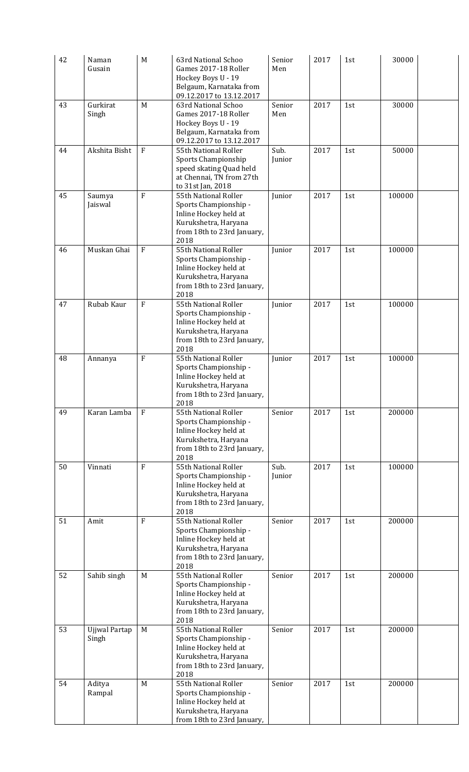| 42 | Naman<br>Gusain        | M                | 63rd National Schoo<br>Games 2017-18 Roller<br>Hockey Boys U - 19<br>Belgaum, Karnataka from<br>09.12.2017 to 13.12.2017             | Senior<br>Men  | 2017 | 1st | 30000  |  |
|----|------------------------|------------------|--------------------------------------------------------------------------------------------------------------------------------------|----------------|------|-----|--------|--|
| 43 | Gurkirat<br>Singh      | M                | 63rd National Schoo<br>Games 2017-18 Roller<br>Hockey Boys U - 19<br>Belgaum, Karnataka from<br>09.12.2017 to 13.12.2017             | Senior<br>Men  | 2017 | 1st | 30000  |  |
| 44 | Akshita Bisht          | ${\bf F}$        | 55th National Roller<br>Sports Championship<br>speed skating Quad held<br>at Chennai, TN from 27th<br>to 31st Jan, 2018              | Sub.<br>Junior | 2017 | 1st | 50000  |  |
| 45 | Saumya<br>Jaiswal      | $\overline{F}$   | 55th National Roller<br>Sports Championship -<br>Inline Hockey held at<br>Kurukshetra, Haryana<br>from 18th to 23rd January,<br>2018 | Junior         | 2017 | 1st | 100000 |  |
| 46 | Muskan Ghai            | $\mathbf{F}$     | 55th National Roller<br>Sports Championship -<br>Inline Hockey held at<br>Kurukshetra, Haryana<br>from 18th to 23rd January,<br>2018 | Junior         | 2017 | 1st | 100000 |  |
| 47 | Rubab Kaur             | ${\bf F}$        | 55th National Roller<br>Sports Championship -<br>Inline Hockey held at<br>Kurukshetra, Haryana<br>from 18th to 23rd January,<br>2018 | Junior         | 2017 | 1st | 100000 |  |
| 48 | Annanya                | $\boldsymbol{F}$ | 55th National Roller<br>Sports Championship -<br>Inline Hockey held at<br>Kurukshetra, Haryana<br>from 18th to 23rd January,<br>2018 | Junior         | 2017 | 1st | 100000 |  |
| 49 | Karan Lamba            | $\mathbf{F}$     | 55th National Roller<br>Sports Championship -<br>Inline Hockey held at<br>Kurukshetra, Haryana<br>from 18th to 23rd January,<br>2018 | Senior         | 2017 | 1st | 200000 |  |
| 50 | Vinnati                | F                | 55th National Roller<br>Sports Championship -<br>Inline Hockey held at<br>Kurukshetra, Haryana<br>from 18th to 23rd January,<br>2018 | Sub.<br>Junior | 2017 | 1st | 100000 |  |
| 51 | Amit                   | $\overline{F}$   | 55th National Roller<br>Sports Championship -<br>Inline Hockey held at<br>Kurukshetra, Haryana<br>from 18th to 23rd January,<br>2018 | Senior         | 2017 | 1st | 200000 |  |
| 52 | Sahib singh            | M                | 55th National Roller<br>Sports Championship -<br>Inline Hockey held at<br>Kurukshetra, Haryana<br>from 18th to 23rd January,<br>2018 | Senior         | 2017 | 1st | 200000 |  |
| 53 | Ujjwal Partap<br>Singh | M                | 55th National Roller<br>Sports Championship -<br>Inline Hockey held at<br>Kurukshetra, Haryana<br>from 18th to 23rd January,<br>2018 | Senior         | 2017 | 1st | 200000 |  |
| 54 | Aditya<br>Rampal       | M                | 55th National Roller<br>Sports Championship -<br>Inline Hockey held at<br>Kurukshetra, Haryana<br>from 18th to 23rd January,         | Senior         | 2017 | 1st | 200000 |  |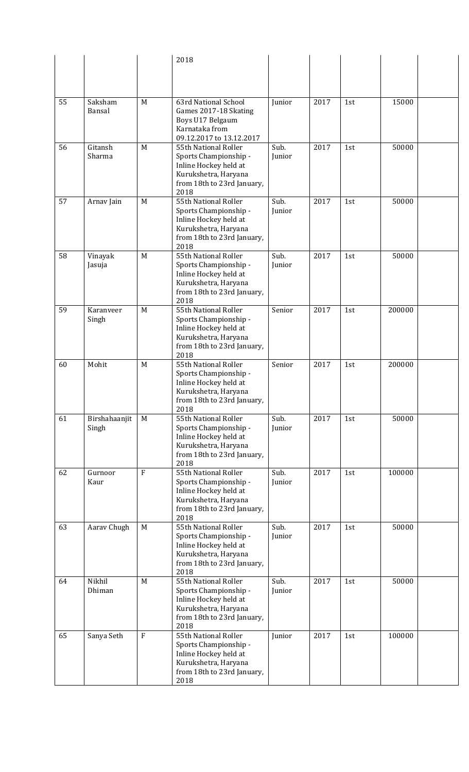|    |                   |         | 2018                                                           |                |      |     |        |  |
|----|-------------------|---------|----------------------------------------------------------------|----------------|------|-----|--------|--|
|    |                   |         |                                                                |                |      |     |        |  |
|    |                   |         |                                                                |                |      |     |        |  |
| 55 | Saksham<br>Bansal | M       | 63rd National School<br>Games 2017-18 Skating                  | Junior         | 2017 | 1st | 15000  |  |
|    |                   |         | Boys U17 Belgaum<br>Karnataka from<br>09.12.2017 to 13.12.2017 |                |      |     |        |  |
| 56 | Gitansh           | M       | 55th National Roller                                           | Sub.           | 2017 | 1st | 50000  |  |
|    | Sharma            |         | Sports Championship -                                          | Junior         |      |     |        |  |
|    |                   |         | Inline Hockey held at<br>Kurukshetra, Haryana                  |                |      |     |        |  |
|    |                   |         | from 18th to 23rd January,<br>2018                             |                |      |     |        |  |
| 57 | Arnav Jain        | M       | 55th National Roller                                           | Sub.           | 2017 | 1st | 50000  |  |
|    |                   |         | Sports Championship -<br>Inline Hockey held at                 | Junior         |      |     |        |  |
|    |                   |         | Kurukshetra, Haryana                                           |                |      |     |        |  |
|    |                   |         | from 18th to 23rd January,                                     |                |      |     |        |  |
|    |                   |         | 2018                                                           |                |      |     |        |  |
| 58 | Vinayak<br>Jasuja | M       | 55th National Roller<br>Sports Championship -                  | Sub.<br>Junior | 2017 | 1st | 50000  |  |
|    |                   |         | Inline Hockey held at                                          |                |      |     |        |  |
|    |                   |         | Kurukshetra, Haryana                                           |                |      |     |        |  |
|    |                   |         | from 18th to 23rd January,<br>2018                             |                |      |     |        |  |
| 59 | Karanveer         | M       | 55th National Roller                                           | Senior         | 2017 | 1st | 200000 |  |
|    | Singh             |         | Sports Championship -                                          |                |      |     |        |  |
|    |                   |         | Inline Hockey held at                                          |                |      |     |        |  |
|    |                   |         | Kurukshetra, Haryana<br>from 18th to 23rd January,             |                |      |     |        |  |
|    |                   |         | 2018                                                           |                |      |     |        |  |
| 60 | Mohit             | M       | 55th National Roller                                           | Senior         | 2017 | 1st | 200000 |  |
|    |                   |         | Sports Championship -<br>Inline Hockey held at                 |                |      |     |        |  |
|    |                   |         | Kurukshetra, Haryana                                           |                |      |     |        |  |
|    |                   |         | from 18th to 23rd January,                                     |                |      |     |        |  |
| 61 | Birshahaanjit     | M       | 2018<br>55th National Roller                                   | Sub.           | 2017 | 1st | 50000  |  |
|    | Singh             |         | Sports Championship -                                          | Junior         |      |     |        |  |
|    |                   |         | Inline Hockey held at                                          |                |      |     |        |  |
|    |                   |         | Kurukshetra, Haryana<br>from 18th to 23rd January,             |                |      |     |        |  |
|    |                   |         | 2018                                                           |                |      |     |        |  |
| 62 | Gurnoor           | F       | 55th National Roller                                           | Sub.           | 2017 | 1st | 100000 |  |
|    | Kaur              |         | Sports Championship -<br>Inline Hockey held at                 | Junior         |      |     |        |  |
|    |                   |         | Kurukshetra, Haryana                                           |                |      |     |        |  |
|    |                   |         | from 18th to 23rd January,                                     |                |      |     |        |  |
| 63 | Aarav Chugh       | M       | 2018<br>55th National Roller                                   | Sub.           | 2017 | 1st | 50000  |  |
|    |                   |         | Sports Championship -                                          | Junior         |      |     |        |  |
|    |                   |         | Inline Hockey held at                                          |                |      |     |        |  |
|    |                   |         | Kurukshetra, Haryana<br>from 18th to 23rd January,             |                |      |     |        |  |
|    |                   |         | 2018                                                           |                |      |     |        |  |
| 64 | Nikhil            | M       | 55th National Roller                                           | Sub.           | 2017 | 1st | 50000  |  |
|    | Dhiman            |         | Sports Championship -                                          | Junior         |      |     |        |  |
|    |                   |         | Inline Hockey held at<br>Kurukshetra, Haryana                  |                |      |     |        |  |
|    |                   |         | from 18th to 23rd January,                                     |                |      |     |        |  |
|    |                   |         | 2018                                                           |                |      |     |        |  |
| 65 | Sanya Seth        | $\rm F$ | 55th National Roller<br>Sports Championship -                  | Junior         | 2017 | 1st | 100000 |  |
|    |                   |         | Inline Hockey held at                                          |                |      |     |        |  |
|    |                   |         | Kurukshetra, Haryana                                           |                |      |     |        |  |
|    |                   |         | from 18th to 23rd January,<br>2018                             |                |      |     |        |  |
|    |                   |         |                                                                |                |      |     |        |  |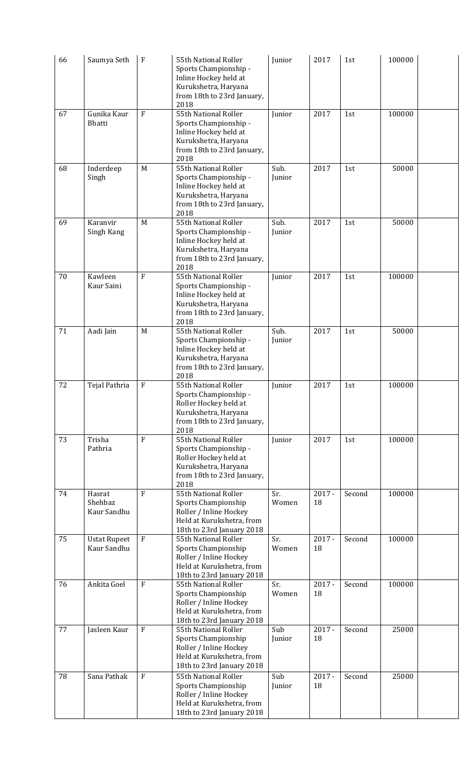| 66 | Saumya Seth                        | $\boldsymbol{F}$ | 55th National Roller<br>Sports Championship -<br>Inline Hockey held at<br>Kurukshetra, Haryana<br>from 18th to 23rd January,<br>2018 | Junior         | 2017           | 1st    | 100000 |  |
|----|------------------------------------|------------------|--------------------------------------------------------------------------------------------------------------------------------------|----------------|----------------|--------|--------|--|
| 67 | Gunika Kaur<br>Bhatti              | $\mathbf{F}$     | 55th National Roller<br>Sports Championship -<br>Inline Hockey held at<br>Kurukshetra, Haryana<br>from 18th to 23rd January,<br>2018 | Junior         | 2017           | 1st    | 100000 |  |
| 68 | Inderdeep<br>Singh                 | M                | 55th National Roller<br>Sports Championship -<br>Inline Hockey held at<br>Kurukshetra, Haryana<br>from 18th to 23rd January,<br>2018 | Sub.<br>Junior | 2017           | 1st    | 50000  |  |
| 69 | Karanvir<br>Singh Kang             | M                | 55th National Roller<br>Sports Championship -<br>Inline Hockey held at<br>Kurukshetra, Haryana<br>from 18th to 23rd January,<br>2018 | Sub.<br>Junior | 2017           | 1st    | 50000  |  |
| 70 | Kawleen<br>Kaur Saini              | $\overline{F}$   | 55th National Roller<br>Sports Championship -<br>Inline Hockey held at<br>Kurukshetra, Haryana<br>from 18th to 23rd January,<br>2018 | Junior         | 2017           | 1st    | 100000 |  |
| 71 | Aadi Jain                          | M                | 55th National Roller<br>Sports Championship -<br>Inline Hockey held at<br>Kurukshetra, Haryana<br>from 18th to 23rd January,<br>2018 | Sub.<br>Junior | 2017           | 1st    | 50000  |  |
| 72 | Tejal Pathria                      | $\boldsymbol{F}$ | 55th National Roller<br>Sports Championship -<br>Roller Hockey held at<br>Kurukshetra, Haryana<br>from 18th to 23rd January,<br>2018 | Junior         | 2017           | 1st    | 100000 |  |
| 73 | Trisha<br>Pathria                  | $\mathbf{F}$     | 55th National Roller<br>Sports Championship -<br>Roller Hockey held at<br>Kurukshetra, Haryana<br>from 18th to 23rd January,<br>2018 | Junior         | 2017           | 1st    | 100000 |  |
| 74 | Hasrat<br>Shehbaz<br>Kaur Sandhu   | $\mathbf{F}$     | 55th National Roller<br>Sports Championship<br>Roller / Inline Hockey<br>Held at Kurukshetra, from<br>18th to 23rd January 2018      | Sr.<br>Women   | $2017 -$<br>18 | Second | 100000 |  |
| 75 | <b>Ustat Rupeet</b><br>Kaur Sandhu | $\mathbf{F}$     | 55th National Roller<br>Sports Championship<br>Roller / Inline Hockey<br>Held at Kurukshetra, from<br>18th to 23rd January 2018      | Sr.<br>Women   | $2017 -$<br>18 | Second | 100000 |  |
| 76 | Ankita Goel                        | $\rm F$          | 55th National Roller<br>Sports Championship<br>Roller / Inline Hockey<br>Held at Kurukshetra, from<br>18th to 23rd January 2018      | Sr.<br>Women   | $2017 -$<br>18 | Second | 100000 |  |
| 77 | Jasleen Kaur                       | $\mathbf{F}$     | 55th National Roller<br>Sports Championship<br>Roller / Inline Hockey<br>Held at Kurukshetra, from<br>18th to 23rd January 2018      | Sub<br>Junior  | $2017 -$<br>18 | Second | 25000  |  |
| 78 | Sana Pathak                        | ${\bf F}$        | 55th National Roller<br>Sports Championship<br>Roller / Inline Hockey<br>Held at Kurukshetra, from<br>18th to 23rd January 2018      | Sub<br>Junior  | $2017 -$<br>18 | Second | 25000  |  |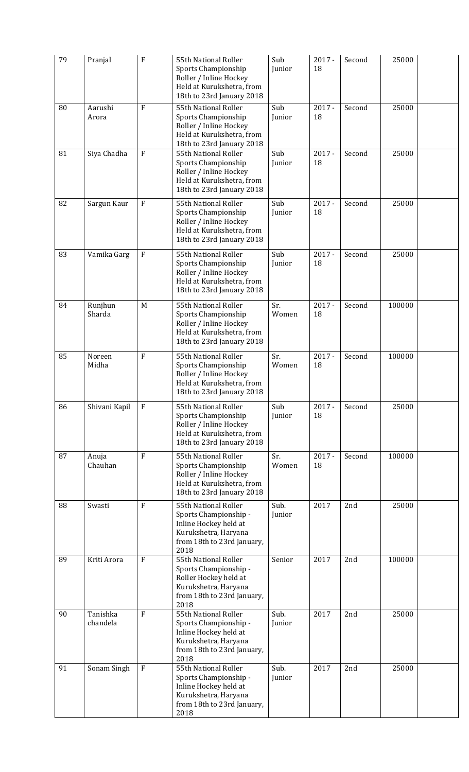| 79 | Pranjal              | F              | 55th National Roller<br>Sports Championship<br>Roller / Inline Hockey<br>Held at Kurukshetra, from<br>18th to 23rd January 2018      | Sub<br>Junior  | $2017 -$<br>18            | Second | 25000  |  |
|----|----------------------|----------------|--------------------------------------------------------------------------------------------------------------------------------------|----------------|---------------------------|--------|--------|--|
| 80 | Aarushi<br>Arora     | F              | 55th National Roller<br>Sports Championship<br>Roller / Inline Hockey<br>Held at Kurukshetra, from<br>18th to 23rd January 2018      | Sub<br>Junior  | $2017 -$<br>18            | Second | 25000  |  |
| 81 | Siya Chadha          | $\mathbf F$    | 55th National Roller<br>Sports Championship<br>Roller / Inline Hockey<br>Held at Kurukshetra, from<br>18th to 23rd January 2018      | Sub<br>Junior  | $2017 -$<br>18            | Second | 25000  |  |
| 82 | Sargun Kaur          | $\rm F$        | 55th National Roller<br>Sports Championship<br>Roller / Inline Hockey<br>Held at Kurukshetra, from<br>18th to 23rd January 2018      | Sub<br>Junior  | $2017 -$<br>18            | Second | 25000  |  |
| 83 | Vamika Garg          | $\rm F$        | 55th National Roller<br>Sports Championship<br>Roller / Inline Hockey<br>Held at Kurukshetra, from<br>18th to 23rd January 2018      | Sub<br>Junior  | $2017 -$<br>18            | Second | 25000  |  |
| 84 | Runjhun<br>Sharda    | M              | 55th National Roller<br>Sports Championship<br>Roller / Inline Hockey<br>Held at Kurukshetra, from<br>18th to 23rd January 2018      | Sr.<br>Women   | $2017 -$<br>18            | Second | 100000 |  |
| 85 | Noreen<br>Midha      | $\overline{F}$ | 55th National Roller<br>Sports Championship<br>Roller / Inline Hockey<br>Held at Kurukshetra, from<br>18th to 23rd January 2018      | Sr.<br>Women   | $\overline{2017}$ -<br>18 | Second | 100000 |  |
| 86 | Shivani Kapil        | $\mathbf{F}$   | 55th National Roller<br>Sports Championship<br>Roller / Inline Hockey<br>Held at Kurukshetra, from<br>18th to 23rd January 2018      | Sub<br>Junior  | $2017 -$<br>18            | Second | 25000  |  |
| 87 | Anuja<br>Chauhan     | $\mathbf{F}$   | 55th National Roller<br>Sports Championship<br>Roller / Inline Hockey<br>Held at Kurukshetra, from<br>18th to 23rd January 2018      | Sr.<br>Women   | $2017 -$<br>18            | Second | 100000 |  |
| 88 | Swasti               | $\rm F$        | 55th National Roller<br>Sports Championship -<br>Inline Hockey held at<br>Kurukshetra, Haryana<br>from 18th to 23rd January,<br>2018 | Sub.<br>Junior | 2017                      | 2nd    | 25000  |  |
| 89 | Kriti Arora          | $\overline{F}$ | 55th National Roller<br>Sports Championship -<br>Roller Hockey held at<br>Kurukshetra, Haryana<br>from 18th to 23rd January,<br>2018 | Senior         | 2017                      | 2nd    | 100000 |  |
| 90 | Tanishka<br>chandela | $\overline{F}$ | 55th National Roller<br>Sports Championship -<br>Inline Hockey held at<br>Kurukshetra, Haryana<br>from 18th to 23rd January,<br>2018 | Sub.<br>Junior | 2017                      | 2nd    | 25000  |  |
| 91 | Sonam Singh          | $\rm F$        | 55th National Roller<br>Sports Championship -<br>Inline Hockey held at<br>Kurukshetra, Haryana<br>from 18th to 23rd January,<br>2018 | Sub.<br>Junior | 2017                      | 2nd    | 25000  |  |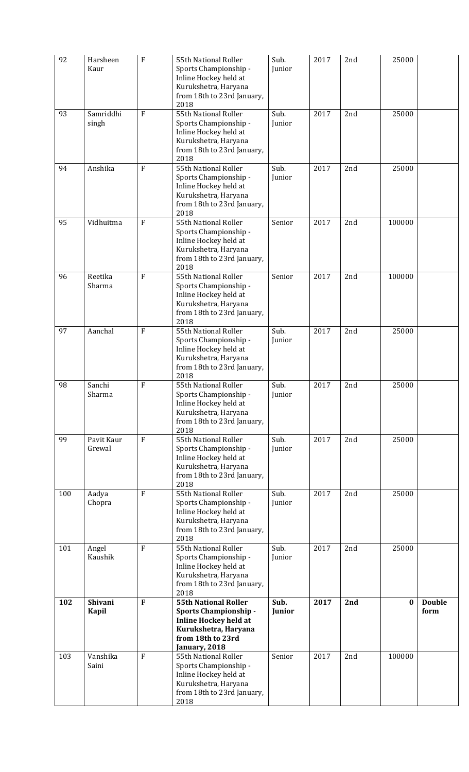| 92  | Harsheen<br>Kaur        | F              | 55th National Roller<br>Sports Championship -<br>Inline Hockey held at<br>Kurukshetra, Haryana<br>from 18th to 23rd January,<br>2018                      | Sub.<br>Junior | 2017 | 2nd | 25000    |                       |
|-----|-------------------------|----------------|-----------------------------------------------------------------------------------------------------------------------------------------------------------|----------------|------|-----|----------|-----------------------|
| 93  | Samriddhi<br>singh      | $\overline{F}$ | 55th National Roller<br>Sports Championship -<br>Inline Hockey held at<br>Kurukshetra, Haryana<br>from 18th to 23rd January,<br>2018                      | Sub.<br>Junior | 2017 | 2nd | 25000    |                       |
| 94  | Anshika                 | F              | 55th National Roller<br>Sports Championship -<br>Inline Hockey held at<br>Kurukshetra, Haryana<br>from 18th to 23rd January,<br>2018                      | Sub.<br>Junior | 2017 | 2nd | 25000    |                       |
| 95  | Vidhuitma               | $\overline{F}$ | 55th National Roller<br>Sports Championship -<br>Inline Hockey held at<br>Kurukshetra, Haryana<br>from 18th to 23rd January,<br>2018                      | Senior         | 2017 | 2nd | 100000   |                       |
| 96  | Reetika<br>Sharma       | $\overline{F}$ | 55th National Roller<br>Sports Championship -<br>Inline Hockey held at<br>Kurukshetra, Haryana<br>from 18th to 23rd January,<br>2018                      | Senior         | 2017 | 2nd | 100000   |                       |
| 97  | Aanchal                 | $\overline{F}$ | 55th National Roller<br>Sports Championship -<br>Inline Hockey held at<br>Kurukshetra, Haryana<br>from 18th to 23rd January,<br>2018                      | Sub.<br>Junior | 2017 | 2nd | 25000    |                       |
| 98  | Sanchi<br>Sharma        | F              | 55th National Roller<br>Sports Championship -<br>Inline Hockey held at<br>Kurukshetra, Haryana<br>from 18th to 23rd January,<br>2018                      | Sub.<br>Junior | 2017 | 2nd | 25000    |                       |
| 99  | Pavit Kaur<br>Grewal    | ${\bf F}$      | 55th National Roller<br>Sports Championship -<br>Inline Hockey held at<br>Kurukshetra, Haryana<br>from 18th to 23rd January,<br>2018                      | Sub.<br>Junior | 2017 | 2nd | 25000    |                       |
| 100 | Aadya<br>Chopra         | $\mathbf F$    | 55th National Roller<br>Sports Championship -<br>Inline Hockey held at<br>Kurukshetra, Haryana<br>from 18th to 23rd January,<br>2018                      | Sub.<br>Junior | 2017 | 2nd | 25000    |                       |
| 101 | Angel<br>Kaushik        | $\overline{F}$ | 55th National Roller<br>Sports Championship -<br>Inline Hockey held at<br>Kurukshetra, Haryana<br>from 18th to 23rd January,<br>2018                      | Sub.<br>Junior | 2017 | 2nd | 25000    |                       |
| 102 | <b>Shivani</b><br>Kapil | $\mathbf F$    | <b>55th National Roller</b><br><b>Sports Championship -</b><br><b>Inline Hockey held at</b><br>Kurukshetra, Haryana<br>from 18th to 23rd<br>January, 2018 | Sub.<br>Junior | 2017 | 2nd | $\bf{0}$ | <b>Double</b><br>form |
| 103 | Vanshika<br>Saini       | F              | 55th National Roller<br>Sports Championship -<br>Inline Hockey held at<br>Kurukshetra, Haryana<br>from 18th to 23rd January,<br>2018                      | Senior         | 2017 | 2nd | 100000   |                       |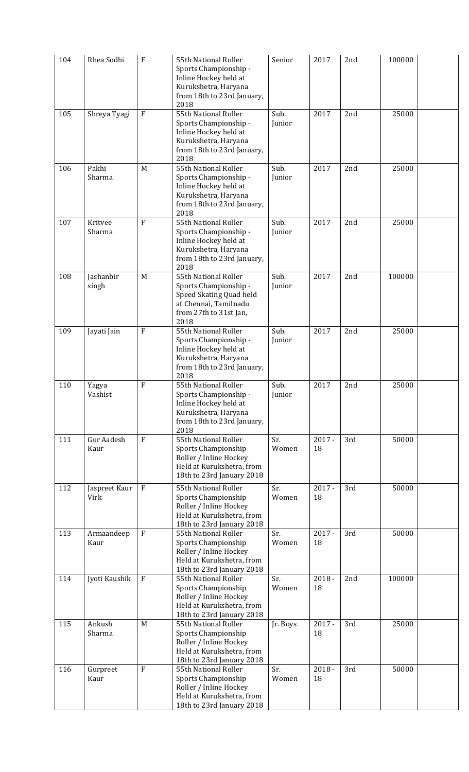| 104 | Rhea Sodhi                | F              | 55th National Roller<br>Sports Championship -<br>Inline Hockey held at<br>Kurukshetra, Haryana<br>from 18th to 23rd January,<br>2018 | Senior         | 2017           | 2nd | 100000 |  |
|-----|---------------------------|----------------|--------------------------------------------------------------------------------------------------------------------------------------|----------------|----------------|-----|--------|--|
| 105 | Shreya Tyagi              | $\rm F$        | 55th National Roller<br>Sports Championship -<br>Inline Hockey held at<br>Kurukshetra, Haryana<br>from 18th to 23rd January,<br>2018 | Sub.<br>Junior | 2017           | 2nd | 25000  |  |
| 106 | Pakhi<br>Sharma           | M              | 55th National Roller<br>Sports Championship -<br>Inline Hockey held at<br>Kurukshetra, Haryana<br>from 18th to 23rd January,<br>2018 | Sub.<br>Junior | 2017           | 2nd | 25000  |  |
| 107 | Kritvee<br>Sharma         | $\overline{F}$ | 55th National Roller<br>Sports Championship -<br>Inline Hockey held at<br>Kurukshetra, Haryana<br>from 18th to 23rd January,<br>2018 | Sub.<br>Junior | 2017           | 2nd | 25000  |  |
| 108 | Jashanbir<br>singh        | M              | 55th National Roller<br>Sports Championship -<br>Speed Skating Quad held<br>at Chennai, Tamilnadu<br>from 27th to 31st Jan,<br>2018  | Sub.<br>Junior | 2017           | 2nd | 100000 |  |
| 109 | Jayati Jain               | $\rm F$        | 55th National Roller<br>Sports Championship -<br>Inline Hockey held at<br>Kurukshetra, Haryana<br>from 18th to 23rd January,<br>2018 | Sub.<br>Junior | 2017           | 2nd | 25000  |  |
| 110 | Yagya<br>Vashist          | F              | 55th National Roller<br>Sports Championship -<br>Inline Hockey held at<br>Kurukshetra, Haryana<br>from 18th to 23rd January,<br>2018 | Sub.<br>Junior | 2017           | 2nd | 25000  |  |
| 111 | <b>Gur Aadesh</b><br>Kaur | $\overline{F}$ | 55th National Roller<br>Sports Championship<br>Roller / Inline Hockey<br>Held at Kurukshetra, from<br>18th to 23rd January 2018      | Sr.<br>Women   | $2017 -$<br>18 | 3rd | 50000  |  |
| 112 | Jaspreet Kaur<br>Virk     | F              | 55th National Roller<br>Sports Championship<br>Roller / Inline Hockey<br>Held at Kurukshetra, from<br>18th to 23rd January 2018      | Sr.<br>Women   | $2017 -$<br>18 | 3rd | 50000  |  |
| 113 | Armaandeep<br>Kaur        | $\rm F$        | 55th National Roller<br>Sports Championship<br>Roller / Inline Hockey<br>Held at Kurukshetra, from<br>18th to 23rd January 2018      | Sr.<br>Women   | $2017 -$<br>18 | 3rd | 50000  |  |
| 114 | Jyoti Kaushik             | $\rm F$        | 55th National Roller<br>Sports Championship<br>Roller / Inline Hockey<br>Held at Kurukshetra, from<br>18th to 23rd January 2018      | Sr.<br>Women   | $2018 -$<br>18 | 2nd | 100000 |  |
| 115 | Ankush<br>Sharma          | M              | 55th National Roller<br>Sports Championship<br>Roller / Inline Hockey<br>Held at Kurukshetra, from<br>18th to 23rd January 2018      | Jr. Boys       | $2017 -$<br>18 | 3rd | 25000  |  |
| 116 | Gurpreet<br>Kaur          | $\overline{F}$ | 55th National Roller<br>Sports Championship<br>Roller / Inline Hockey<br>Held at Kurukshetra, from<br>18th to 23rd January 2018      | Sr.<br>Women   | $2018 -$<br>18 | 3rd | 50000  |  |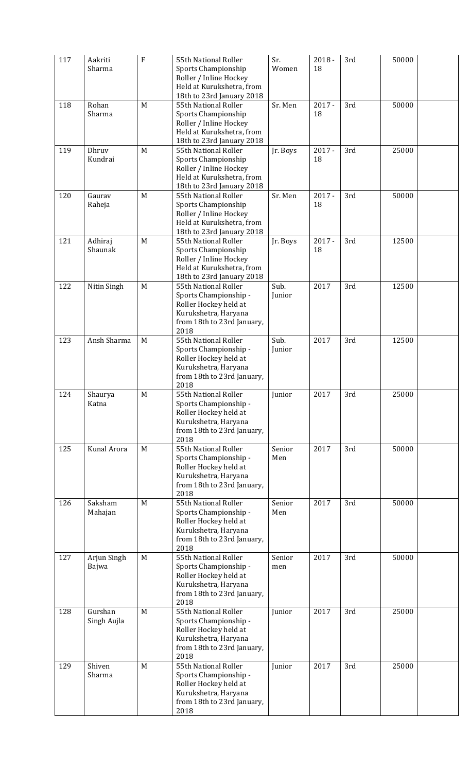| 117 | Aakriti<br>Sharma      | $\mathbf F$ | 55th National Roller<br>Sports Championship<br>Roller / Inline Hockey                                                                | Sr.<br>Women   | $2018 -$<br>18 | 3rd | 50000 |  |
|-----|------------------------|-------------|--------------------------------------------------------------------------------------------------------------------------------------|----------------|----------------|-----|-------|--|
|     |                        |             | Held at Kurukshetra, from<br>18th to 23rd January 2018                                                                               |                |                |     |       |  |
| 118 | Rohan<br>Sharma        | M           | 55th National Roller<br>Sports Championship<br>Roller / Inline Hockey<br>Held at Kurukshetra, from<br>18th to 23rd January 2018      | Sr. Men        | $2017 -$<br>18 | 3rd | 50000 |  |
| 119 | Dhruv<br>Kundrai       | M           | 55th National Roller<br>Sports Championship<br>Roller / Inline Hockey<br>Held at Kurukshetra, from<br>18th to 23rd January 2018      | Jr. Boys       | $2017 -$<br>18 | 3rd | 25000 |  |
| 120 | Gaurav<br>Raheja       | M           | 55th National Roller<br>Sports Championship<br>Roller / Inline Hockey<br>Held at Kurukshetra, from<br>18th to 23rd January 2018      | Sr. Men        | $2017 -$<br>18 | 3rd | 50000 |  |
| 121 | Adhiraj<br>Shaunak     | M           | 55th National Roller<br>Sports Championship<br>Roller / Inline Hockey<br>Held at Kurukshetra, from<br>18th to 23rd January 2018      | Jr. Boys       | $2017 -$<br>18 | 3rd | 12500 |  |
| 122 | Nitin Singh            | M           | 55th National Roller<br>Sports Championship -<br>Roller Hockey held at<br>Kurukshetra, Haryana<br>from 18th to 23rd January,<br>2018 | Sub.<br>Junior | 2017           | 3rd | 12500 |  |
| 123 | Ansh Sharma            | M           | 55th National Roller<br>Sports Championship -<br>Roller Hockey held at<br>Kurukshetra, Haryana<br>from 18th to 23rd January,<br>2018 | Sub.<br>Junior | 2017           | 3rd | 12500 |  |
| 124 | Shaurya<br>Katna       | M           | 55th National Roller<br>Sports Championship -<br>Roller Hockey held at<br>Kurukshetra, Haryana<br>from 18th to 23rd January,<br>2018 | <b>Junior</b>  | 2017           | 3rd | 25000 |  |
| 125 | Kunal Arora            | M           | 55th National Roller<br>Sports Championship -<br>Roller Hockey held at<br>Kurukshetra, Haryana<br>from 18th to 23rd January,<br>2018 | Senior<br>Men  | 2017           | 3rd | 50000 |  |
| 126 | Saksham<br>Mahajan     | M           | 55th National Roller<br>Sports Championship -<br>Roller Hockey held at<br>Kurukshetra, Haryana<br>from 18th to 23rd January,<br>2018 | Senior<br>Men  | 2017           | 3rd | 50000 |  |
| 127 | Arjun Singh<br>Bajwa   | M           | 55th National Roller<br>Sports Championship -<br>Roller Hockey held at<br>Kurukshetra, Haryana<br>from 18th to 23rd January,<br>2018 | Senior<br>men  | 2017           | 3rd | 50000 |  |
| 128 | Gurshan<br>Singh Aujla | M           | 55th National Roller<br>Sports Championship -<br>Roller Hockey held at<br>Kurukshetra, Haryana<br>from 18th to 23rd January,<br>2018 | Junior         | 2017           | 3rd | 25000 |  |
| 129 | Shiven<br>Sharma       | M           | 55th National Roller<br>Sports Championship -<br>Roller Hockey held at<br>Kurukshetra, Haryana<br>from 18th to 23rd January,<br>2018 | Junior         | 2017           | 3rd | 25000 |  |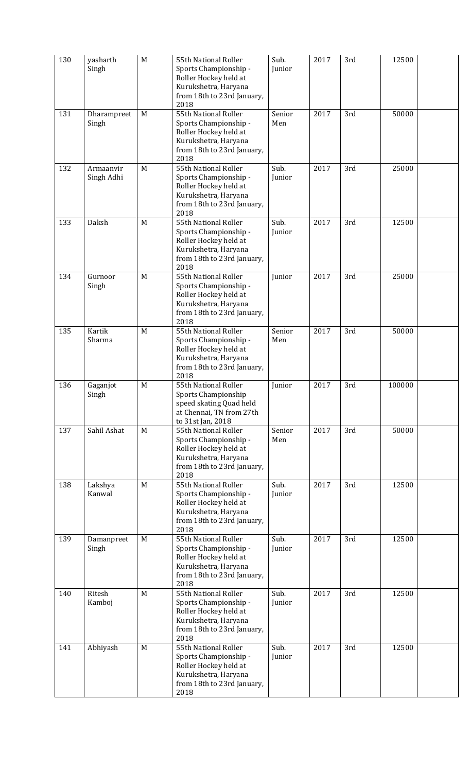| 130 | yasharth<br>Singh       | M | 55th National Roller<br>Sports Championship -<br>Roller Hockey held at<br>Kurukshetra, Haryana<br>from 18th to 23rd January,<br>2018 | Sub.<br>Junior | 2017 | 3rd | 12500  |  |
|-----|-------------------------|---|--------------------------------------------------------------------------------------------------------------------------------------|----------------|------|-----|--------|--|
| 131 | Dharampreet<br>Singh    | M | 55th National Roller<br>Sports Championship -<br>Roller Hockey held at<br>Kurukshetra, Haryana<br>from 18th to 23rd January,<br>2018 | Senior<br>Men  | 2017 | 3rd | 50000  |  |
| 132 | Armaanvir<br>Singh Adhi | M | 55th National Roller<br>Sports Championship -<br>Roller Hockey held at<br>Kurukshetra, Haryana<br>from 18th to 23rd January,<br>2018 | Sub.<br>Junior | 2017 | 3rd | 25000  |  |
| 133 | Daksh                   | M | 55th National Roller<br>Sports Championship -<br>Roller Hockey held at<br>Kurukshetra, Haryana<br>from 18th to 23rd January,<br>2018 | Sub.<br>Junior | 2017 | 3rd | 12500  |  |
| 134 | Gurnoor<br>Singh        | M | 55th National Roller<br>Sports Championship -<br>Roller Hockey held at<br>Kurukshetra, Haryana<br>from 18th to 23rd January,<br>2018 | Junior         | 2017 | 3rd | 25000  |  |
| 135 | Kartik<br>Sharma        | M | 55th National Roller<br>Sports Championship -<br>Roller Hockey held at<br>Kurukshetra, Haryana<br>from 18th to 23rd January,<br>2018 | Senior<br>Men  | 2017 | 3rd | 50000  |  |
| 136 | Gaganjot<br>Singh       | M | 55th National Roller<br>Sports Championship<br>speed skating Quad held<br>at Chennai, TN from 27th<br>to 31st Jan, 2018              | Junior         | 2017 | 3rd | 100000 |  |
| 137 | Sahil Ashat             | M | 55th National Roller<br>Sports Championship -<br>Roller Hockey held at<br>Kurukshetra, Haryana<br>from 18th to 23rd January,<br>2018 | Senior<br>Men  | 2017 | 3rd | 50000  |  |
| 138 | Lakshya<br>Kanwal       | M | 55th National Roller<br>Sports Championship -<br>Roller Hockey held at<br>Kurukshetra, Haryana<br>from 18th to 23rd January,<br>2018 | Sub.<br>Junior | 2017 | 3rd | 12500  |  |
| 139 | Damanpreet<br>Singh     | M | 55th National Roller<br>Sports Championship -<br>Roller Hockey held at<br>Kurukshetra, Haryana<br>from 18th to 23rd January,<br>2018 | Sub.<br>Junior | 2017 | 3rd | 12500  |  |
| 140 | Ritesh<br>Kamboj        | M | 55th National Roller<br>Sports Championship -<br>Roller Hockey held at<br>Kurukshetra, Haryana<br>from 18th to 23rd January,<br>2018 | Sub.<br>Junior | 2017 | 3rd | 12500  |  |
| 141 | Abhiyash                | M | 55th National Roller<br>Sports Championship -<br>Roller Hockey held at<br>Kurukshetra, Haryana<br>from 18th to 23rd January,<br>2018 | Sub.<br>Junior | 2017 | 3rd | 12500  |  |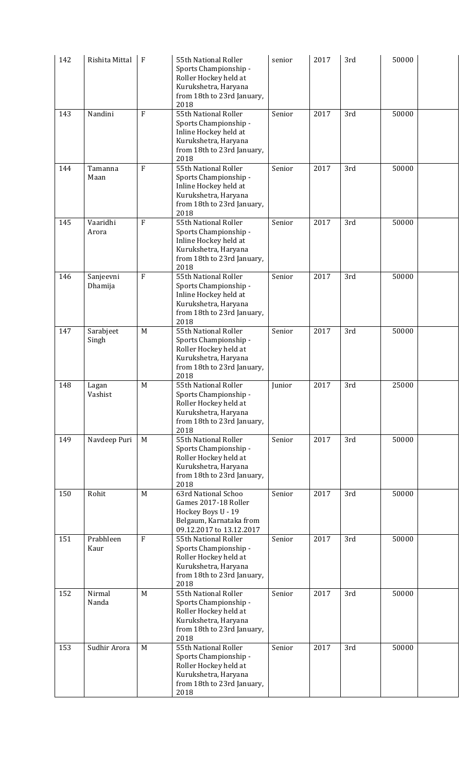| 142 | Rishita Mittal       | $\mathbf F$    | 55th National Roller<br>Sports Championship -<br>Roller Hockey held at<br>Kurukshetra, Haryana<br>from 18th to 23rd January,<br>2018 | senior | 2017 | 3rd | 50000 |  |
|-----|----------------------|----------------|--------------------------------------------------------------------------------------------------------------------------------------|--------|------|-----|-------|--|
| 143 | Nandini              | $\overline{F}$ | 55th National Roller<br>Sports Championship -<br>Inline Hockey held at<br>Kurukshetra, Haryana<br>from 18th to 23rd January,<br>2018 | Senior | 2017 | 3rd | 50000 |  |
| 144 | Tamanna<br>Maan      | $\mathbf{F}$   | 55th National Roller<br>Sports Championship -<br>Inline Hockey held at<br>Kurukshetra, Haryana<br>from 18th to 23rd January,<br>2018 | Senior | 2017 | 3rd | 50000 |  |
| 145 | Vaaridhi<br>Arora    | $\overline{F}$ | 55th National Roller<br>Sports Championship -<br>Inline Hockey held at<br>Kurukshetra, Haryana<br>from 18th to 23rd January,<br>2018 | Senior | 2017 | 3rd | 50000 |  |
| 146 | Sanjeevni<br>Dhamija | $\mathbf{F}$   | 55th National Roller<br>Sports Championship -<br>Inline Hockey held at<br>Kurukshetra, Haryana<br>from 18th to 23rd January,<br>2018 | Senior | 2017 | 3rd | 50000 |  |
| 147 | Sarabjeet<br>Singh   | M              | 55th National Roller<br>Sports Championship -<br>Roller Hockey held at<br>Kurukshetra, Haryana<br>from 18th to 23rd January,<br>2018 | Senior | 2017 | 3rd | 50000 |  |
| 148 | Lagan<br>Vashist     | M              | 55th National Roller<br>Sports Championship -<br>Roller Hockey held at<br>Kurukshetra, Haryana<br>from 18th to 23rd January,<br>2018 | Junior | 2017 | 3rd | 25000 |  |
| 149 | Navdeep Puri         | M              | 55th National Roller<br>Sports Championship -<br>Roller Hockey held at<br>Kurukshetra, Haryana<br>from 18th to 23rd January,<br>2018 | Senior | 2017 | 3rd | 50000 |  |
| 150 | Rohit                | M              | 63rd National Schoo<br>Games 2017-18 Roller<br>Hockey Boys U - 19<br>Belgaum, Karnataka from<br>09.12.2017 to 13.12.2017             | Senior | 2017 | 3rd | 50000 |  |
| 151 | Prabhleen<br>Kaur    | $\overline{F}$ | 55th National Roller<br>Sports Championship -<br>Roller Hockey held at<br>Kurukshetra, Haryana<br>from 18th to 23rd January,<br>2018 | Senior | 2017 | 3rd | 50000 |  |
| 152 | Nirmal<br>Nanda      | M              | 55th National Roller<br>Sports Championship -<br>Roller Hockey held at<br>Kurukshetra, Haryana<br>from 18th to 23rd January,<br>2018 | Senior | 2017 | 3rd | 50000 |  |
| 153 | Sudhir Arora         | M              | 55th National Roller<br>Sports Championship -<br>Roller Hockey held at<br>Kurukshetra, Haryana<br>from 18th to 23rd January,<br>2018 | Senior | 2017 | 3rd | 50000 |  |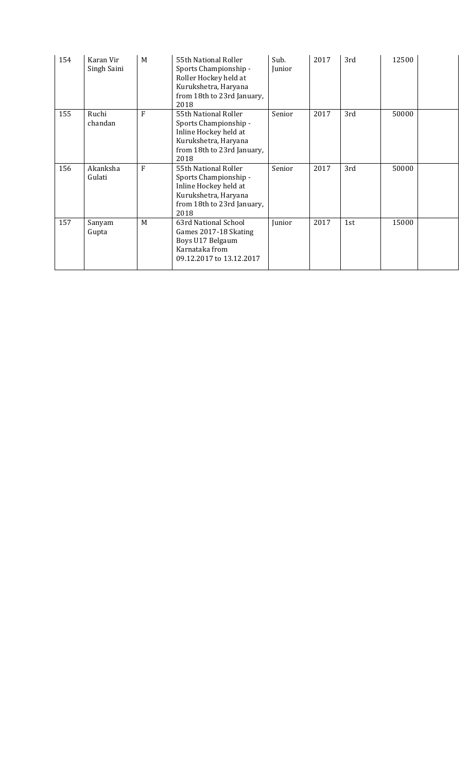| 154 | Karan Vir<br>Singh Saini | M | 55th National Roller<br>Sports Championship -<br>Roller Hockey held at<br>Kurukshetra, Haryana<br>from 18th to 23rd January,<br>2018 | Sub.<br>Junior | 2017 | 3rd | 12500 |  |
|-----|--------------------------|---|--------------------------------------------------------------------------------------------------------------------------------------|----------------|------|-----|-------|--|
| 155 | Ruchi<br>chandan         | F | 55th National Roller<br>Sports Championship -<br>Inline Hockey held at<br>Kurukshetra, Haryana<br>from 18th to 23rd January,<br>2018 | Senior         | 2017 | 3rd | 50000 |  |
| 156 | Akanksha<br>Gulati       | F | 55th National Roller<br>Sports Championship -<br>Inline Hockey held at<br>Kurukshetra, Haryana<br>from 18th to 23rd January,<br>2018 | Senior         | 2017 | 3rd | 50000 |  |
| 157 | Sanyam<br>Gupta          | M | 63rd National School<br>Games 2017-18 Skating<br>Boys U17 Belgaum<br>Karnataka from<br>09.12.2017 to 13.12.2017                      | Junior         | 2017 | 1st | 15000 |  |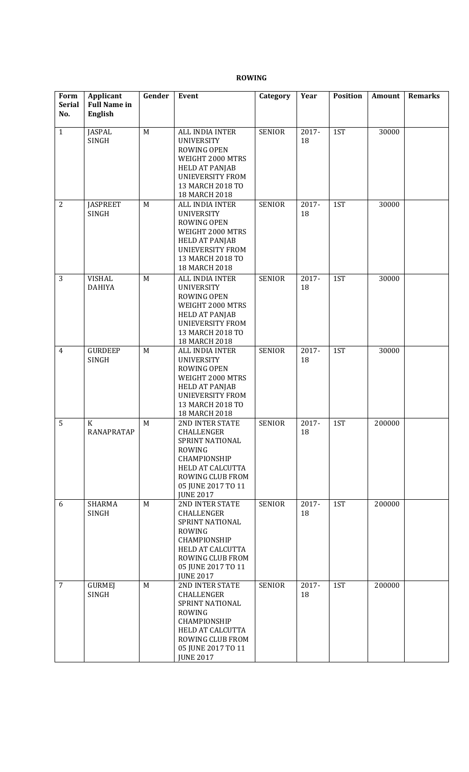#### **ROWING**

| Form<br><b>Serial</b><br>No. | <b>Applicant</b><br><b>Full Name in</b><br><b>English</b> | Gender | Event                                                                                                                                                                      | Category      | Year        | <b>Position</b> | Amount | <b>Remarks</b> |
|------------------------------|-----------------------------------------------------------|--------|----------------------------------------------------------------------------------------------------------------------------------------------------------------------------|---------------|-------------|-----------------|--------|----------------|
| $\mathbf{1}$                 | <b>JASPAL</b><br>SINGH                                    | M      | ALL INDIA INTER<br><b>UNIVERSITY</b><br><b>ROWING OPEN</b><br>WEIGHT 2000 MTRS<br><b>HELD AT PANJAB</b><br><b>UNIEVERSITY FROM</b><br>13 MARCH 2018 TO<br>18 MARCH 2018    | <b>SENIOR</b> | 2017-<br>18 | 1ST             | 30000  |                |
| $\overline{2}$               | <b>JASPREET</b><br><b>SINGH</b>                           | M      | ALL INDIA INTER<br><b>UNIVERSITY</b><br><b>ROWING OPEN</b><br>WEIGHT 2000 MTRS<br><b>HELD AT PANJAB</b><br><b>UNIEVERSITY FROM</b><br>13 MARCH 2018 TO<br>18 MARCH 2018    | <b>SENIOR</b> | 2017-<br>18 | 1ST             | 30000  |                |
| 3                            | <b>VISHAL</b><br><b>DAHIYA</b>                            | M      | ALL INDIA INTER<br><b>UNIVERSITY</b><br><b>ROWING OPEN</b><br>WEIGHT 2000 MTRS<br><b>HELD AT PANJAB</b><br><b>UNIEVERSITY FROM</b><br>13 MARCH 2018 TO<br>18 MARCH 2018    | <b>SENIOR</b> | 2017-<br>18 | 1ST             | 30000  |                |
| $\overline{4}$               | <b>GURDEEP</b><br><b>SINGH</b>                            | M      | ALL INDIA INTER<br><b>UNIVERSITY</b><br><b>ROWING OPEN</b><br>WEIGHT 2000 MTRS<br><b>HELD AT PANJAB</b><br><b>UNIEVERSITY FROM</b><br>13 MARCH 2018 TO<br>18 MARCH 2018    | <b>SENIOR</b> | 2017-<br>18 | 1ST             | 30000  |                |
| 5                            | K<br><b>RANAPRATAP</b>                                    | M      | 2ND INTER STATE<br>CHALLENGER<br>SPRINT NATIONAL<br><b>ROWING</b><br>CHAMPIONSHIP<br>HELD AT CALCUTTA<br>ROWING CLUB FROM<br>05 JUNE 2017 TO 11<br><b>JUNE 2017</b>        | <b>SENIOR</b> | 2017-<br>18 | 1ST             | 200000 |                |
| 6                            | <b>SHARMA</b><br><b>SINGH</b>                             | M      | 2ND INTER STATE<br>CHALLENGER<br>SPRINT NATIONAL<br><b>ROWING</b><br>CHAMPIONSHIP<br>HELD AT CALCUTTA<br>ROWING CLUB FROM<br>05 JUNE 2017 TO 11<br><b>JUNE 2017</b>        | <b>SENIOR</b> | 2017-<br>18 | 1ST             | 200000 |                |
| $\overline{7}$               | <b>GURMEJ</b><br><b>SINGH</b>                             | M      | 2ND INTER STATE<br>CHALLENGER<br>SPRINT NATIONAL<br><b>ROWING</b><br>CHAMPIONSHIP<br><b>HELD AT CALCUTTA</b><br>ROWING CLUB FROM<br>05 JUNE 2017 TO 11<br><b>JUNE 2017</b> | <b>SENIOR</b> | 2017-<br>18 | 1ST             | 200000 |                |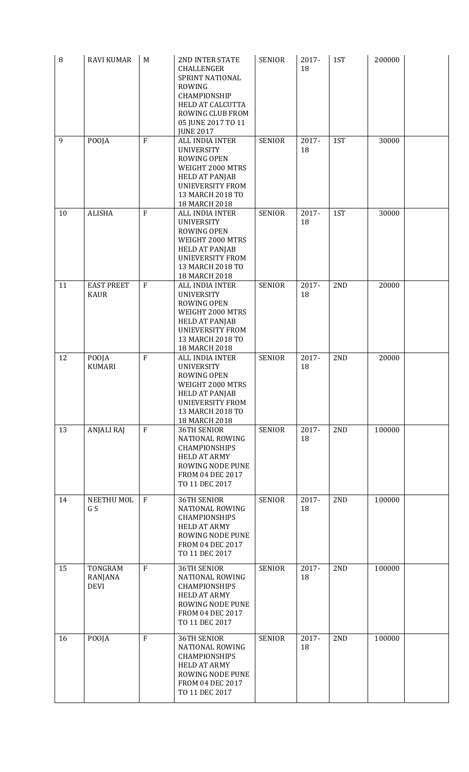| 8  | <b>RAVI KUMAR</b>                 | M              | <b>2ND INTER STATE</b><br>CHALLENGER<br>SPRINT NATIONAL<br><b>ROWING</b><br>CHAMPIONSHIP<br><b>HELD AT CALCUTTA</b><br>ROWING CLUB FROM<br>05 JUNE 2017 TO 11<br><b>JUNE 2017</b> | <b>SENIOR</b> | 2017-<br>18 | 1ST | 200000 |  |
|----|-----------------------------------|----------------|-----------------------------------------------------------------------------------------------------------------------------------------------------------------------------------|---------------|-------------|-----|--------|--|
| 9  | POOJA                             | $\mathbf{F}$   | ALL INDIA INTER<br><b>UNIVERSITY</b><br><b>ROWING OPEN</b><br>WEIGHT 2000 MTRS<br><b>HELD AT PANJAB</b><br><b>UNIEVERSITY FROM</b><br>13 MARCH 2018 TO<br>18 MARCH 2018           | <b>SENIOR</b> | 2017-<br>18 | 1ST | 30000  |  |
| 10 | <b>ALISHA</b>                     | $\overline{F}$ | ALL INDIA INTER<br><b>UNIVERSITY</b><br>ROWING OPEN<br>WEIGHT 2000 MTRS<br><b>HELD AT PANJAB</b><br>UNIEVERSITY FROM<br>13 MARCH 2018 TO<br>18 MARCH 2018                         | <b>SENIOR</b> | 2017-<br>18 | 1ST | 30000  |  |
| 11 | <b>EAST PREET</b><br><b>KAUR</b>  | $\mathbf{F}$   | ALL INDIA INTER<br><b>UNIVERSITY</b><br>ROWING OPEN<br>WEIGHT 2000 MTRS<br><b>HELD AT PANJAB</b><br><b>UNIEVERSITY FROM</b><br>13 MARCH 2018 TO<br>18 MARCH 2018                  | <b>SENIOR</b> | 2017-<br>18 | 2ND | 20000  |  |
| 12 | POOJA<br><b>KUMARI</b>            | $\overline{F}$ | ALL INDIA INTER<br><b>UNIVERSITY</b><br>ROWING OPEN<br>WEIGHT 2000 MTRS<br><b>HELD AT PANJAB</b><br><b>UNIEVERSITY FROM</b><br>13 MARCH 2018 TO<br>18 MARCH 2018                  | <b>SENIOR</b> | 2017-<br>18 | 2ND | 20000  |  |
| 13 | <b>ANJALI RAJ</b>                 | $\mathbf{F}$   | <b>36TH SENIOR</b><br><b>NATIONAL ROWING</b><br><b>CHAMPIONSHIPS</b><br><b>HELD AT ARMY</b><br>ROWING NODE PUNE<br><b>FROM 04 DEC 2017</b><br>TO 11 DEC 2017                      | <b>SENIOR</b> | 2017-<br>18 | 2ND | 100000 |  |
| 14 | NEETHU MOL<br>G S                 | $\mathbf{F}$   | <b>36TH SENIOR</b><br><b>NATIONAL ROWING</b><br><b>CHAMPIONSHIPS</b><br><b>HELD AT ARMY</b><br>ROWING NODE PUNE<br>FROM 04 DEC 2017<br>TO 11 DEC 2017                             | <b>SENIOR</b> | 2017-<br>18 | 2ND | 100000 |  |
| 15 | TONGRAM<br>RANJANA<br><b>DEVI</b> | F              | <b>36TH SENIOR</b><br><b>NATIONAL ROWING</b><br><b>CHAMPIONSHIPS</b><br><b>HELD AT ARMY</b><br>ROWING NODE PUNE<br>FROM 04 DEC 2017<br>TO 11 DEC 2017                             | <b>SENIOR</b> | 2017-<br>18 | 2ND | 100000 |  |
| 16 | POOJA                             | $\overline{F}$ | <b>36TH SENIOR</b><br><b>NATIONAL ROWING</b><br><b>CHAMPIONSHIPS</b><br><b>HELD AT ARMY</b><br>ROWING NODE PUNE<br>FROM 04 DEC 2017<br>TO 11 DEC 2017                             | <b>SENIOR</b> | 2017-<br>18 | 2ND | 100000 |  |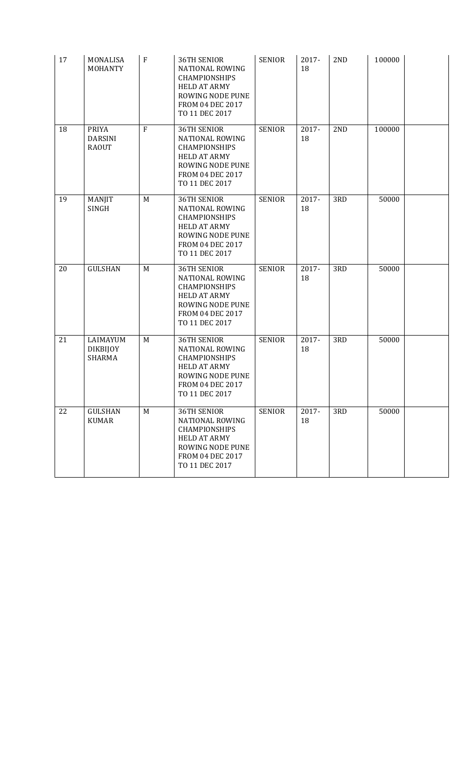| 17 | MONALISA<br><b>MOHANTY</b>                     | ${\bf F}$ | <b>36TH SENIOR</b><br><b>NATIONAL ROWING</b><br><b>CHAMPIONSHIPS</b><br><b>HELD AT ARMY</b><br>ROWING NODE PUNE<br><b>FROM 04 DEC 2017</b><br>TO 11 DEC 2017 | <b>SENIOR</b> | 2017-<br>18 | 2 <sub>ND</sub> | 100000 |  |
|----|------------------------------------------------|-----------|--------------------------------------------------------------------------------------------------------------------------------------------------------------|---------------|-------------|-----------------|--------|--|
| 18 | <b>PRIYA</b><br><b>DARSINI</b><br><b>RAOUT</b> | F         | <b>36TH SENIOR</b><br><b>NATIONAL ROWING</b><br><b>CHAMPIONSHIPS</b><br><b>HELD AT ARMY</b><br>ROWING NODE PUNE<br>FROM 04 DEC 2017<br>TO 11 DEC 2017        | <b>SENIOR</b> | 2017-<br>18 | 2ND             | 100000 |  |
| 19 | MANJIT<br><b>SINGH</b>                         | M         | <b>36TH SENIOR</b><br><b>NATIONAL ROWING</b><br><b>CHAMPIONSHIPS</b><br><b>HELD AT ARMY</b><br>ROWING NODE PUNE<br><b>FROM 04 DEC 2017</b><br>TO 11 DEC 2017 | <b>SENIOR</b> | 2017-<br>18 | 3RD             | 50000  |  |
| 20 | <b>GULSHAN</b>                                 | M         | <b>36TH SENIOR</b><br><b>NATIONAL ROWING</b><br><b>CHAMPIONSHIPS</b><br><b>HELD AT ARMY</b><br>ROWING NODE PUNE<br>FROM 04 DEC 2017<br>TO 11 DEC 2017        | <b>SENIOR</b> | 2017-<br>18 | 3RD             | 50000  |  |
| 21 | LAIMAYUM<br><b>DIKBIJOY</b><br><b>SHARMA</b>   | M         | <b>36TH SENIOR</b><br><b>NATIONAL ROWING</b><br><b>CHAMPIONSHIPS</b><br><b>HELD AT ARMY</b><br>ROWING NODE PUNE<br>FROM 04 DEC 2017<br>TO 11 DEC 2017        | <b>SENIOR</b> | 2017-<br>18 | 3RD             | 50000  |  |
| 22 | <b>GULSHAN</b><br><b>KUMAR</b>                 | M         | <b>36TH SENIOR</b><br><b>NATIONAL ROWING</b><br><b>CHAMPIONSHIPS</b><br><b>HELD AT ARMY</b><br>ROWING NODE PUNE<br>FROM 04 DEC 2017<br>TO 11 DEC 2017        | <b>SENIOR</b> | 2017-<br>18 | 3RD             | 50000  |  |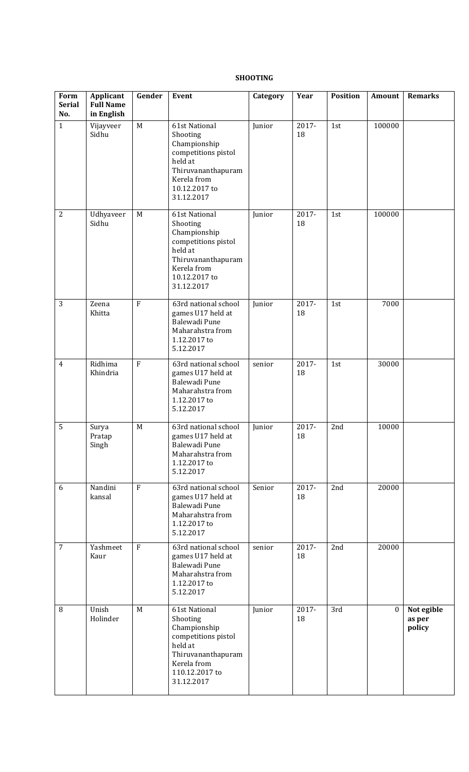#### **SHOOTING**

| Form<br><b>Serial</b><br>No. | <b>Applicant</b><br><b>Full Name</b><br>in English | Gender         | Event                                                                                                                                            | Category | Year        | <b>Position</b> | Amount       | <b>Remarks</b>                 |
|------------------------------|----------------------------------------------------|----------------|--------------------------------------------------------------------------------------------------------------------------------------------------|----------|-------------|-----------------|--------------|--------------------------------|
| $\mathbf{1}$                 | Vijayveer<br>Sidhu                                 | M              | 61st National<br>Shooting<br>Championship<br>competitions pistol<br>held at<br>Thiruvananthapuram<br>Kerela from<br>10.12.2017 to<br>31.12.2017  | Junior   | 2017-<br>18 | 1st             | 100000       |                                |
| $\overline{2}$               | Udhyaveer<br>Sidhu                                 | M              | 61st National<br>Shooting<br>Championship<br>competitions pistol<br>held at<br>Thiruvananthapuram<br>Kerela from<br>10.12.2017 to<br>31.12.2017  | Junior   | 2017-<br>18 | 1st             | 100000       |                                |
| 3                            | Zeena<br>Khitta                                    | $\mathbf{F}$   | 63rd national school<br>games U17 held at<br>Balewadi Pune<br>Maharahstra from<br>1.12.2017 to<br>5.12.2017                                      | Junior   | 2017-<br>18 | 1st             | 7000         |                                |
| 4                            | Ridhima<br>Khindria                                | $\overline{F}$ | 63rd national school<br>games U17 held at<br>Balewadi Pune<br>Maharahstra from<br>1.12.2017 to<br>5.12.2017                                      | senior   | 2017-<br>18 | 1st             | 30000        |                                |
| 5                            | Surya<br>Pratap<br>Singh                           | M              | 63rd national school<br>games U17 held at<br>Balewadi Pune<br>Maharahstra from<br>1.12.2017 to<br>5.12.2017                                      | Junior   | 2017-<br>18 | 2nd             | 10000        |                                |
| 6                            | Nandini<br>kansal                                  | F              | 63rd national school<br>games U17 held at<br>Balewadi Pune<br>Maharahstra from<br>1.12.2017 to<br>5.12.2017                                      | Senior   | 2017-<br>18 | 2nd             | 20000        |                                |
| $\overline{7}$               | Yashmeet<br>Kaur                                   | F              | 63rd national school<br>games U17 held at<br>Balewadi Pune<br>Maharahstra from<br>1.12.2017 to<br>5.12.2017                                      | senior   | 2017-<br>18 | 2nd             | 20000        |                                |
| $\, 8$                       | Unish<br>Holinder                                  | M              | 61st National<br>Shooting<br>Championship<br>competitions pistol<br>held at<br>Thiruvananthapuram<br>Kerela from<br>110.12.2017 to<br>31.12.2017 | Junior   | 2017-<br>18 | 3rd             | $\mathbf{0}$ | Not egible<br>as per<br>policy |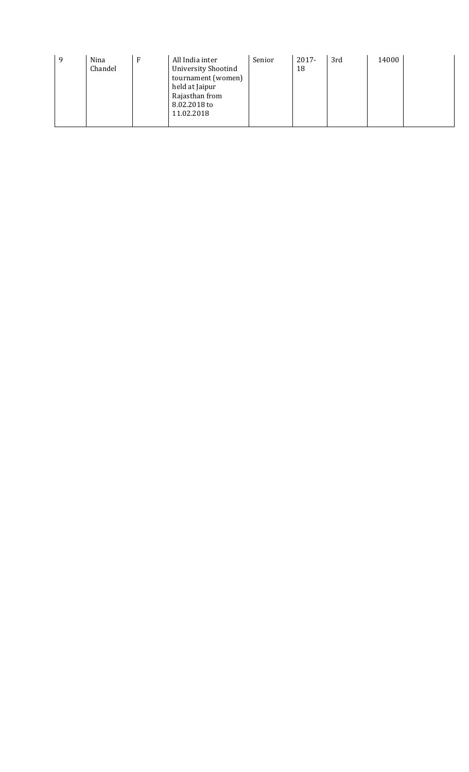| 9 | Nina<br>Chandel |  | All India inter<br><b>University Shootind</b><br>tournament (women)<br>held at Jaipur<br>Rajasthan from<br>8.02.2018 to<br>11.02.2018 | Senior | $2017 -$<br>18 | 3rd | 14000 |  |
|---|-----------------|--|---------------------------------------------------------------------------------------------------------------------------------------|--------|----------------|-----|-------|--|
|---|-----------------|--|---------------------------------------------------------------------------------------------------------------------------------------|--------|----------------|-----|-------|--|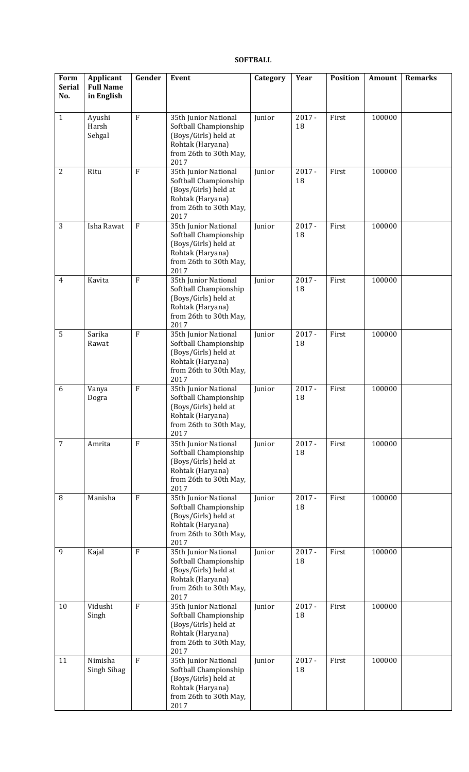## **SOFTBALL**

| Form<br><b>Serial</b><br>No. | Applicant<br><b>Full Name</b><br>in English | Gender         | Event                                                                                                                       | Category | Year           | <b>Position</b> | Amount | <b>Remarks</b> |
|------------------------------|---------------------------------------------|----------------|-----------------------------------------------------------------------------------------------------------------------------|----------|----------------|-----------------|--------|----------------|
| $\mathbf{1}$                 | Ayushi<br>Harsh<br>Sehgal                   | $\overline{F}$ | 35th Junior National<br>Softball Championship<br>(Boys/Girls) held at<br>Rohtak (Haryana)<br>from 26th to 30th May,<br>2017 | Junior   | $2017 -$<br>18 | First           | 100000 |                |
| 2                            | Ritu                                        | $\mathbf{F}$   | 35th Junior National<br>Softball Championship<br>(Boys/Girls) held at<br>Rohtak (Haryana)<br>from 26th to 30th May,<br>2017 | Junior   | $2017 -$<br>18 | First           | 100000 |                |
| 3                            | Isha Rawat                                  | $\overline{F}$ | 35th Junior National<br>Softball Championship<br>(Boys/Girls) held at<br>Rohtak (Haryana)<br>from 26th to 30th May,<br>2017 | Junior   | $2017 -$<br>18 | First           | 100000 |                |
| 4                            | Kavita                                      | $\mathbf F$    | 35th Junior National<br>Softball Championship<br>(Boys/Girls) held at<br>Rohtak (Haryana)<br>from 26th to 30th May,<br>2017 | Junior   | $2017 -$<br>18 | First           | 100000 |                |
| 5                            | Sarika<br>Rawat                             | $\mathbf{F}$   | 35th Junior National<br>Softball Championship<br>(Boys/Girls) held at<br>Rohtak (Haryana)<br>from 26th to 30th May,<br>2017 | Junior   | $2017 -$<br>18 | First           | 100000 |                |
| 6                            | Vanya<br>Dogra                              | $\rm F$        | 35th Junior National<br>Softball Championship<br>(Boys/Girls) held at<br>Rohtak (Haryana)<br>from 26th to 30th May,<br>2017 | Junior   | $2017 -$<br>18 | First           | 100000 |                |
| $\overline{7}$               | Amrita                                      | $\overline{F}$ | 35th Junior National<br>Softball Championship<br>(Boys/Girls) held at<br>Rohtak (Haryana)<br>from 26th to 30th May,<br>2017 | Junior   | $2017 -$<br>18 | First           | 100000 |                |
| 8                            | Manisha                                     | $\overline{F}$ | 35th Junior National<br>Softball Championship<br>(Boys/Girls) held at<br>Rohtak (Haryana)<br>from 26th to 30th May,<br>2017 | Junior   | $2017 -$<br>18 | First           | 100000 |                |
| 9                            | Kajal                                       | $\overline{F}$ | 35th Junior National<br>Softball Championship<br>(Boys/Girls) held at<br>Rohtak (Haryana)<br>from 26th to 30th May,<br>2017 | Junior   | $2017 -$<br>18 | First           | 100000 |                |
| 10                           | Vidushi<br>Singh                            | $\rm F$        | 35th Junior National<br>Softball Championship<br>(Boys/Girls) held at<br>Rohtak (Haryana)<br>from 26th to 30th May,<br>2017 | Junior   | $2017 -$<br>18 | First           | 100000 |                |
| 11                           | Nimisha<br>Singh Sihag                      | $\mathbf{F}$   | 35th Junior National<br>Softball Championship<br>(Boys/Girls) held at<br>Rohtak (Haryana)<br>from 26th to 30th May,<br>2017 | Junior   | $2017 -$<br>18 | First           | 100000 |                |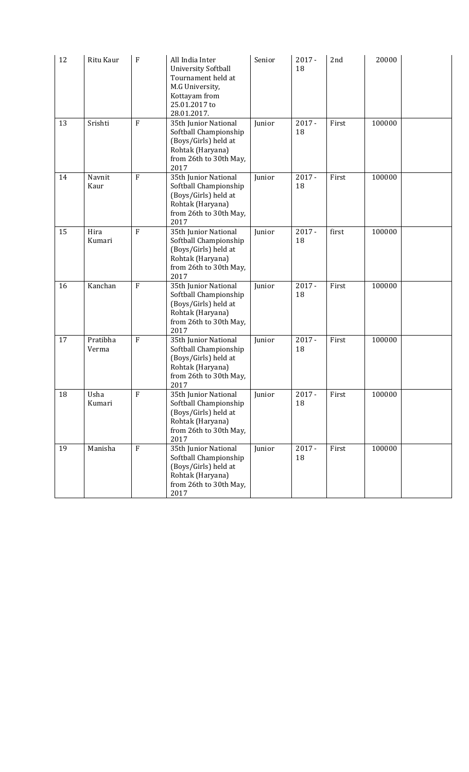| 12 | Ritu Kaur         | F              | All India Inter<br><b>University Softball</b><br>Tournament held at<br>M.G University,<br>Kottayam from<br>25.01.2017 to<br>28.01.2017. | Senior | $2017 -$<br>18 | 2nd   | 20000  |  |
|----|-------------------|----------------|-----------------------------------------------------------------------------------------------------------------------------------------|--------|----------------|-------|--------|--|
| 13 | Srishti           | $\mathbf{F}$   | 35th Junior National<br>Softball Championship<br>(Boys/Girls) held at<br>Rohtak (Haryana)<br>from 26th to 30th May,<br>2017             | Junior | $2017 -$<br>18 | First | 100000 |  |
| 14 | Navnit<br>Kaur    | $\mathbf{F}$   | 35th Junior National<br>Softball Championship<br>(Boys/Girls) held at<br>Rohtak (Haryana)<br>from 26th to 30th May,<br>2017             | Junior | $2017 -$<br>18 | First | 100000 |  |
| 15 | Hira<br>Kumari    | $\mathbf{F}$   | 35th Junior National<br>Softball Championship<br>(Boys/Girls) held at<br>Rohtak (Haryana)<br>from 26th to 30th May,<br>2017             | Junior | $2017 -$<br>18 | first | 100000 |  |
| 16 | Kanchan           | F              | 35th Junior National<br>Softball Championship<br>(Boys/Girls) held at<br>Rohtak (Haryana)<br>from 26th to 30th May,<br>2017             | Junior | $2017 -$<br>18 | First | 100000 |  |
| 17 | Pratibha<br>Verma | $\mathbf{F}$   | 35th Junior National<br>Softball Championship<br>(Boys/Girls) held at<br>Rohtak (Haryana)<br>from 26th to 30th May,<br>2017             | Junior | $2017 -$<br>18 | First | 100000 |  |
| 18 | Usha<br>Kumari    | F              | 35th Junior National<br>Softball Championship<br>(Boys/Girls) held at<br>Rohtak (Haryana)<br>from 26th to 30th May,<br>2017             | Junior | $2017 -$<br>18 | First | 100000 |  |
| 19 | Manisha           | $\overline{F}$ | 35th Junior National<br>Softball Championship<br>(Boys/Girls) held at<br>Rohtak (Haryana)<br>from 26th to 30th May,<br>2017             | Junior | $2017 -$<br>18 | First | 100000 |  |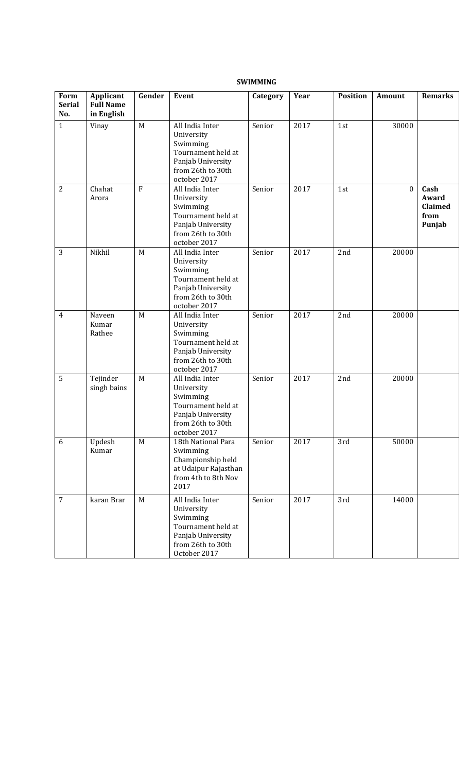| Form<br><b>Serial</b><br>No. | Applicant<br><b>Full Name</b><br>in English | Gender      | Event                                                                                                                     | Category | Year | <b>Position</b> | Amount       | <b>Remarks</b>                             |
|------------------------------|---------------------------------------------|-------------|---------------------------------------------------------------------------------------------------------------------------|----------|------|-----------------|--------------|--------------------------------------------|
| $\mathbf{1}$                 | Vinay                                       | $\mathbf M$ | All India Inter<br>University<br>Swimming<br>Tournament held at<br>Panjab University<br>from 26th to 30th<br>october 2017 | Senior   | 2017 | 1st             | 30000        |                                            |
| $\overline{2}$               | Chahat<br>Arora                             | $\rm F$     | All India Inter<br>University<br>Swimming<br>Tournament held at<br>Panjab University<br>from 26th to 30th<br>october 2017 | Senior   | 2017 | 1st             | $\mathbf{0}$ | Cash<br>Award<br>Claimed<br>from<br>Punjab |
| 3                            | Nikhil                                      | M           | All India Inter<br>University<br>Swimming<br>Tournament held at<br>Panjab University<br>from 26th to 30th<br>october 2017 | Senior   | 2017 | 2nd             | 20000        |                                            |
| $\overline{4}$               | Naveen<br>Kumar<br>Rathee                   | M           | All India Inter<br>University<br>Swimming<br>Tournament held at<br>Panjab University<br>from 26th to 30th<br>october 2017 | Senior   | 2017 | 2nd             | 20000        |                                            |
| 5                            | Tejinder<br>singh bains                     | M           | All India Inter<br>University<br>Swimming<br>Tournament held at<br>Panjab University<br>from 26th to 30th<br>october 2017 | Senior   | 2017 | 2nd             | 20000        |                                            |
| 6                            | Updesh<br>Kumar                             | M           | 18th National Para<br>Swimming<br>Championship held<br>at Udaipur Rajasthan<br>from 4th to 8th Nov<br>2017                | Senior   | 2017 | 3rd             | 50000        |                                            |
| $\overline{7}$               | karan Brar                                  | M           | All India Inter<br>University<br>Swimming<br>Tournament held at<br>Panjab University<br>from 26th to 30th<br>October 2017 | Senior   | 2017 | 3rd             | 14000        |                                            |

# **SWIMMING**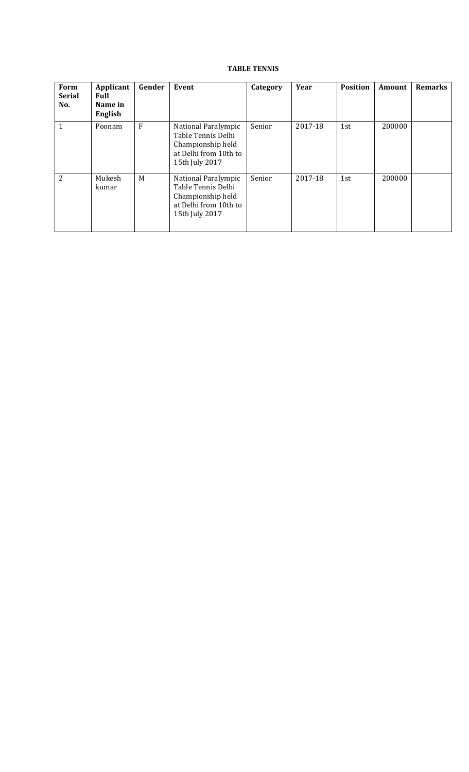# **TABLE TENNIS**

| Form<br><b>Serial</b><br>No. | Applicant<br>Full<br>Name in<br>English | Gender | Event                                                                                                     | Category | Year    | <b>Position</b> | <b>Amount</b> | <b>Remarks</b> |
|------------------------------|-----------------------------------------|--------|-----------------------------------------------------------------------------------------------------------|----------|---------|-----------------|---------------|----------------|
| $\mathbf{1}$                 | Poonam                                  | F      | National Paralympic<br>Table Tennis Delhi<br>Championship held<br>at Delhi from 10th to<br>15th July 2017 | Senior   | 2017-18 | 1st             | 200000        |                |
| 2                            | Mukesh<br>kumar                         | M      | National Paralympic<br>Table Tennis Delhi<br>Championship held<br>at Delhi from 10th to<br>15th July 2017 | Senior   | 2017-18 | 1st             | 200000        |                |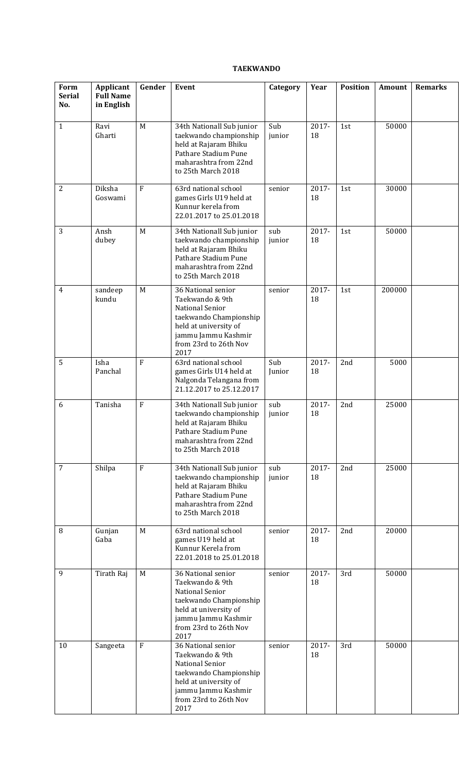# **TAEKWANDO**

| Form<br><b>Serial</b> | Applicant<br><b>Full Name</b> | Gender         | Event                                                                                                                                                                      | Category      | Year        | <b>Position</b> | Amount | <b>Remarks</b> |
|-----------------------|-------------------------------|----------------|----------------------------------------------------------------------------------------------------------------------------------------------------------------------------|---------------|-------------|-----------------|--------|----------------|
| No.                   | in English                    |                |                                                                                                                                                                            |               |             |                 |        |                |
| $\mathbf{1}$          | Ravi<br>Gharti                | M              | 34th Nationall Sub junior<br>taekwando championship<br>held at Rajaram Bhiku<br>Pathare Stadium Pune<br>maharashtra from 22nd<br>to 25th March 2018                        | Sub<br>junior | 2017-<br>18 | 1st             | 50000  |                |
| 2                     | Diksha<br>Goswami             | F              | 63rd national school<br>games Girls U19 held at<br>Kunnur kerela from<br>22.01.2017 to 25.01.2018                                                                          | senior        | 2017-<br>18 | 1st             | 30000  |                |
| 3                     | Ansh<br>dubey                 | M              | 34th Nationall Sub junior<br>taekwando championship<br>held at Rajaram Bhiku<br>Pathare Stadium Pune<br>maharashtra from 22nd<br>to 25th March 2018                        | sub<br>junior | 2017-<br>18 | 1st             | 50000  |                |
| $\overline{4}$        | sandeep<br>kundu              | M              | 36 National senior<br>Taekwando & 9th<br>National Senior<br>taekwando Championship<br>held at university of<br>jammu Jammu Kashmir<br>from 23rd to 26th Nov<br>2017        | senior        | 2017-<br>18 | 1st             | 200000 |                |
| 5                     | Isha<br>Panchal               | $\overline{F}$ | 63rd national school<br>games Girls U14 held at<br>Nalgonda Telangana from<br>21.12.2017 to 25.12.2017                                                                     | Sub<br>Junior | 2017-<br>18 | 2nd             | 5000   |                |
| 6                     | Tanisha                       | $\mathbf{F}$   | 34th Nationall Sub junior<br>taekwando championship<br>held at Rajaram Bhiku<br>Pathare Stadium Pune<br>maharashtra from 22nd<br>to 25th March 2018                        | sub<br>junior | 2017-<br>18 | 2nd             | 25000  |                |
| $\overline{7}$        | Shilpa                        | $\mathbf{F}$   | 34th Nationall Sub junior<br>taekwando championship<br>held at Rajaram Bhiku<br>Pathare Stadium Pune<br>maharashtra from 22nd<br>to 25th March 2018                        | sub<br>junior | 2017-<br>18 | 2nd             | 25000  |                |
| $\, 8$                | Gunjan<br>Gaba                | M              | 63rd national school<br>games U19 held at<br>Kunnur Kerela from<br>22.01.2018 to 25.01.2018                                                                                | senior        | 2017-<br>18 | 2nd             | 20000  |                |
| 9                     | Tirath Raj                    | M              | 36 National senior<br>Taekwando & 9th<br><b>National Senior</b><br>taekwando Championship<br>held at university of<br>jammu Jammu Kashmir<br>from 23rd to 26th Nov<br>2017 | senior        | 2017-<br>18 | 3rd             | 50000  |                |
| 10                    | Sangeeta                      | $\rm F$        | 36 National senior<br>Taekwando & 9th<br>National Senior<br>taekwando Championship<br>held at university of<br>jammu Jammu Kashmir<br>from 23rd to 26th Nov<br>2017        | senior        | 2017-<br>18 | 3rd             | 50000  |                |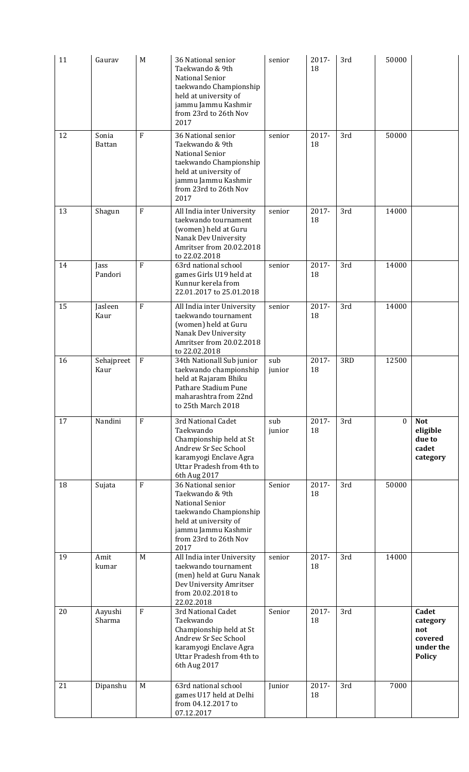| 11 | Gaurav             | M              | 36 National senior<br>Taekwando & 9th<br>National Senior<br>taekwando Championship<br>held at university of<br>jammu Jammu Kashmir<br>from 23rd to 26th Nov<br>2017 | senior        | 2017-<br>18 | 3rd | 50000        |                                                                   |
|----|--------------------|----------------|---------------------------------------------------------------------------------------------------------------------------------------------------------------------|---------------|-------------|-----|--------------|-------------------------------------------------------------------|
| 12 | Sonia<br>Battan    | $\mathbf{F}$   | 36 National senior<br>Taekwando & 9th<br>National Senior<br>taekwando Championship<br>held at university of<br>jammu Jammu Kashmir<br>from 23rd to 26th Nov<br>2017 | senior        | 2017-<br>18 | 3rd | 50000        |                                                                   |
| 13 | Shagun             | ${\bf F}$      | All India inter University<br>taekwando tournament<br>(women) held at Guru<br>Nanak Dev University<br>Amritser from 20.02.2018<br>to 22.02.2018                     | senior        | 2017-<br>18 | 3rd | 14000        |                                                                   |
| 14 | Jass<br>Pandori    | $\rm F$        | 63rd national school<br>games Girls U19 held at<br>Kunnur kerela from<br>22.01.2017 to 25.01.2018                                                                   | senior        | 2017-<br>18 | 3rd | 14000        |                                                                   |
| 15 | Jasleen<br>Kaur    | $\overline{F}$ | All India inter University<br>taekwando tournament<br>(women) held at Guru<br>Nanak Dev University<br>Amritser from 20.02.2018<br>to 22.02.2018                     | senior        | 2017-<br>18 | 3rd | 14000        |                                                                   |
| 16 | Sehajpreet<br>Kaur | $\mathbf F$    | 34th Nationall Sub junior<br>taekwando championship<br>held at Rajaram Bhiku<br>Pathare Stadium Pune<br>maharashtra from 22nd<br>to 25th March 2018                 | sub<br>junior | 2017-<br>18 | 3RD | 12500        |                                                                   |
| 17 | Nandini            | $\mathbf{F}$   | 3rd National Cadet<br>Taekwando<br>Championship held at St<br>Andrew Sr Sec School<br>karamyogi Enclave Agra<br>Uttar Pradesh from 4th to<br>6th Aug 2017           | sub<br>junior | 2017-<br>18 | 3rd | $\mathbf{0}$ | <b>Not</b><br>eligible<br>due to<br>cadet<br>category             |
| 18 | Sujata             | $\mathbf{F}$   | 36 National senior<br>Taekwando & 9th<br>National Senior<br>taekwando Championship<br>held at university of<br>jammu Jammu Kashmir<br>from 23rd to 26th Nov<br>2017 | Senior        | 2017-<br>18 | 3rd | 50000        |                                                                   |
| 19 | Amit<br>kumar      | M              | All India inter University<br>taekwando tournament<br>(men) held at Guru Nanak<br>Dev University Amritser<br>from 20.02.2018 to<br>22.02.2018                       | senior        | 2017-<br>18 | 3rd | 14000        |                                                                   |
| 20 | Aayushi<br>Sharma  | ${\bf F}$      | 3rd National Cadet<br>Taekwando<br>Championship held at St<br>Andrew Sr Sec School<br>karamyogi Enclave Agra<br>Uttar Pradesh from 4th to<br>6th Aug 2017           | Senior        | 2017-<br>18 | 3rd |              | Cadet<br>category<br>not<br>covered<br>under the<br><b>Policy</b> |
| 21 | Dipanshu           | M              | 63rd national school<br>games U17 held at Delhi<br>from 04.12.2017 to<br>07.12.2017                                                                                 | Junior        | 2017-<br>18 | 3rd | 7000         |                                                                   |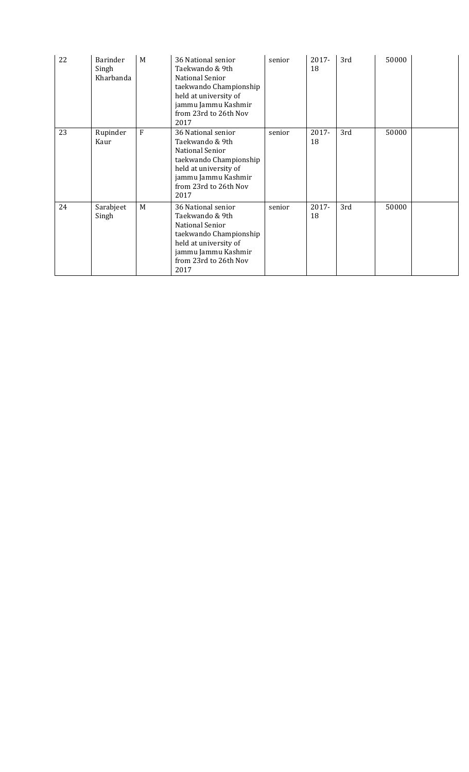| 22 | <b>Barinder</b><br>Singh<br>Kharbanda | M | 36 National senior<br>Taekwando & 9th<br>National Senior<br>taekwando Championship<br>held at university of<br>jammu Jammu Kashmir<br>from 23rd to 26th Nov<br>2017 | senior | 2017-<br>18 | 3rd | 50000 |  |
|----|---------------------------------------|---|---------------------------------------------------------------------------------------------------------------------------------------------------------------------|--------|-------------|-----|-------|--|
| 23 | Rupinder<br>Kaur                      | F | 36 National senior<br>Taekwando & 9th<br>National Senior<br>taekwando Championship<br>held at university of<br>jammu Jammu Kashmir<br>from 23rd to 26th Nov<br>2017 | senior | 2017-<br>18 | 3rd | 50000 |  |
| 24 | Sarabjeet<br>Singh                    | M | 36 National senior<br>Taekwando & 9th<br>National Senior<br>taekwando Championship<br>held at university of<br>jammu Jammu Kashmir<br>from 23rd to 26th Nov<br>2017 | senior | 2017-<br>18 | 3rd | 50000 |  |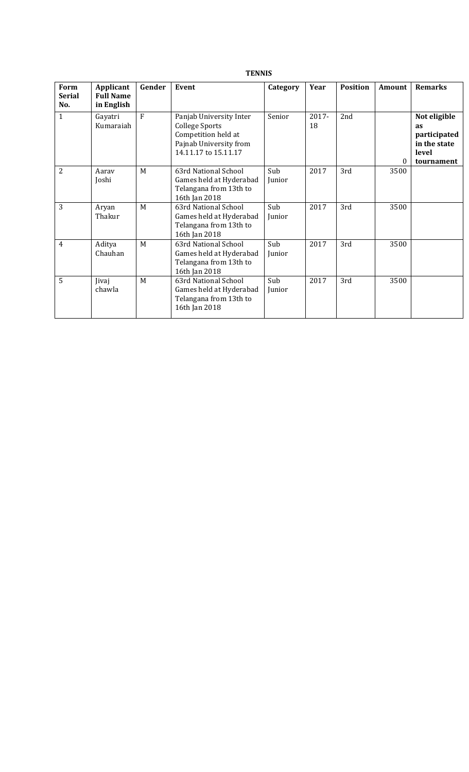## **TENNIS**

| Form<br><b>Serial</b><br>No. | Applicant<br><b>Full Name</b><br>in English | Gender | Event                                                                                                                     | Category      | Year           | <b>Position</b> | Amount   | <b>Remarks</b>                                                                   |
|------------------------------|---------------------------------------------|--------|---------------------------------------------------------------------------------------------------------------------------|---------------|----------------|-----------------|----------|----------------------------------------------------------------------------------|
| $\mathbf{1}$                 | Gayatri<br>Kumaraiah                        | F      | Panjab University Inter<br><b>College Sports</b><br>Competition held at<br>Pajnab University from<br>14.11.17 to 15.11.17 | Senior        | $2017 -$<br>18 | 2nd             | $\Omega$ | Not eligible<br><b>as</b><br>participated<br>in the state<br>level<br>tournament |
| $\overline{2}$               | Aarav<br>Joshi                              | M      | 63rd National School<br>Games held at Hyderabad<br>Telangana from 13th to<br>16th Jan 2018                                | Sub<br>Junior | 2017           | 3rd             | 3500     |                                                                                  |
| 3                            | Aryan<br>Thakur                             | M      | 63rd National School<br>Games held at Hyderabad<br>Telangana from 13th to<br>16th Jan 2018                                | Sub<br>Junior | 2017           | 3rd             | 3500     |                                                                                  |
| $\overline{4}$               | Aditya<br>Chauhan                           | M      | 63rd National School<br>Games held at Hyderabad<br>Telangana from 13th to<br>16th Jan 2018                                | Sub<br>Junior | 2017           | 3rd             | 3500     |                                                                                  |
| 5                            | Jivaj<br>chawla                             | M      | 63rd National School<br>Games held at Hyderabad<br>Telangana from 13th to<br>16th Jan 2018                                | Sub<br>Junior | 2017           | 3rd             | 3500     |                                                                                  |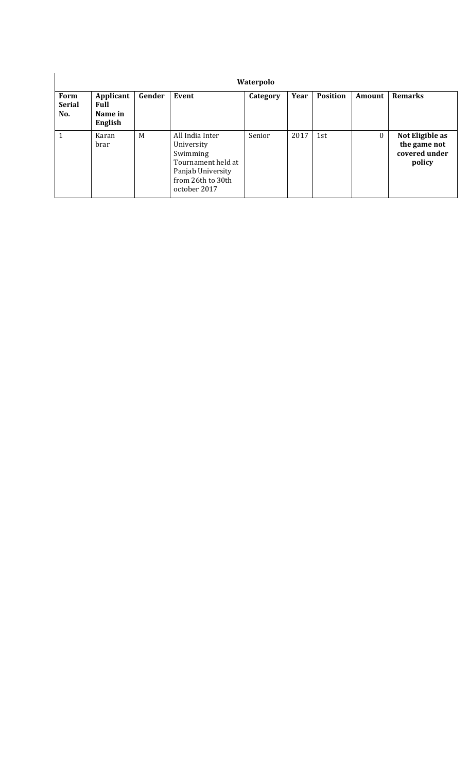|                              |                                         |        |                                                                                                                           | Waterpolo |      |                 |          |                                                            |
|------------------------------|-----------------------------------------|--------|---------------------------------------------------------------------------------------------------------------------------|-----------|------|-----------------|----------|------------------------------------------------------------|
| Form<br><b>Serial</b><br>No. | Applicant<br>Full<br>Name in<br>English | Gender | Event                                                                                                                     | Category  | Year | <b>Position</b> | Amount   | <b>Remarks</b>                                             |
| $\mathbf{1}$                 | Karan<br>brar                           | M      | All India Inter<br>University<br>Swimming<br>Tournament held at<br>Panjab University<br>from 26th to 30th<br>october 2017 | Senior    | 2017 | 1st             | $\theta$ | Not Eligible as<br>the game not<br>covered under<br>policy |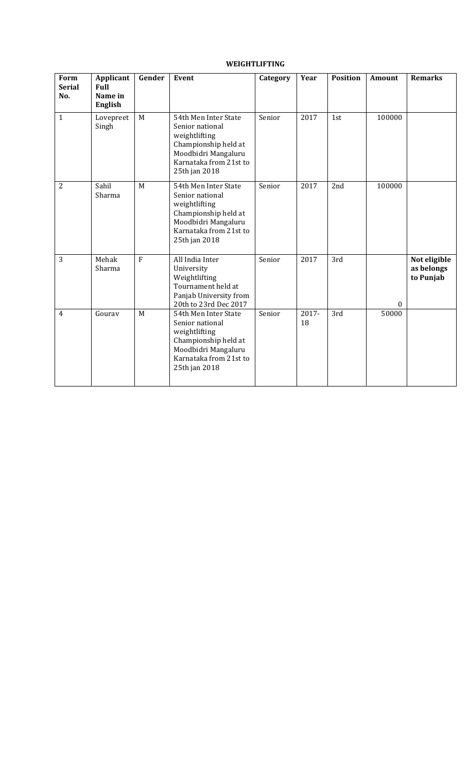# **WEIGHTLIFTING**

| Form<br><b>Serial</b><br>No. | <b>Applicant</b><br><b>Full</b><br>Name in<br><b>English</b> | Gender       | Event                                                                                                                                              | Category | Year        | <b>Position</b> | <b>Amount</b> | <b>Remarks</b>                          |
|------------------------------|--------------------------------------------------------------|--------------|----------------------------------------------------------------------------------------------------------------------------------------------------|----------|-------------|-----------------|---------------|-----------------------------------------|
| $\mathbf{1}$                 | Lovepreet<br>Singh                                           | M            | 54th Men Inter State<br>Senior national<br>weightlifting<br>Championship held at<br>Moodbidri Mangaluru<br>Karnataka from 21st to<br>25th jan 2018 | Senior   | 2017        | 1st             | 100000        |                                         |
| $\overline{2}$               | Sahil<br>Sharma                                              | M            | 54th Men Inter State<br>Senior national<br>weightlifting<br>Championship held at<br>Moodbidri Mangaluru<br>Karnataka from 21st to<br>25th jan 2018 | Senior   | 2017        | 2nd             | 100000        |                                         |
| 3                            | Mehak<br>Sharma                                              | $\mathbf{F}$ | All India Inter<br>University<br>Weightlifting<br>Tournament held at<br>Panjab University from<br>20th to 23rd Dec 2017                            | Senior   | 2017        | 3rd             | $\bf{0}$      | Not eligible<br>as belongs<br>to Punjab |
| $\overline{4}$               | Gourav                                                       | M            | 54th Men Inter State<br>Senior national<br>weightlifting<br>Championship held at<br>Moodbidri Mangaluru<br>Karnataka from 21st to<br>25th jan 2018 | Senior   | 2017-<br>18 | 3rd             | 50000         |                                         |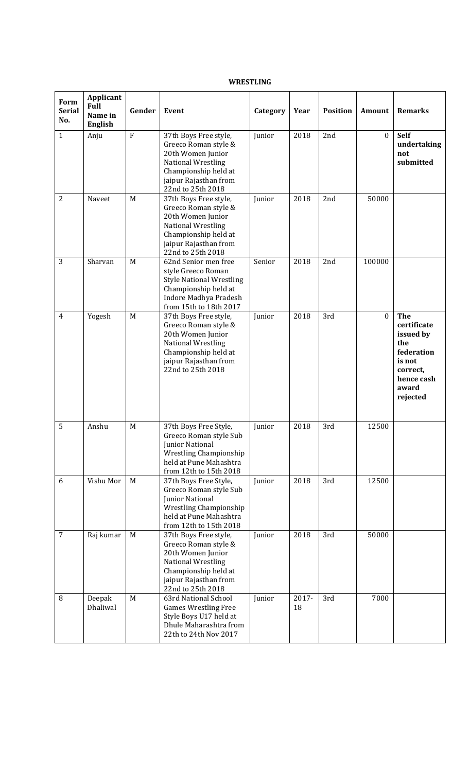## **WRESTLING**

| Form<br><b>Serial</b><br>No. | Applicant<br><b>Full</b><br>Name in<br><b>English</b> | Gender         | <b>Event</b>                                                                                                                                                   | Category | Year        | <b>Position</b> | Amount       | <b>Remarks</b>                                                                                                       |
|------------------------------|-------------------------------------------------------|----------------|----------------------------------------------------------------------------------------------------------------------------------------------------------------|----------|-------------|-----------------|--------------|----------------------------------------------------------------------------------------------------------------------|
| $\mathbf{1}$                 | Anju                                                  | $\overline{F}$ | 37th Boys Free style,<br>Greeco Roman style &<br>20th Women Junior<br>National Wrestling<br>Championship held at<br>jaipur Rajasthan from<br>22nd to 25th 2018 | Junior   | 2018        | 2nd             | $\mathbf{0}$ | <b>Self</b><br>undertaking<br>not<br>submitted                                                                       |
| $\overline{2}$               | Naveet                                                | M              | 37th Boys Free style,<br>Greeco Roman style &<br>20th Women Junior<br>National Wrestling<br>Championship held at<br>jaipur Rajasthan from<br>22nd to 25th 2018 | Junior   | 2018        | 2nd             | 50000        |                                                                                                                      |
| 3                            | Sharvan                                               | M              | 62nd Senior men free<br>style Greeco Roman<br><b>Style National Wrestling</b><br>Championship held at<br>Indore Madhya Pradesh<br>from 15th to 18th 2017       | Senior   | 2018        | 2nd             | 100000       |                                                                                                                      |
| $\overline{4}$               | Yogesh                                                | M              | 37th Boys Free style,<br>Greeco Roman style &<br>20th Women Junior<br>National Wrestling<br>Championship held at<br>jaipur Rajasthan from<br>22nd to 25th 2018 | Junior   | 2018        | 3rd             | $\mathbf{0}$ | <b>The</b><br>certificate<br>issued by<br>the<br>federation<br>is not<br>correct,<br>hence cash<br>award<br>rejected |
| 5                            | Anshu                                                 | M              | 37th Boys Free Style,<br>Greeco Roman style Sub<br>Junior National<br>Wrestling Championship<br>held at Pune Mahashtra<br>from 12th to 15th 2018               | Junior   | 2018        | 3rd             | 12500        |                                                                                                                      |
| 6                            | Vishu Mor                                             | M              | 37th Boys Free Style,<br>Greeco Roman style Sub<br>Junior National<br>Wrestling Championship<br>held at Pune Mahashtra<br>from 12th to 15th 2018               | Junior   | 2018        | 3rd             | 12500        |                                                                                                                      |
| $\overline{7}$               | Raj kumar                                             | M              | 37th Boys Free style,<br>Greeco Roman style &<br>20th Women Junior<br>National Wrestling<br>Championship held at<br>jaipur Rajasthan from<br>22nd to 25th 2018 | Junior   | 2018        | 3rd             | 50000        |                                                                                                                      |
| 8                            | Deepak<br>Dhaliwal                                    | M              | 63rd National School<br><b>Games Wrestling Free</b><br>Style Boys U17 held at<br>Dhule Maharashtra from<br>22th to 24th Nov 2017                               | Junior   | 2017-<br>18 | 3rd             | 7000         |                                                                                                                      |